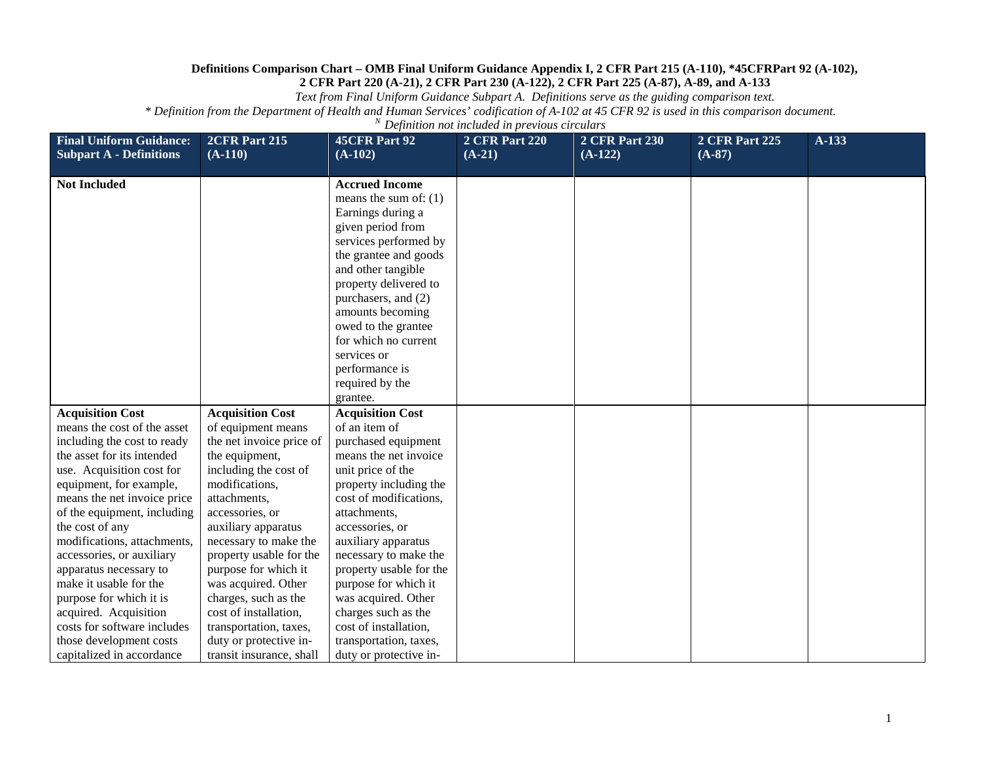*Text from Final Uniform Guidance Subpart A. Definitions serve as the guiding comparison text.*

| <b>Final Uniform Guidance:</b> | 2CFR Part 215            | <b>45CFR Part 92</b>    | <b>2 CFR Part 220</b> | <b>2 CFR Part 230</b> | <b>2 CFR Part 225</b> | A-133 |
|--------------------------------|--------------------------|-------------------------|-----------------------|-----------------------|-----------------------|-------|
| <b>Subpart A - Definitions</b> | $(A-110)$                | $(A-102)$               | $(A-21)$              | $(A-122)$             | $(A-87)$              |       |
|                                |                          |                         |                       |                       |                       |       |
| <b>Not Included</b>            |                          | <b>Accrued Income</b>   |                       |                       |                       |       |
|                                |                          | means the sum of: $(1)$ |                       |                       |                       |       |
|                                |                          | Earnings during a       |                       |                       |                       |       |
|                                |                          | given period from       |                       |                       |                       |       |
|                                |                          | services performed by   |                       |                       |                       |       |
|                                |                          | the grantee and goods   |                       |                       |                       |       |
|                                |                          | and other tangible      |                       |                       |                       |       |
|                                |                          | property delivered to   |                       |                       |                       |       |
|                                |                          | purchasers, and (2)     |                       |                       |                       |       |
|                                |                          | amounts becoming        |                       |                       |                       |       |
|                                |                          | owed to the grantee     |                       |                       |                       |       |
|                                |                          | for which no current    |                       |                       |                       |       |
|                                |                          | services or             |                       |                       |                       |       |
|                                |                          | performance is          |                       |                       |                       |       |
|                                |                          | required by the         |                       |                       |                       |       |
|                                |                          | grantee.                |                       |                       |                       |       |
| <b>Acquisition Cost</b>        | <b>Acquisition Cost</b>  | <b>Acquisition Cost</b> |                       |                       |                       |       |
| means the cost of the asset    | of equipment means       | of an item of           |                       |                       |                       |       |
| including the cost to ready    | the net invoice price of | purchased equipment     |                       |                       |                       |       |
| the asset for its intended     | the equipment,           | means the net invoice   |                       |                       |                       |       |
| use. Acquisition cost for      | including the cost of    | unit price of the       |                       |                       |                       |       |
| equipment, for example,        | modifications,           | property including the  |                       |                       |                       |       |
| means the net invoice price    | attachments,             | cost of modifications,  |                       |                       |                       |       |
| of the equipment, including    | accessories, or          | attachments,            |                       |                       |                       |       |
| the cost of any                | auxiliary apparatus      | accessories, or         |                       |                       |                       |       |
| modifications, attachments,    | necessary to make the    | auxiliary apparatus     |                       |                       |                       |       |
| accessories, or auxiliary      | property usable for the  | necessary to make the   |                       |                       |                       |       |
| apparatus necessary to         | purpose for which it     | property usable for the |                       |                       |                       |       |
| make it usable for the         | was acquired. Other      | purpose for which it    |                       |                       |                       |       |
| purpose for which it is        | charges, such as the     | was acquired. Other     |                       |                       |                       |       |
| acquired. Acquisition          | cost of installation,    | charges such as the     |                       |                       |                       |       |
| costs for software includes    | transportation, taxes,   | cost of installation,   |                       |                       |                       |       |
| those development costs        | duty or protective in-   | transportation, taxes,  |                       |                       |                       |       |
| capitalized in accordance      | transit insurance, shall | duty or protective in-  |                       |                       |                       |       |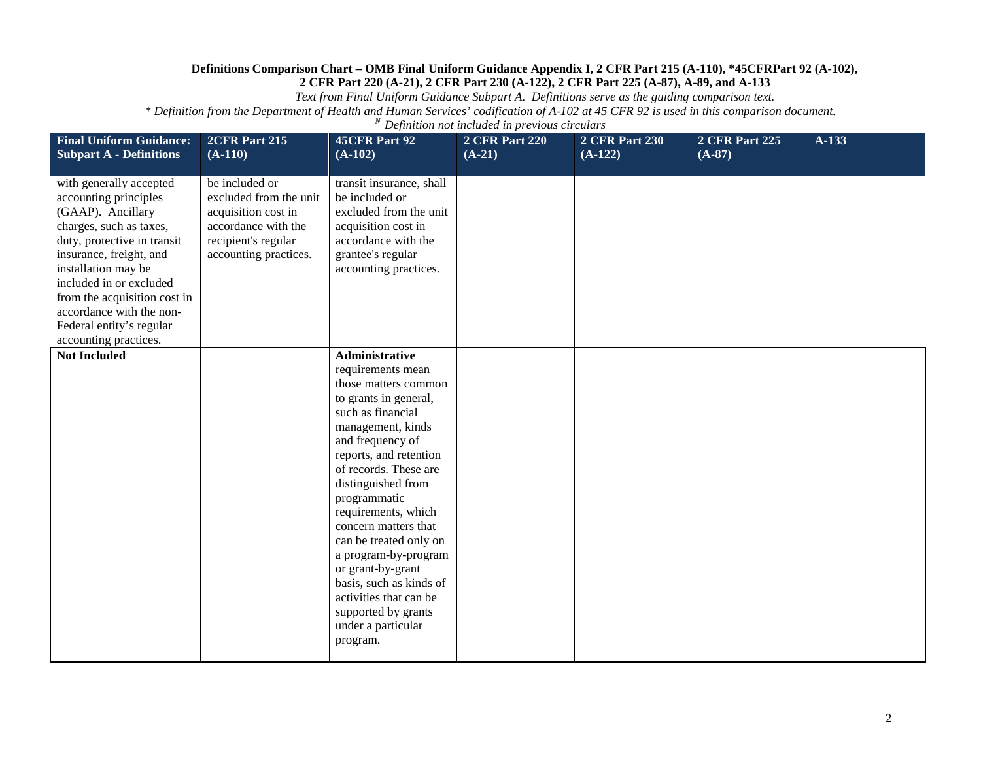*Text from Final Uniform Guidance Subpart A. Definitions serve as the guiding comparison text.*

| <b>Final Uniform Guidance:</b><br><b>Subpart A - Definitions</b>                                                                                                                                                                                                                                                              | 2CFR Part 215<br>$(A-110)$                                                                                                             | <b>45CFR Part 92</b><br>$(A-102)$                                                                                                                                                                                                                                                                                                                                                                                                                                                      | <b>2 CFR Part 220</b><br>$(A-21)$ | <b>2 CFR Part 230</b><br>$(A-122)$ | <b>2 CFR Part 225</b><br>$(A-87)$ | A-133 |
|-------------------------------------------------------------------------------------------------------------------------------------------------------------------------------------------------------------------------------------------------------------------------------------------------------------------------------|----------------------------------------------------------------------------------------------------------------------------------------|----------------------------------------------------------------------------------------------------------------------------------------------------------------------------------------------------------------------------------------------------------------------------------------------------------------------------------------------------------------------------------------------------------------------------------------------------------------------------------------|-----------------------------------|------------------------------------|-----------------------------------|-------|
| with generally accepted<br>accounting principles<br>(GAAP). Ancillary<br>charges, such as taxes,<br>duty, protective in transit<br>insurance, freight, and<br>installation may be<br>included in or excluded<br>from the acquisition cost in<br>accordance with the non-<br>Federal entity's regular<br>accounting practices. | be included or<br>excluded from the unit<br>acquisition cost in<br>accordance with the<br>recipient's regular<br>accounting practices. | transit insurance, shall<br>be included or<br>excluded from the unit<br>acquisition cost in<br>accordance with the<br>grantee's regular<br>accounting practices.                                                                                                                                                                                                                                                                                                                       |                                   |                                    |                                   |       |
| <b>Not Included</b>                                                                                                                                                                                                                                                                                                           |                                                                                                                                        | <b>Administrative</b><br>requirements mean<br>those matters common<br>to grants in general,<br>such as financial<br>management, kinds<br>and frequency of<br>reports, and retention<br>of records. These are<br>distinguished from<br>programmatic<br>requirements, which<br>concern matters that<br>can be treated only on<br>a program-by-program<br>or grant-by-grant<br>basis, such as kinds of<br>activities that can be<br>supported by grants<br>under a particular<br>program. |                                   |                                    |                                   |       |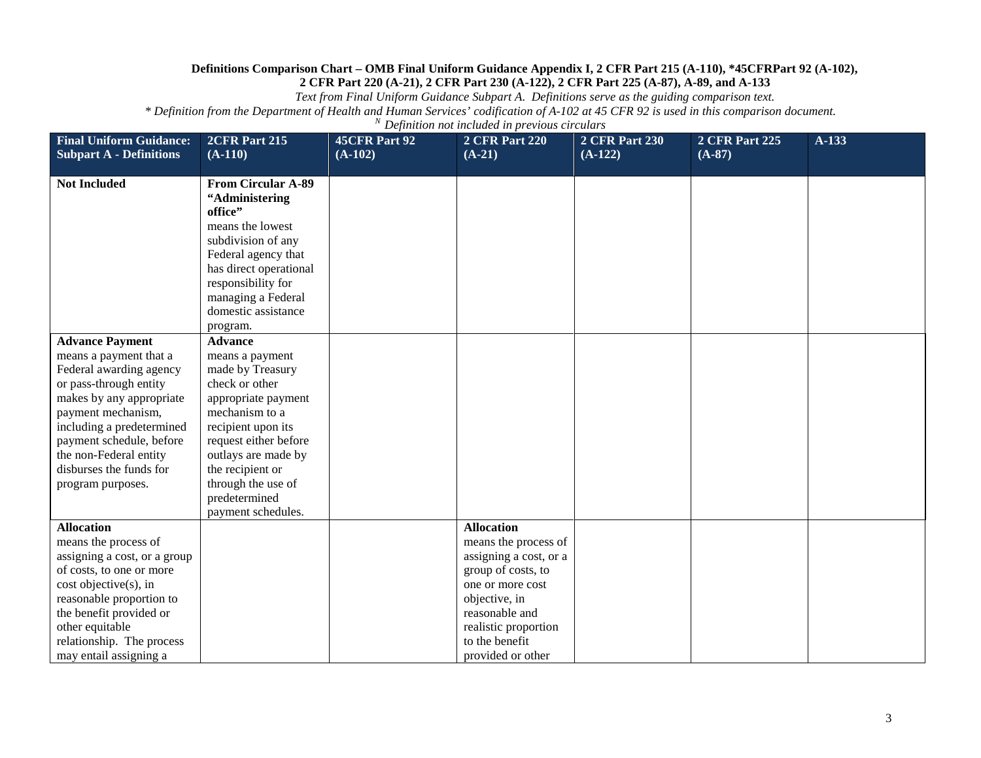*Text from Final Uniform Guidance Subpart A. Definitions serve as the guiding comparison text.*

| <b>Final Uniform Guidance:</b>                                                                                                                                                                                                                                                             | <b>2CFR Part 215</b>                                                                                                                                                                                                                                                    | <b>45CFR Part 92</b> | <b>2 CFR Part 220</b>                                                                                                                                                                                           | <b>2 CFR Part 230</b> | <b>2 CFR Part 225</b> | A-133 |
|--------------------------------------------------------------------------------------------------------------------------------------------------------------------------------------------------------------------------------------------------------------------------------------------|-------------------------------------------------------------------------------------------------------------------------------------------------------------------------------------------------------------------------------------------------------------------------|----------------------|-----------------------------------------------------------------------------------------------------------------------------------------------------------------------------------------------------------------|-----------------------|-----------------------|-------|
| <b>Subpart A - Definitions</b>                                                                                                                                                                                                                                                             | $(A-110)$                                                                                                                                                                                                                                                               | $(A-102)$            | $(A-21)$                                                                                                                                                                                                        | $(A-122)$             | $(A-87)$              |       |
| <b>Not Included</b>                                                                                                                                                                                                                                                                        | <b>From Circular A-89</b><br>"Administering<br>office"<br>means the lowest<br>subdivision of any<br>Federal agency that<br>has direct operational<br>responsibility for<br>managing a Federal<br>domestic assistance<br>program.                                        |                      |                                                                                                                                                                                                                 |                       |                       |       |
| <b>Advance Payment</b><br>means a payment that a<br>Federal awarding agency<br>or pass-through entity<br>makes by any appropriate<br>payment mechanism,<br>including a predetermined<br>payment schedule, before<br>the non-Federal entity<br>disburses the funds for<br>program purposes. | <b>Advance</b><br>means a payment<br>made by Treasury<br>check or other<br>appropriate payment<br>mechanism to a<br>recipient upon its<br>request either before<br>outlays are made by<br>the recipient or<br>through the use of<br>predetermined<br>payment schedules. |                      |                                                                                                                                                                                                                 |                       |                       |       |
| <b>Allocation</b><br>means the process of<br>assigning a cost, or a group<br>of costs, to one or more<br>cost objective(s), in<br>reasonable proportion to<br>the benefit provided or<br>other equitable<br>relationship. The process<br>may entail assigning a                            |                                                                                                                                                                                                                                                                         |                      | <b>Allocation</b><br>means the process of<br>assigning a cost, or a<br>group of costs, to<br>one or more cost<br>objective, in<br>reasonable and<br>realistic proportion<br>to the benefit<br>provided or other |                       |                       |       |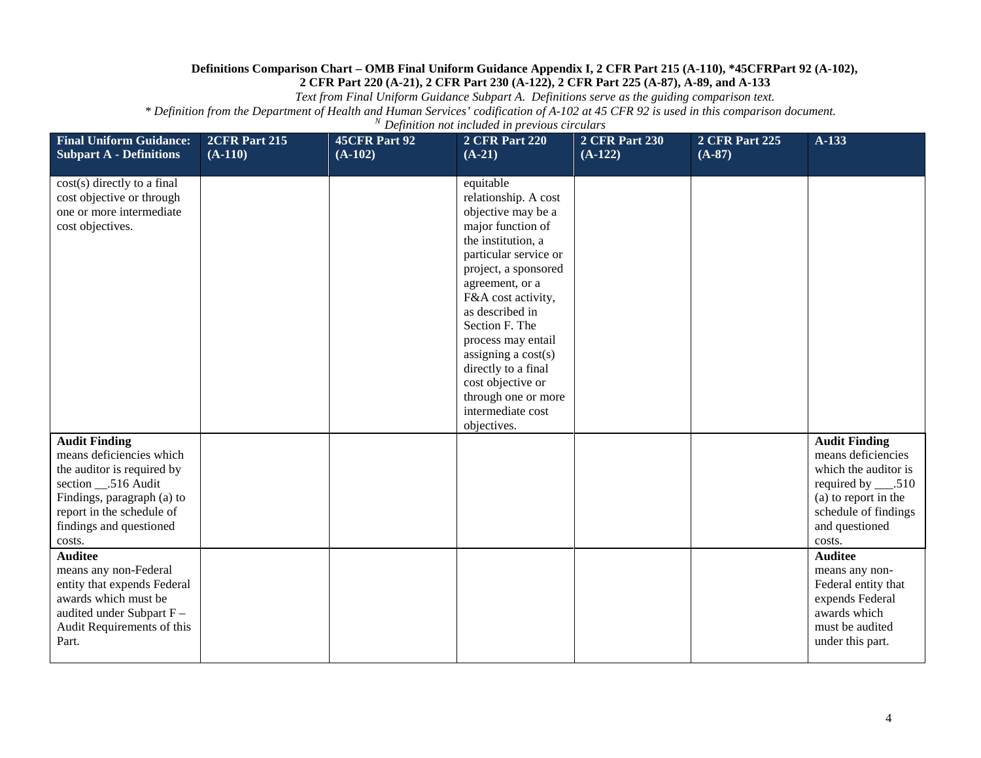*Text from Final Uniform Guidance Subpart A. Definitions serve as the guiding comparison text.*

| <b>Final Uniform Guidance:</b><br><b>Subpart A - Definitions</b>                                                                                                                                       | 2CFR Part 215<br>$(A-110)$ | 45CFR Part 92<br>$(A-102)$ | <b>2 CFR Part 220</b><br>$(A-21)$                                                                                                                                                                                                                                                                                                                                                       | <b>2 CFR Part 230</b><br>$(A-122)$ | <b>2 CFR Part 225</b><br>$(A-87)$ | $A-133$                                                                                                                                                                |
|--------------------------------------------------------------------------------------------------------------------------------------------------------------------------------------------------------|----------------------------|----------------------------|-----------------------------------------------------------------------------------------------------------------------------------------------------------------------------------------------------------------------------------------------------------------------------------------------------------------------------------------------------------------------------------------|------------------------------------|-----------------------------------|------------------------------------------------------------------------------------------------------------------------------------------------------------------------|
| cost(s) directly to a final<br>cost objective or through<br>one or more intermediate<br>cost objectives.                                                                                               |                            |                            | equitable<br>relationship. A cost<br>objective may be a<br>major function of<br>the institution, a<br>particular service or<br>project, a sponsored<br>agreement, or a<br>F&A cost activity,<br>as described in<br>Section F. The<br>process may entail<br>assigning a $cost(s)$<br>directly to a final<br>cost objective or<br>through one or more<br>intermediate cost<br>objectives. |                                    |                                   |                                                                                                                                                                        |
| <b>Audit Finding</b><br>means deficiencies which<br>the auditor is required by<br>section __.516 Audit<br>Findings, paragraph (a) to<br>report in the schedule of<br>findings and questioned<br>costs. |                            |                            |                                                                                                                                                                                                                                                                                                                                                                                         |                                    |                                   | <b>Audit Finding</b><br>means deficiencies<br>which the auditor is<br>required by ____.510<br>(a) to report in the<br>schedule of findings<br>and questioned<br>costs. |
| <b>Auditee</b><br>means any non-Federal<br>entity that expends Federal<br>awards which must be<br>audited under Subpart F-<br>Audit Requirements of this<br>Part.                                      |                            |                            |                                                                                                                                                                                                                                                                                                                                                                                         |                                    |                                   | <b>Auditee</b><br>means any non-<br>Federal entity that<br>expends Federal<br>awards which<br>must be audited<br>under this part.                                      |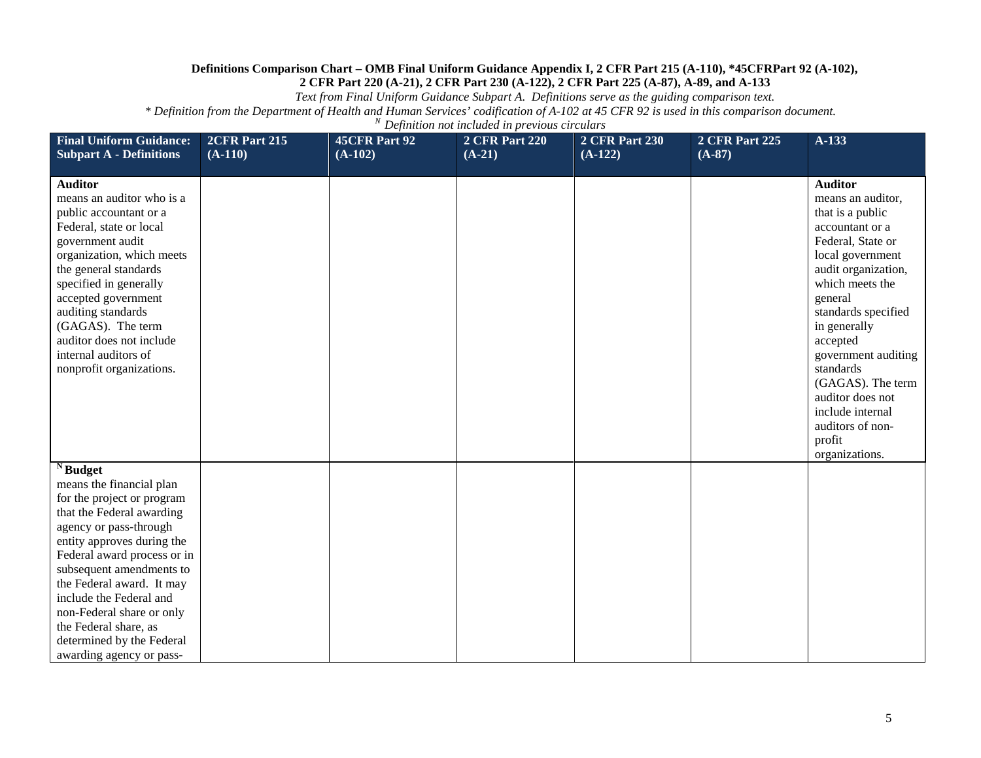*Text from Final Uniform Guidance Subpart A. Definitions serve as the guiding comparison text.*

| <b>Final Uniform Guidance:</b><br><b>Subpart A - Definitions</b>                                                                                                                                                                                                                                                                                                                                                | 2CFR Part 215<br>$(A-110)$ | <b>45CFR Part 92</b><br>$(A-102)$ | <b>2 CFR Part 220</b><br>$(A-21)$ | <b>2 CFR Part 230</b><br>$(A-122)$ | <b>2 CFR Part 225</b><br>$(A-87)$ | A-133                                                                                                                                                                                                                                                                                                                                                                        |
|-----------------------------------------------------------------------------------------------------------------------------------------------------------------------------------------------------------------------------------------------------------------------------------------------------------------------------------------------------------------------------------------------------------------|----------------------------|-----------------------------------|-----------------------------------|------------------------------------|-----------------------------------|------------------------------------------------------------------------------------------------------------------------------------------------------------------------------------------------------------------------------------------------------------------------------------------------------------------------------------------------------------------------------|
| <b>Auditor</b><br>means an auditor who is a<br>public accountant or a<br>Federal, state or local<br>government audit<br>organization, which meets<br>the general standards<br>specified in generally<br>accepted government<br>auditing standards<br>(GAGAS). The term<br>auditor does not include<br>internal auditors of<br>nonprofit organizations.                                                          |                            |                                   |                                   |                                    |                                   | <b>Auditor</b><br>means an auditor,<br>that is a public<br>accountant or a<br>Federal, State or<br>local government<br>audit organization,<br>which meets the<br>general<br>standards specified<br>in generally<br>accepted<br>government auditing<br>standards<br>(GAGAS). The term<br>auditor does not<br>include internal<br>auditors of non-<br>profit<br>organizations. |
| $\overline{\mathbf{N}}$ Budget<br>means the financial plan<br>for the project or program<br>that the Federal awarding<br>agency or pass-through<br>entity approves during the<br>Federal award process or in<br>subsequent amendments to<br>the Federal award. It may<br>include the Federal and<br>non-Federal share or only<br>the Federal share, as<br>determined by the Federal<br>awarding agency or pass- |                            |                                   |                                   |                                    |                                   |                                                                                                                                                                                                                                                                                                                                                                              |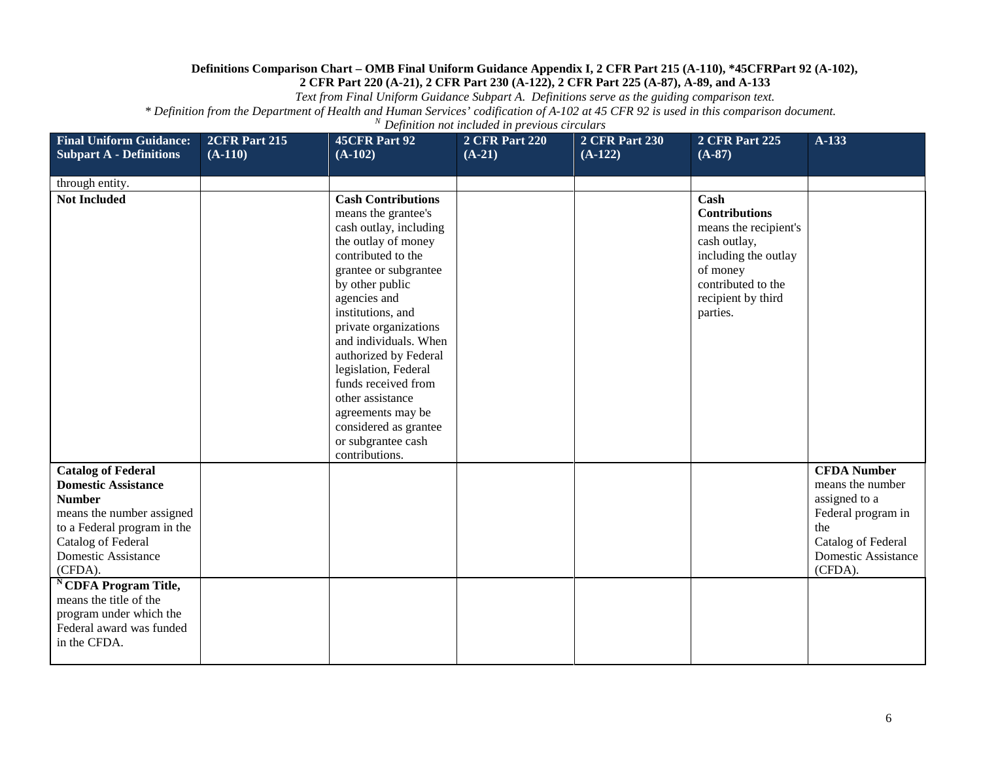*Text from Final Uniform Guidance Subpart A. Definitions serve as the guiding comparison text.*

| <b>Final Uniform Guidance:</b>                                                                                                                                                                                                                                                                                                           | 2CFR Part 215 | 45CFR Part 92                                                                                                                                                                                                                                                                                                                                                                                                                                | <b>2 CFR Part 220</b> | <b>2 CFR Part 230</b> | <b>2 CFR Part 225</b>                                                                                                                                             | $A-133$                                                                                                                                             |
|------------------------------------------------------------------------------------------------------------------------------------------------------------------------------------------------------------------------------------------------------------------------------------------------------------------------------------------|---------------|----------------------------------------------------------------------------------------------------------------------------------------------------------------------------------------------------------------------------------------------------------------------------------------------------------------------------------------------------------------------------------------------------------------------------------------------|-----------------------|-----------------------|-------------------------------------------------------------------------------------------------------------------------------------------------------------------|-----------------------------------------------------------------------------------------------------------------------------------------------------|
| <b>Subpart A - Definitions</b>                                                                                                                                                                                                                                                                                                           | $(A-110)$     | $(A-102)$                                                                                                                                                                                                                                                                                                                                                                                                                                    | $(A-21)$              | $(A-122)$             | $(A-87)$                                                                                                                                                          |                                                                                                                                                     |
| through entity.                                                                                                                                                                                                                                                                                                                          |               |                                                                                                                                                                                                                                                                                                                                                                                                                                              |                       |                       |                                                                                                                                                                   |                                                                                                                                                     |
| <b>Not Included</b>                                                                                                                                                                                                                                                                                                                      |               | <b>Cash Contributions</b><br>means the grantee's<br>cash outlay, including<br>the outlay of money<br>contributed to the<br>grantee or subgrantee<br>by other public<br>agencies and<br>institutions, and<br>private organizations<br>and individuals. When<br>authorized by Federal<br>legislation, Federal<br>funds received from<br>other assistance<br>agreements may be<br>considered as grantee<br>or subgrantee cash<br>contributions. |                       |                       | Cash<br><b>Contributions</b><br>means the recipient's<br>cash outlay,<br>including the outlay<br>of money<br>contributed to the<br>recipient by third<br>parties. |                                                                                                                                                     |
| <b>Catalog of Federal</b><br><b>Domestic Assistance</b><br><b>Number</b><br>means the number assigned<br>to a Federal program in the<br>Catalog of Federal<br><b>Domestic Assistance</b><br>(CFDA).<br><sup>N</sup> CDFA Program Title,<br>means the title of the<br>program under which the<br>Federal award was funded<br>in the CFDA. |               |                                                                                                                                                                                                                                                                                                                                                                                                                                              |                       |                       |                                                                                                                                                                   | <b>CFDA Number</b><br>means the number<br>assigned to a<br>Federal program in<br>the<br>Catalog of Federal<br><b>Domestic Assistance</b><br>(CFDA). |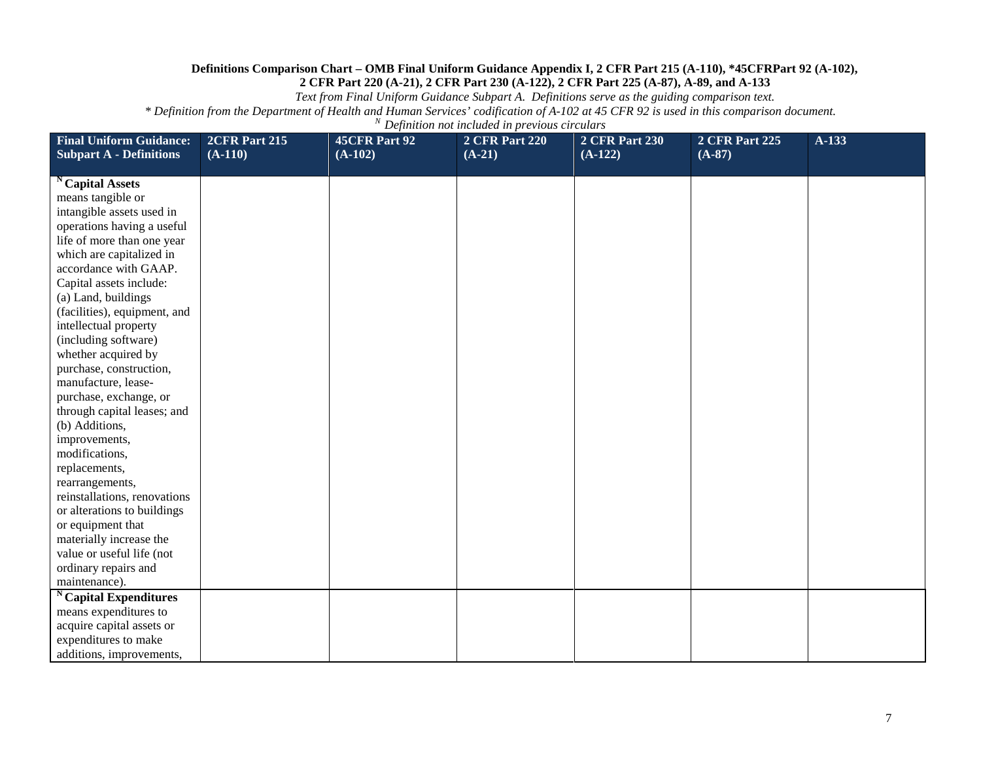*Text from Final Uniform Guidance Subpart A. Definitions serve as the guiding comparison text.*

| <b>Final Uniform Guidance:</b><br><b>Subpart A - Definitions</b> | 2CFR Part 215<br>$(A-110)$ | 45CFR Part 92<br>$(A-102)$ | <b>2 CFR Part 220</b><br>$(A-21)$ | <b>2 CFR Part 230</b><br>$(A-122)$ | <b>2 CFR Part 225</b><br>$(A-87)$ | $A-133$ |
|------------------------------------------------------------------|----------------------------|----------------------------|-----------------------------------|------------------------------------|-----------------------------------|---------|
|                                                                  |                            |                            |                                   |                                    |                                   |         |
| <sup>N</sup> Capital Assets                                      |                            |                            |                                   |                                    |                                   |         |
| means tangible or                                                |                            |                            |                                   |                                    |                                   |         |
| intangible assets used in                                        |                            |                            |                                   |                                    |                                   |         |
| operations having a useful                                       |                            |                            |                                   |                                    |                                   |         |
| life of more than one year                                       |                            |                            |                                   |                                    |                                   |         |
| which are capitalized in                                         |                            |                            |                                   |                                    |                                   |         |
| accordance with GAAP.                                            |                            |                            |                                   |                                    |                                   |         |
| Capital assets include:                                          |                            |                            |                                   |                                    |                                   |         |
| (a) Land, buildings                                              |                            |                            |                                   |                                    |                                   |         |
| (facilities), equipment, and                                     |                            |                            |                                   |                                    |                                   |         |
| intellectual property                                            |                            |                            |                                   |                                    |                                   |         |
| (including software)                                             |                            |                            |                                   |                                    |                                   |         |
| whether acquired by                                              |                            |                            |                                   |                                    |                                   |         |
| purchase, construction,                                          |                            |                            |                                   |                                    |                                   |         |
| manufacture, lease-                                              |                            |                            |                                   |                                    |                                   |         |
| purchase, exchange, or                                           |                            |                            |                                   |                                    |                                   |         |
| through capital leases; and                                      |                            |                            |                                   |                                    |                                   |         |
| (b) Additions,                                                   |                            |                            |                                   |                                    |                                   |         |
| improvements,                                                    |                            |                            |                                   |                                    |                                   |         |
| modifications,                                                   |                            |                            |                                   |                                    |                                   |         |
| replacements,                                                    |                            |                            |                                   |                                    |                                   |         |
| rearrangements,                                                  |                            |                            |                                   |                                    |                                   |         |
| reinstallations, renovations                                     |                            |                            |                                   |                                    |                                   |         |
| or alterations to buildings                                      |                            |                            |                                   |                                    |                                   |         |
| or equipment that                                                |                            |                            |                                   |                                    |                                   |         |
| materially increase the                                          |                            |                            |                                   |                                    |                                   |         |
| value or useful life (not                                        |                            |                            |                                   |                                    |                                   |         |
| ordinary repairs and                                             |                            |                            |                                   |                                    |                                   |         |
| maintenance).                                                    |                            |                            |                                   |                                    |                                   |         |
| Capital Expenditures                                             |                            |                            |                                   |                                    |                                   |         |
| means expenditures to                                            |                            |                            |                                   |                                    |                                   |         |
| acquire capital assets or                                        |                            |                            |                                   |                                    |                                   |         |
| expenditures to make                                             |                            |                            |                                   |                                    |                                   |         |
| additions, improvements,                                         |                            |                            |                                   |                                    |                                   |         |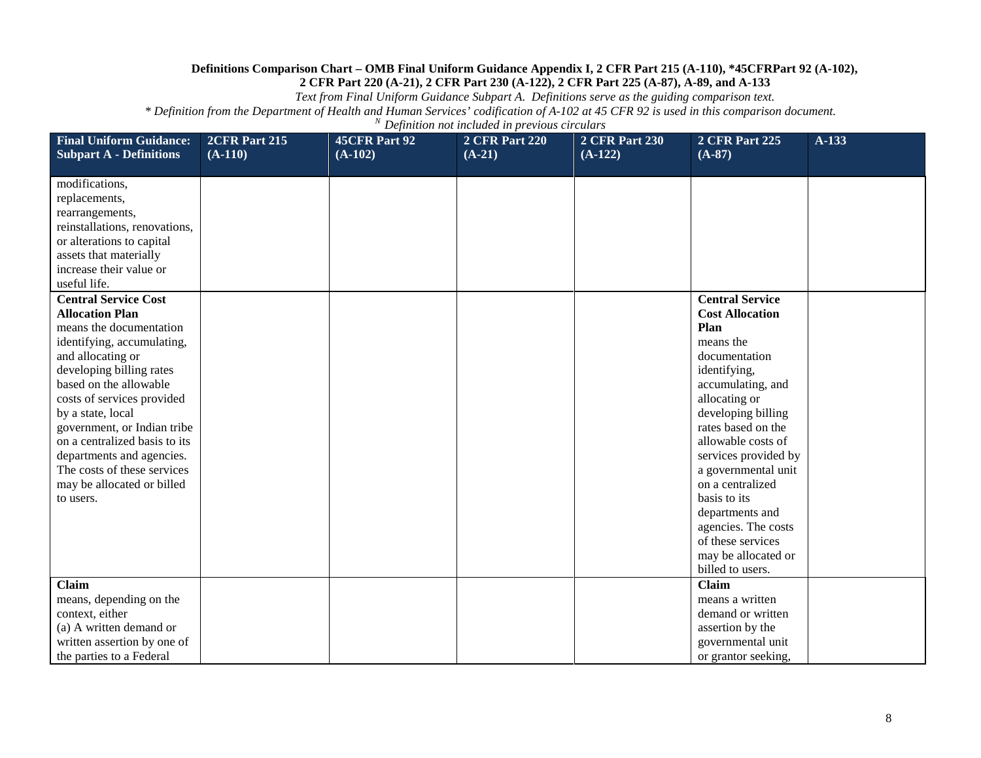*Text from Final Uniform Guidance Subpart A. Definitions serve as the guiding comparison text.*

| <b>Final Uniform Guidance:</b><br><b>Subpart A - Definitions</b>                                                                                                                                                                                                                                                                                                                                                    | 2CFR Part 215<br>$(A-110)$ | <b>45CFR Part 92</b><br>$(A-102)$ | <b>2 CFR Part 220</b><br>$(A-21)$ | <b>2 CFR Part 230</b><br>$(A-122)$ | <b>2 CFR Part 225</b><br>$(A-87)$                                                                                                                                                                                                                                                                                                                                                                           | $A-133$ |
|---------------------------------------------------------------------------------------------------------------------------------------------------------------------------------------------------------------------------------------------------------------------------------------------------------------------------------------------------------------------------------------------------------------------|----------------------------|-----------------------------------|-----------------------------------|------------------------------------|-------------------------------------------------------------------------------------------------------------------------------------------------------------------------------------------------------------------------------------------------------------------------------------------------------------------------------------------------------------------------------------------------------------|---------|
|                                                                                                                                                                                                                                                                                                                                                                                                                     |                            |                                   |                                   |                                    |                                                                                                                                                                                                                                                                                                                                                                                                             |         |
| modifications,<br>replacements,<br>rearrangements,<br>reinstallations, renovations,<br>or alterations to capital                                                                                                                                                                                                                                                                                                    |                            |                                   |                                   |                                    |                                                                                                                                                                                                                                                                                                                                                                                                             |         |
| assets that materially<br>increase their value or<br>useful life.                                                                                                                                                                                                                                                                                                                                                   |                            |                                   |                                   |                                    |                                                                                                                                                                                                                                                                                                                                                                                                             |         |
| <b>Central Service Cost</b><br><b>Allocation Plan</b><br>means the documentation<br>identifying, accumulating,<br>and allocating or<br>developing billing rates<br>based on the allowable<br>costs of services provided<br>by a state, local<br>government, or Indian tribe<br>on a centralized basis to its<br>departments and agencies.<br>The costs of these services<br>may be allocated or billed<br>to users. |                            |                                   |                                   |                                    | <b>Central Service</b><br><b>Cost Allocation</b><br>Plan<br>means the<br>documentation<br>identifying,<br>accumulating, and<br>allocating or<br>developing billing<br>rates based on the<br>allowable costs of<br>services provided by<br>a governmental unit<br>on a centralized<br>basis to its<br>departments and<br>agencies. The costs<br>of these services<br>may be allocated or<br>billed to users. |         |
| <b>Claim</b><br>means, depending on the<br>context, either<br>(a) A written demand or<br>written assertion by one of<br>the parties to a Federal                                                                                                                                                                                                                                                                    |                            |                                   |                                   |                                    | Claim<br>means a written<br>demand or written<br>assertion by the<br>governmental unit<br>or grantor seeking,                                                                                                                                                                                                                                                                                               |         |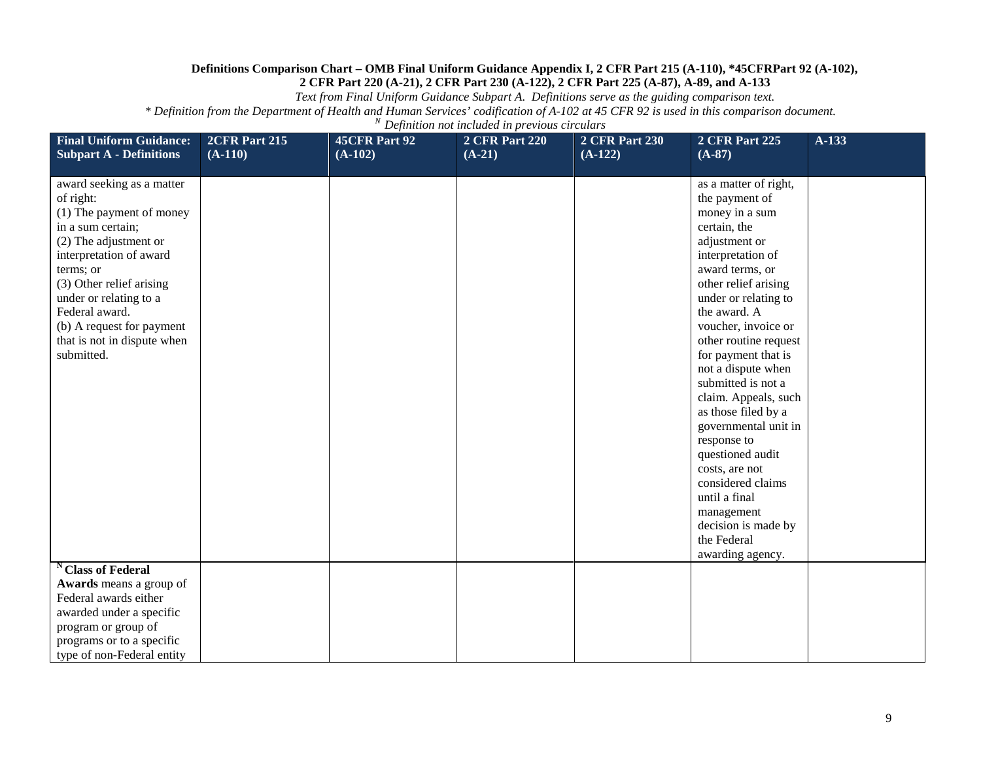*Text from Final Uniform Guidance Subpart A. Definitions serve as the guiding comparison text.*

| <b>Final Uniform Guidance:</b><br><b>Subpart A - Definitions</b>                                                                                                                                                                                                                                           | <b>2CFR Part 215</b><br>$(A-110)$ | <b>45CFR Part 92</b><br>$(A-102)$ | <b>2 CFR Part 220</b><br>$(A-21)$ | <b>2 CFR Part 230</b><br>$(A-122)$ | <b>2 CFR Part 225</b><br>$(A-87)$                                                                                                                                                                                                                                                                                                                                                                                                                                                                                                                               | $A-133$ |
|------------------------------------------------------------------------------------------------------------------------------------------------------------------------------------------------------------------------------------------------------------------------------------------------------------|-----------------------------------|-----------------------------------|-----------------------------------|------------------------------------|-----------------------------------------------------------------------------------------------------------------------------------------------------------------------------------------------------------------------------------------------------------------------------------------------------------------------------------------------------------------------------------------------------------------------------------------------------------------------------------------------------------------------------------------------------------------|---------|
| award seeking as a matter<br>of right:<br>(1) The payment of money<br>in a sum certain;<br>(2) The adjustment or<br>interpretation of award<br>terms; or<br>(3) Other relief arising<br>under or relating to a<br>Federal award.<br>(b) A request for payment<br>that is not in dispute when<br>submitted. |                                   |                                   |                                   |                                    | as a matter of right,<br>the payment of<br>money in a sum<br>certain, the<br>adjustment or<br>interpretation of<br>award terms, or<br>other relief arising<br>under or relating to<br>the award. A<br>voucher, invoice or<br>other routine request<br>for payment that is<br>not a dispute when<br>submitted is not a<br>claim. Appeals, such<br>as those filed by a<br>governmental unit in<br>response to<br>questioned audit<br>costs, are not<br>considered claims<br>until a final<br>management<br>decision is made by<br>the Federal<br>awarding agency. |         |
| <b>Class of Federal</b><br>Awards means a group of<br>Federal awards either<br>awarded under a specific<br>program or group of<br>programs or to a specific<br>type of non-Federal entity                                                                                                                  |                                   |                                   |                                   |                                    |                                                                                                                                                                                                                                                                                                                                                                                                                                                                                                                                                                 |         |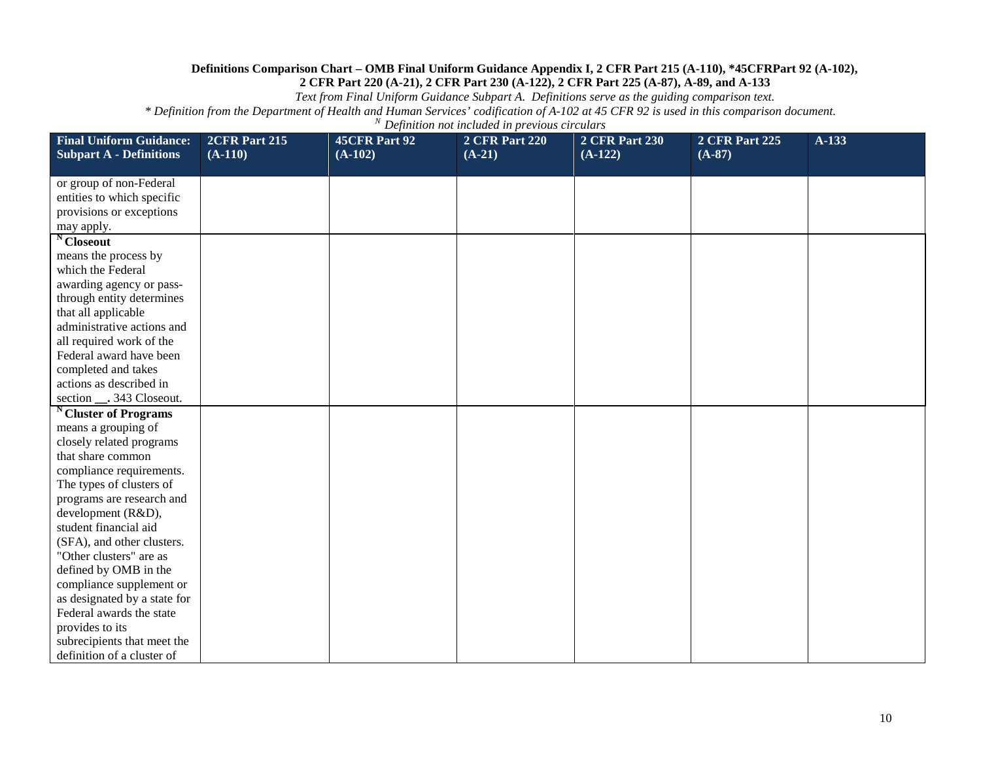*Text from Final Uniform Guidance Subpart A. Definitions serve as the guiding comparison text.*

| <b>Final Uniform Guidance:</b><br><b>Subpart A - Definitions</b> | 2CFR Part 215<br>$(A-110)$ | 45CFR Part 92<br>$(A-102)$ | <b>2 CFR Part 220</b><br>$(A-21)$ | <b>2 CFR Part 230</b><br>$(A-122)$ | <b>2 CFR Part 225</b><br>$(A-87)$ | A-133 |
|------------------------------------------------------------------|----------------------------|----------------------------|-----------------------------------|------------------------------------|-----------------------------------|-------|
|                                                                  |                            |                            |                                   |                                    |                                   |       |
| or group of non-Federal                                          |                            |                            |                                   |                                    |                                   |       |
| entities to which specific                                       |                            |                            |                                   |                                    |                                   |       |
| provisions or exceptions                                         |                            |                            |                                   |                                    |                                   |       |
| may apply.                                                       |                            |                            |                                   |                                    |                                   |       |
| <sup>N</sup> Closeout                                            |                            |                            |                                   |                                    |                                   |       |
| means the process by                                             |                            |                            |                                   |                                    |                                   |       |
| which the Federal                                                |                            |                            |                                   |                                    |                                   |       |
| awarding agency or pass-                                         |                            |                            |                                   |                                    |                                   |       |
| through entity determines                                        |                            |                            |                                   |                                    |                                   |       |
| that all applicable                                              |                            |                            |                                   |                                    |                                   |       |
| administrative actions and                                       |                            |                            |                                   |                                    |                                   |       |
| all required work of the                                         |                            |                            |                                   |                                    |                                   |       |
| Federal award have been                                          |                            |                            |                                   |                                    |                                   |       |
| completed and takes                                              |                            |                            |                                   |                                    |                                   |       |
| actions as described in                                          |                            |                            |                                   |                                    |                                   |       |
| section ___. 343 Closeout.                                       |                            |                            |                                   |                                    |                                   |       |
| <sup>N</sup> Cluster of Programs                                 |                            |                            |                                   |                                    |                                   |       |
| means a grouping of                                              |                            |                            |                                   |                                    |                                   |       |
| closely related programs                                         |                            |                            |                                   |                                    |                                   |       |
| that share common                                                |                            |                            |                                   |                                    |                                   |       |
| compliance requirements.                                         |                            |                            |                                   |                                    |                                   |       |
| The types of clusters of                                         |                            |                            |                                   |                                    |                                   |       |
| programs are research and                                        |                            |                            |                                   |                                    |                                   |       |
| development (R&D),                                               |                            |                            |                                   |                                    |                                   |       |
| student financial aid                                            |                            |                            |                                   |                                    |                                   |       |
| (SFA), and other clusters.                                       |                            |                            |                                   |                                    |                                   |       |
| "Other clusters" are as                                          |                            |                            |                                   |                                    |                                   |       |
| defined by OMB in the                                            |                            |                            |                                   |                                    |                                   |       |
| compliance supplement or                                         |                            |                            |                                   |                                    |                                   |       |
| as designated by a state for                                     |                            |                            |                                   |                                    |                                   |       |
| Federal awards the state                                         |                            |                            |                                   |                                    |                                   |       |
| provides to its                                                  |                            |                            |                                   |                                    |                                   |       |
| subrecipients that meet the                                      |                            |                            |                                   |                                    |                                   |       |
| definition of a cluster of                                       |                            |                            |                                   |                                    |                                   |       |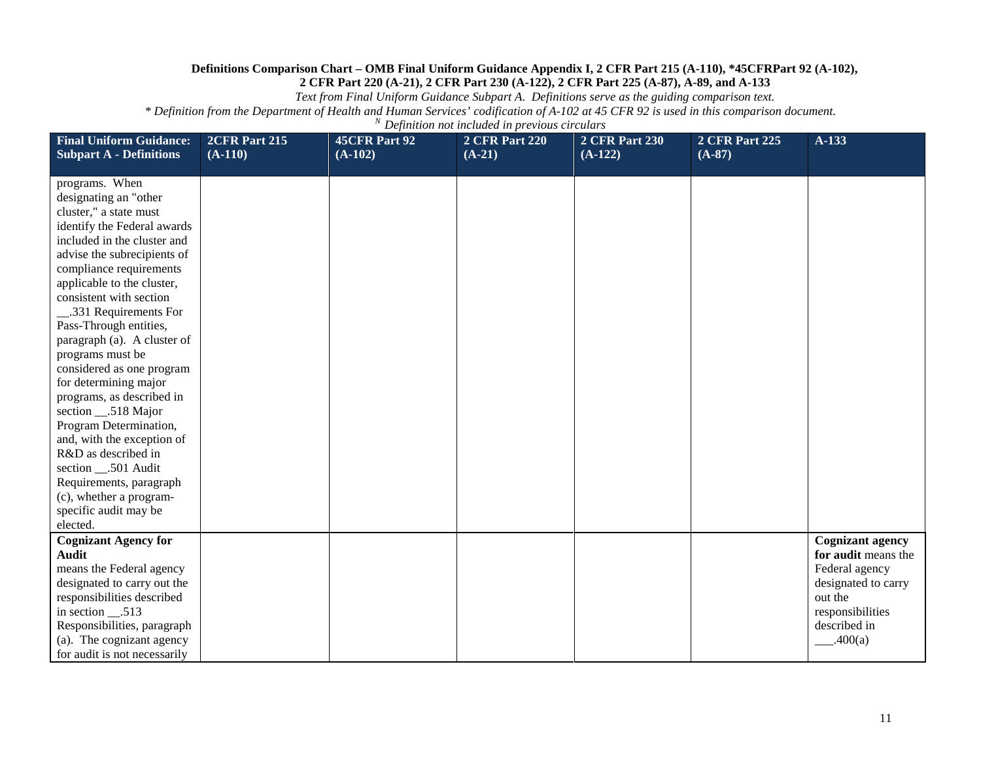*Text from Final Uniform Guidance Subpart A. Definitions serve as the guiding comparison text.*

| <b>Final Uniform Guidance:</b>                                                                                                                                                                                                                                                                                                                                                                                                                                                                                                                                              | 2CFR Part 215 | 45CFR Part 92 | <b>2 CFR Part 220</b> | <b>2 CFR Part 230</b> | <b>2 CFR Part 225</b> | A-133                                                                                                                                             |
|-----------------------------------------------------------------------------------------------------------------------------------------------------------------------------------------------------------------------------------------------------------------------------------------------------------------------------------------------------------------------------------------------------------------------------------------------------------------------------------------------------------------------------------------------------------------------------|---------------|---------------|-----------------------|-----------------------|-----------------------|---------------------------------------------------------------------------------------------------------------------------------------------------|
| <b>Subpart A - Definitions</b>                                                                                                                                                                                                                                                                                                                                                                                                                                                                                                                                              | $(A-110)$     | $(A-102)$     | $(A-21)$              | $(A-122)$             | $(A-87)$              |                                                                                                                                                   |
| programs. When<br>designating an "other<br>cluster," a state must<br>identify the Federal awards<br>included in the cluster and<br>advise the subrecipients of<br>compliance requirements<br>applicable to the cluster,<br>consistent with section<br>331 Requirements For<br>Pass-Through entities,<br>paragraph (a). A cluster of<br>programs must be<br>considered as one program<br>for determining major<br>programs, as described in<br>section _____518 Major<br>Program Determination,<br>and, with the exception of<br>R&D as described in<br>section __.501 Audit |               |               |                       |                       |                       |                                                                                                                                                   |
| Requirements, paragraph<br>(c), whether a program-<br>specific audit may be<br>elected.                                                                                                                                                                                                                                                                                                                                                                                                                                                                                     |               |               |                       |                       |                       |                                                                                                                                                   |
| <b>Cognizant Agency for</b><br><b>Audit</b><br>means the Federal agency<br>designated to carry out the<br>responsibilities described<br>in section __.513<br>Responsibilities, paragraph<br>(a). The cognizant agency<br>for audit is not necessarily                                                                                                                                                                                                                                                                                                                       |               |               |                       |                       |                       | <b>Cognizant agency</b><br>for audit means the<br>Federal agency<br>designated to carry<br>out the<br>responsibilities<br>described in<br>.400(a) |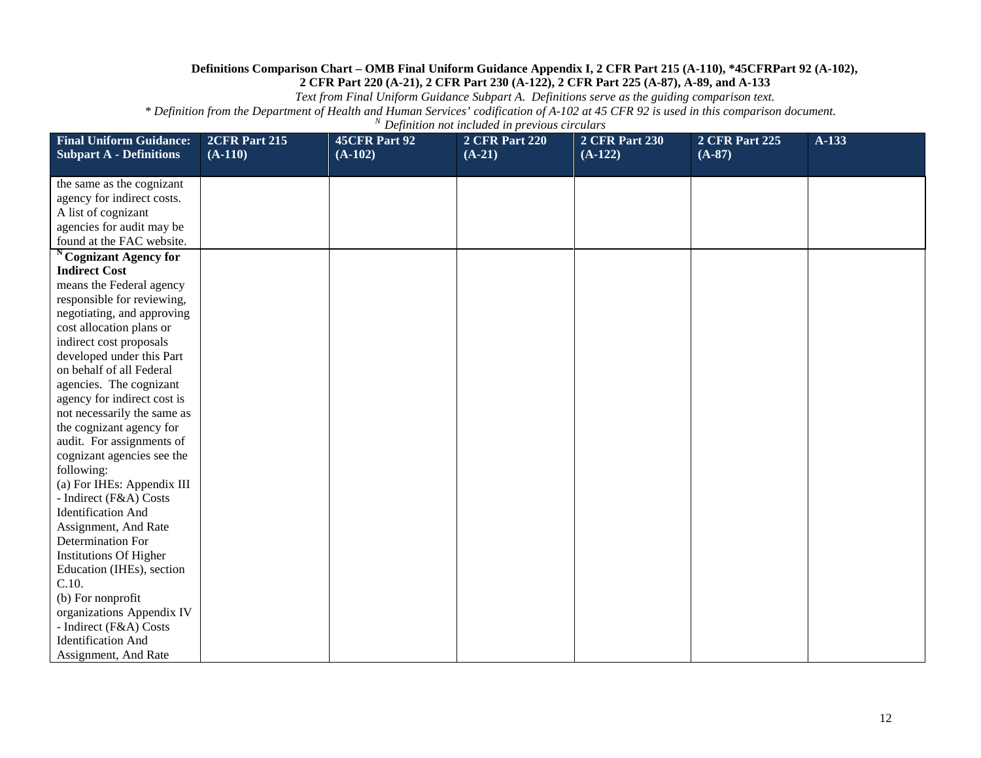*Text from Final Uniform Guidance Subpart A. Definitions serve as the guiding comparison text.*

| <b>Final Uniform Guidance:</b>    | 2CFR Part 215 | 45CFR Part 92 | <b>2 CFR Part 220</b> | <b>2 CFR Part 230</b> | <b>2 CFR Part 225</b> | A-133 |
|-----------------------------------|---------------|---------------|-----------------------|-----------------------|-----------------------|-------|
| <b>Subpart A - Definitions</b>    | $(A-110)$     | $(A-102)$     | $(A-21)$              | $(A-122)$             | $(A-87)$              |       |
|                                   |               |               |                       |                       |                       |       |
| the same as the cognizant         |               |               |                       |                       |                       |       |
| agency for indirect costs.        |               |               |                       |                       |                       |       |
| A list of cognizant               |               |               |                       |                       |                       |       |
| agencies for audit may be         |               |               |                       |                       |                       |       |
| found at the FAC website.         |               |               |                       |                       |                       |       |
| <sup>N</sup> Cognizant Agency for |               |               |                       |                       |                       |       |
| <b>Indirect Cost</b>              |               |               |                       |                       |                       |       |
| means the Federal agency          |               |               |                       |                       |                       |       |
| responsible for reviewing,        |               |               |                       |                       |                       |       |
| negotiating, and approving        |               |               |                       |                       |                       |       |
| cost allocation plans or          |               |               |                       |                       |                       |       |
| indirect cost proposals           |               |               |                       |                       |                       |       |
| developed under this Part         |               |               |                       |                       |                       |       |
| on behalf of all Federal          |               |               |                       |                       |                       |       |
| agencies. The cognizant           |               |               |                       |                       |                       |       |
| agency for indirect cost is       |               |               |                       |                       |                       |       |
| not necessarily the same as       |               |               |                       |                       |                       |       |
| the cognizant agency for          |               |               |                       |                       |                       |       |
| audit. For assignments of         |               |               |                       |                       |                       |       |
| cognizant agencies see the        |               |               |                       |                       |                       |       |
| following:                        |               |               |                       |                       |                       |       |
| (a) For IHEs: Appendix III        |               |               |                       |                       |                       |       |
| - Indirect (F&A) Costs            |               |               |                       |                       |                       |       |
| <b>Identification And</b>         |               |               |                       |                       |                       |       |
| Assignment, And Rate              |               |               |                       |                       |                       |       |
| Determination For                 |               |               |                       |                       |                       |       |
| <b>Institutions Of Higher</b>     |               |               |                       |                       |                       |       |
| Education (IHEs), section         |               |               |                       |                       |                       |       |
| C.10.                             |               |               |                       |                       |                       |       |
| (b) For nonprofit                 |               |               |                       |                       |                       |       |
| organizations Appendix IV         |               |               |                       |                       |                       |       |
| - Indirect (F&A) Costs            |               |               |                       |                       |                       |       |
| <b>Identification And</b>         |               |               |                       |                       |                       |       |
| Assignment, And Rate              |               |               |                       |                       |                       |       |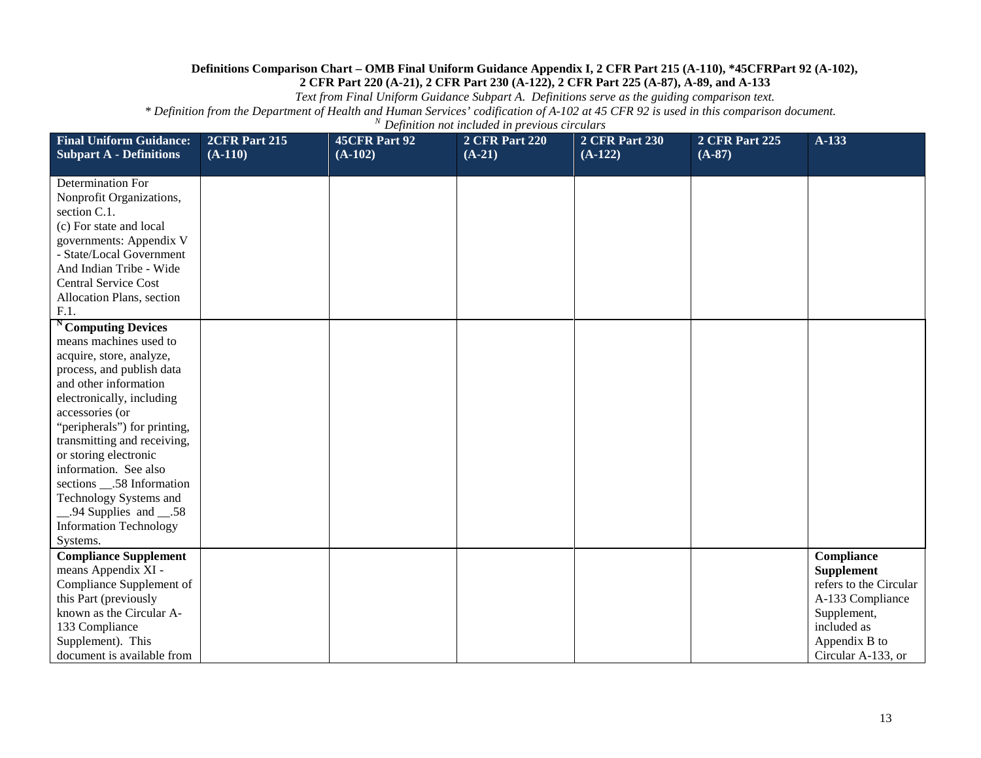*Text from Final Uniform Guidance Subpart A. Definitions serve as the guiding comparison text.*

| <b>Final Uniform Guidance:</b><br><b>Subpart A - Definitions</b> | 2CFR Part 215<br>$(A-110)$ | <b>45CFR Part 92</b><br>$(A-102)$ | <b>2 CFR Part 220</b><br>$(A-21)$ | <b>2 CFR Part 230</b><br>$(A-122)$ | <b>2 CFR Part 225</b><br>$(A-87)$ | A-133                  |
|------------------------------------------------------------------|----------------------------|-----------------------------------|-----------------------------------|------------------------------------|-----------------------------------|------------------------|
|                                                                  |                            |                                   |                                   |                                    |                                   |                        |
| Determination For                                                |                            |                                   |                                   |                                    |                                   |                        |
| Nonprofit Organizations,                                         |                            |                                   |                                   |                                    |                                   |                        |
| section C.1.                                                     |                            |                                   |                                   |                                    |                                   |                        |
| (c) For state and local                                          |                            |                                   |                                   |                                    |                                   |                        |
| governments: Appendix V                                          |                            |                                   |                                   |                                    |                                   |                        |
| - State/Local Government                                         |                            |                                   |                                   |                                    |                                   |                        |
| And Indian Tribe - Wide                                          |                            |                                   |                                   |                                    |                                   |                        |
| <b>Central Service Cost</b>                                      |                            |                                   |                                   |                                    |                                   |                        |
| Allocation Plans, section                                        |                            |                                   |                                   |                                    |                                   |                        |
| F.1.                                                             |                            |                                   |                                   |                                    |                                   |                        |
| <sup>N</sup> Computing Devices                                   |                            |                                   |                                   |                                    |                                   |                        |
| means machines used to                                           |                            |                                   |                                   |                                    |                                   |                        |
| acquire, store, analyze,                                         |                            |                                   |                                   |                                    |                                   |                        |
| process, and publish data<br>and other information               |                            |                                   |                                   |                                    |                                   |                        |
|                                                                  |                            |                                   |                                   |                                    |                                   |                        |
| electronically, including<br>accessories (or                     |                            |                                   |                                   |                                    |                                   |                        |
| "peripherals") for printing,                                     |                            |                                   |                                   |                                    |                                   |                        |
| transmitting and receiving,                                      |                            |                                   |                                   |                                    |                                   |                        |
| or storing electronic                                            |                            |                                   |                                   |                                    |                                   |                        |
| information. See also                                            |                            |                                   |                                   |                                    |                                   |                        |
| sections __.58 Information                                       |                            |                                   |                                   |                                    |                                   |                        |
| Technology Systems and                                           |                            |                                   |                                   |                                    |                                   |                        |
| $-.94$ Supplies and $-.58$                                       |                            |                                   |                                   |                                    |                                   |                        |
| <b>Information Technology</b>                                    |                            |                                   |                                   |                                    |                                   |                        |
| Systems.                                                         |                            |                                   |                                   |                                    |                                   |                        |
| <b>Compliance Supplement</b>                                     |                            |                                   |                                   |                                    |                                   | <b>Compliance</b>      |
| means Appendix XI -                                              |                            |                                   |                                   |                                    |                                   | <b>Supplement</b>      |
| Compliance Supplement of                                         |                            |                                   |                                   |                                    |                                   | refers to the Circular |
| this Part (previously                                            |                            |                                   |                                   |                                    |                                   | A-133 Compliance       |
| known as the Circular A-                                         |                            |                                   |                                   |                                    |                                   | Supplement,            |
| 133 Compliance                                                   |                            |                                   |                                   |                                    |                                   | included as            |
| Supplement). This                                                |                            |                                   |                                   |                                    |                                   | Appendix B to          |
| document is available from                                       |                            |                                   |                                   |                                    |                                   | Circular A-133, or     |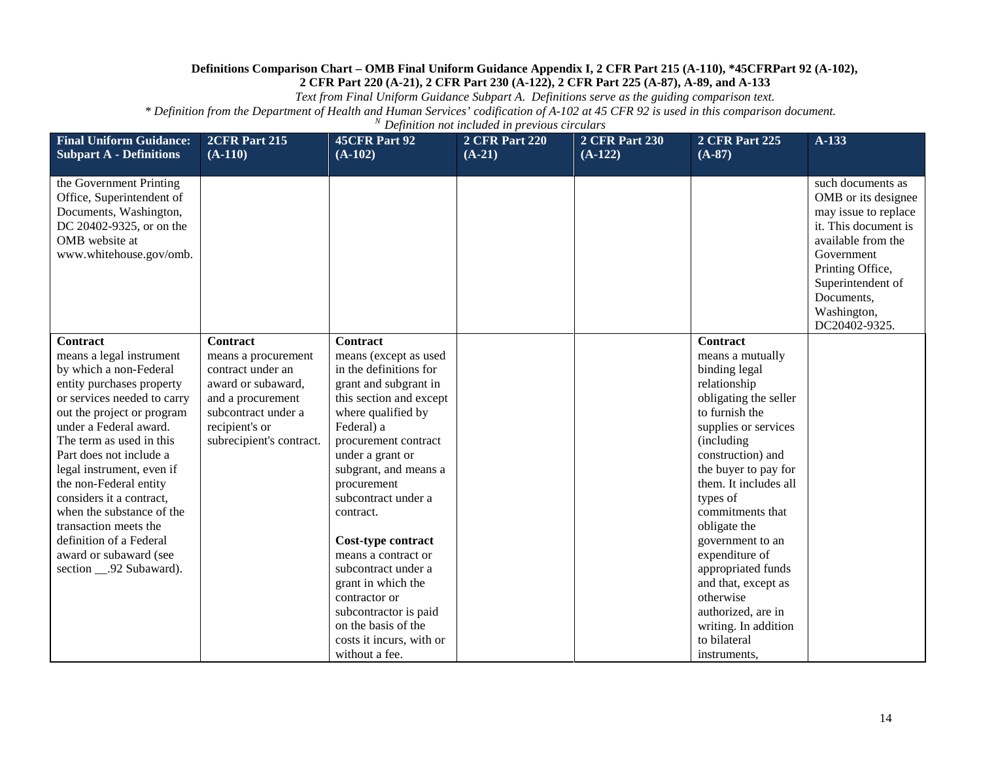*Text from Final Uniform Guidance Subpart A. Definitions serve as the guiding comparison text.*

| <b>Final Uniform Guidance:</b><br><b>Subpart A - Definitions</b>                                                                                                                                                                                                                                                                                                                                                                                                    | 2CFR Part 215<br>$(A-110)$                                                                                                                                                  | <b>45CFR Part 92</b><br>$(A-102)$                                                                                                                                                                                                                                                                                                                                                                                                                                                           | <b>2 CFR Part 220</b><br>$(A-21)$ | <b>2 CFR Part 230</b><br>$(A-122)$ | <b>2 CFR Part 225</b><br>$(A-87)$                                                                                                                                                                                                                                                                                                                                                                                                                         | $A-133$                                                                                                                                                                                                             |
|---------------------------------------------------------------------------------------------------------------------------------------------------------------------------------------------------------------------------------------------------------------------------------------------------------------------------------------------------------------------------------------------------------------------------------------------------------------------|-----------------------------------------------------------------------------------------------------------------------------------------------------------------------------|---------------------------------------------------------------------------------------------------------------------------------------------------------------------------------------------------------------------------------------------------------------------------------------------------------------------------------------------------------------------------------------------------------------------------------------------------------------------------------------------|-----------------------------------|------------------------------------|-----------------------------------------------------------------------------------------------------------------------------------------------------------------------------------------------------------------------------------------------------------------------------------------------------------------------------------------------------------------------------------------------------------------------------------------------------------|---------------------------------------------------------------------------------------------------------------------------------------------------------------------------------------------------------------------|
| the Government Printing<br>Office, Superintendent of<br>Documents, Washington,<br>DC 20402-9325, or on the<br>OMB website at<br>www.whitehouse.gov/omb.                                                                                                                                                                                                                                                                                                             |                                                                                                                                                                             |                                                                                                                                                                                                                                                                                                                                                                                                                                                                                             |                                   |                                    |                                                                                                                                                                                                                                                                                                                                                                                                                                                           | such documents as<br>OMB or its designee<br>may issue to replace<br>it. This document is<br>available from the<br>Government<br>Printing Office,<br>Superintendent of<br>Documents,<br>Washington,<br>DC20402-9325. |
| Contract<br>means a legal instrument<br>by which a non-Federal<br>entity purchases property<br>or services needed to carry<br>out the project or program<br>under a Federal award.<br>The term as used in this<br>Part does not include a<br>legal instrument, even if<br>the non-Federal entity<br>considers it a contract,<br>when the substance of the<br>transaction meets the<br>definition of a Federal<br>award or subaward (see<br>section __.92 Subaward). | <b>Contract</b><br>means a procurement<br>contract under an<br>award or subaward,<br>and a procurement<br>subcontract under a<br>recipient's or<br>subrecipient's contract. | <b>Contract</b><br>means (except as used<br>in the definitions for<br>grant and subgrant in<br>this section and except<br>where qualified by<br>Federal) a<br>procurement contract<br>under a grant or<br>subgrant, and means a<br>procurement<br>subcontract under a<br>contract.<br>Cost-type contract<br>means a contract or<br>subcontract under a<br>grant in which the<br>contractor or<br>subcontractor is paid<br>on the basis of the<br>costs it incurs, with or<br>without a fee. |                                   |                                    | <b>Contract</b><br>means a mutually<br>binding legal<br>relationship<br>obligating the seller<br>to furnish the<br>supplies or services<br>(including<br>construction) and<br>the buyer to pay for<br>them. It includes all<br>types of<br>commitments that<br>obligate the<br>government to an<br>expenditure of<br>appropriated funds<br>and that, except as<br>otherwise<br>authorized, are in<br>writing. In addition<br>to bilateral<br>instruments, |                                                                                                                                                                                                                     |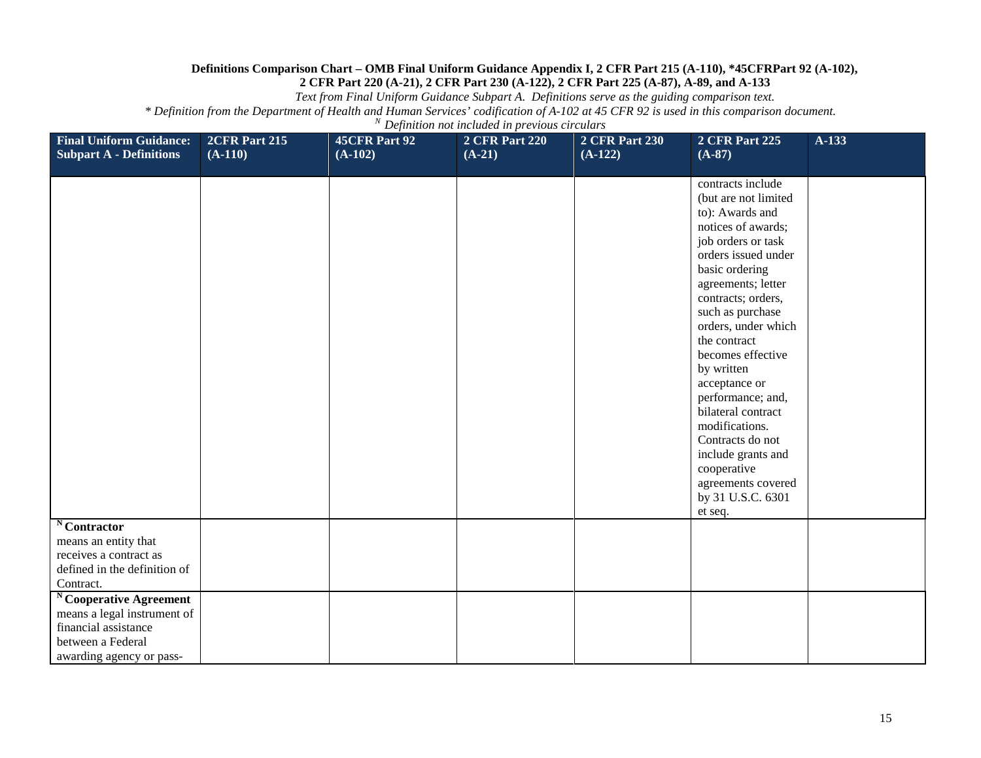*Text from Final Uniform Guidance Subpart A. Definitions serve as the guiding comparison text.*

| <b>Final Uniform Guidance:</b><br><b>Subpart A - Definitions</b>                                                              | 2CFR Part 215<br>$(A-110)$ | 45CFR Part 92<br>$(A-102)$ | <b>2 CFR Part 220</b><br>$(A-21)$ | <b>2 CFR Part 230</b><br>$(A-122)$ | 2 CFR Part 225<br>$(A-87)$                                                                                                                                                                                                                                                                                                                                                                                                                                                               | A-133 |
|-------------------------------------------------------------------------------------------------------------------------------|----------------------------|----------------------------|-----------------------------------|------------------------------------|------------------------------------------------------------------------------------------------------------------------------------------------------------------------------------------------------------------------------------------------------------------------------------------------------------------------------------------------------------------------------------------------------------------------------------------------------------------------------------------|-------|
|                                                                                                                               |                            |                            |                                   |                                    | contracts include<br>(but are not limited<br>to): Awards and<br>notices of awards;<br>job orders or task<br>orders issued under<br>basic ordering<br>agreements; letter<br>contracts; orders,<br>such as purchase<br>orders, under which<br>the contract<br>becomes effective<br>by written<br>acceptance or<br>performance; and,<br>bilateral contract<br>modifications.<br>Contracts do not<br>include grants and<br>cooperative<br>agreements covered<br>by 31 U.S.C. 6301<br>et seq. |       |
| Contractor<br>means an entity that<br>receives a contract as<br>defined in the definition of<br>Contract.                     |                            |                            |                                   |                                    |                                                                                                                                                                                                                                                                                                                                                                                                                                                                                          |       |
| Cooperative Agreement<br>means a legal instrument of<br>financial assistance<br>between a Federal<br>awarding agency or pass- |                            |                            |                                   |                                    |                                                                                                                                                                                                                                                                                                                                                                                                                                                                                          |       |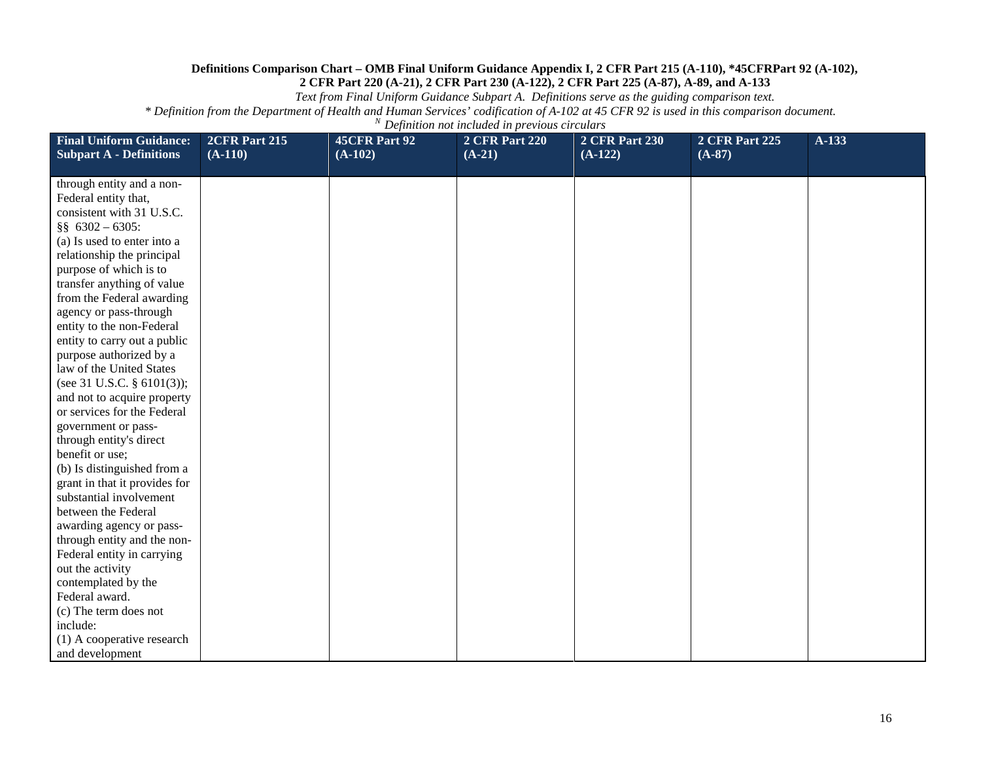*Text from Final Uniform Guidance Subpart A. Definitions serve as the guiding comparison text.*

| <b>Final Uniform Guidance:</b><br><b>Subpart A - Definitions</b> | 2CFR Part 215<br>$(A-110)$ | 45CFR Part 92<br>$(A-102)$ | <b>2 CFR Part 220</b><br>$(A-21)$ | <b>2 CFR Part 230</b><br>$(A-122)$ | <b>2 CFR Part 225</b><br>$(A-87)$ | A-133 |
|------------------------------------------------------------------|----------------------------|----------------------------|-----------------------------------|------------------------------------|-----------------------------------|-------|
|                                                                  |                            |                            |                                   |                                    |                                   |       |
| through entity and a non-                                        |                            |                            |                                   |                                    |                                   |       |
| Federal entity that,<br>consistent with 31 U.S.C.                |                            |                            |                                   |                                    |                                   |       |
| §§ $6302 - 6305$ :                                               |                            |                            |                                   |                                    |                                   |       |
| (a) Is used to enter into a                                      |                            |                            |                                   |                                    |                                   |       |
| relationship the principal                                       |                            |                            |                                   |                                    |                                   |       |
| purpose of which is to                                           |                            |                            |                                   |                                    |                                   |       |
| transfer anything of value                                       |                            |                            |                                   |                                    |                                   |       |
| from the Federal awarding                                        |                            |                            |                                   |                                    |                                   |       |
| agency or pass-through                                           |                            |                            |                                   |                                    |                                   |       |
| entity to the non-Federal                                        |                            |                            |                                   |                                    |                                   |       |
| entity to carry out a public                                     |                            |                            |                                   |                                    |                                   |       |
| purpose authorized by a                                          |                            |                            |                                   |                                    |                                   |       |
| law of the United States                                         |                            |                            |                                   |                                    |                                   |       |
| (see 31 U.S.C. § 6101(3));                                       |                            |                            |                                   |                                    |                                   |       |
| and not to acquire property                                      |                            |                            |                                   |                                    |                                   |       |
| or services for the Federal                                      |                            |                            |                                   |                                    |                                   |       |
| government or pass-                                              |                            |                            |                                   |                                    |                                   |       |
| through entity's direct                                          |                            |                            |                                   |                                    |                                   |       |
| benefit or use;                                                  |                            |                            |                                   |                                    |                                   |       |
| (b) Is distinguished from a                                      |                            |                            |                                   |                                    |                                   |       |
| grant in that it provides for                                    |                            |                            |                                   |                                    |                                   |       |
| substantial involvement                                          |                            |                            |                                   |                                    |                                   |       |
| between the Federal                                              |                            |                            |                                   |                                    |                                   |       |
| awarding agency or pass-                                         |                            |                            |                                   |                                    |                                   |       |
| through entity and the non-                                      |                            |                            |                                   |                                    |                                   |       |
| Federal entity in carrying                                       |                            |                            |                                   |                                    |                                   |       |
| out the activity                                                 |                            |                            |                                   |                                    |                                   |       |
| contemplated by the                                              |                            |                            |                                   |                                    |                                   |       |
| Federal award.                                                   |                            |                            |                                   |                                    |                                   |       |
| (c) The term does not                                            |                            |                            |                                   |                                    |                                   |       |
| include:                                                         |                            |                            |                                   |                                    |                                   |       |
| (1) A cooperative research                                       |                            |                            |                                   |                                    |                                   |       |
| and development                                                  |                            |                            |                                   |                                    |                                   |       |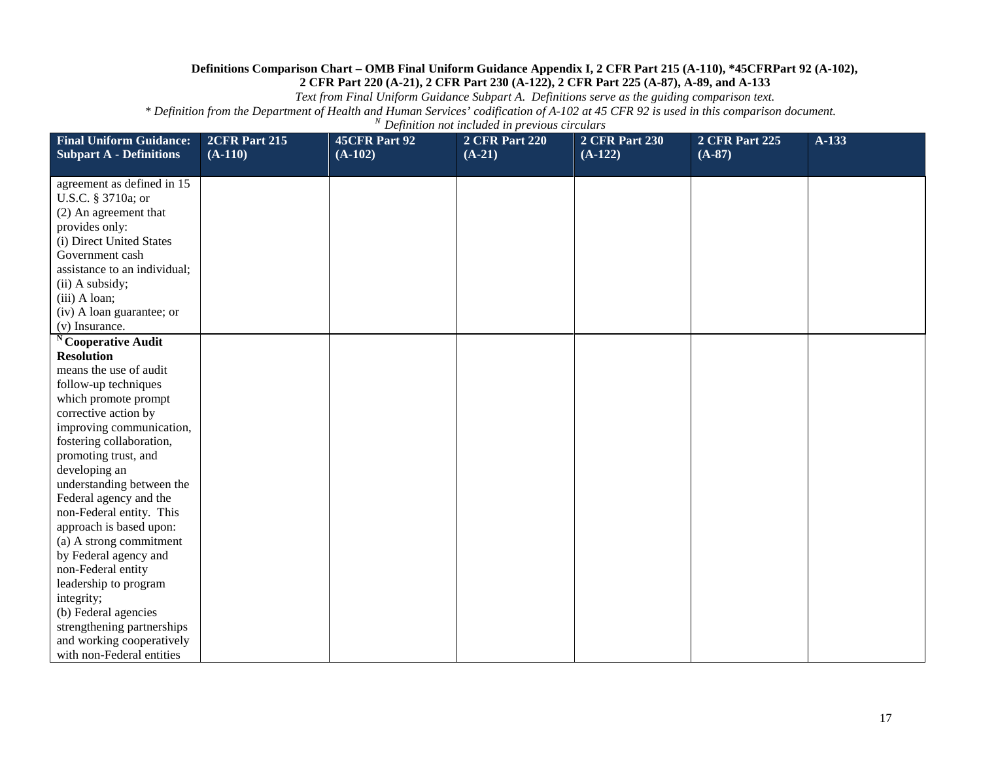*Text from Final Uniform Guidance Subpart A. Definitions serve as the guiding comparison text.*

| <b>Final Uniform Guidance:</b>                   | 2CFR Part 215 | 45CFR Part 92 | <b>2 CFR Part 220</b> | <b>2 CFR Part 230</b> | 2 CFR Part 225 | $A-133$ |
|--------------------------------------------------|---------------|---------------|-----------------------|-----------------------|----------------|---------|
| <b>Subpart A - Definitions</b>                   | $(A-110)$     | $(A-102)$     | $(A-21)$              | $(A-122)$             | $(A-87)$       |         |
|                                                  |               |               |                       |                       |                |         |
| agreement as defined in 15<br>U.S.C. § 3710a; or |               |               |                       |                       |                |         |
| (2) An agreement that                            |               |               |                       |                       |                |         |
| provides only:                                   |               |               |                       |                       |                |         |
| (i) Direct United States                         |               |               |                       |                       |                |         |
| Government cash                                  |               |               |                       |                       |                |         |
| assistance to an individual;                     |               |               |                       |                       |                |         |
| (ii) A subsidy;                                  |               |               |                       |                       |                |         |
| (iii) A loan;                                    |               |               |                       |                       |                |         |
| (iv) A loan guarantee; or                        |               |               |                       |                       |                |         |
| (v) Insurance.                                   |               |               |                       |                       |                |         |
| <sup>N</sup> Cooperative Audit                   |               |               |                       |                       |                |         |
| <b>Resolution</b>                                |               |               |                       |                       |                |         |
| means the use of audit                           |               |               |                       |                       |                |         |
| follow-up techniques                             |               |               |                       |                       |                |         |
| which promote prompt                             |               |               |                       |                       |                |         |
| corrective action by                             |               |               |                       |                       |                |         |
| improving communication,                         |               |               |                       |                       |                |         |
| fostering collaboration,                         |               |               |                       |                       |                |         |
| promoting trust, and                             |               |               |                       |                       |                |         |
| developing an                                    |               |               |                       |                       |                |         |
| understanding between the                        |               |               |                       |                       |                |         |
| Federal agency and the                           |               |               |                       |                       |                |         |
| non-Federal entity. This                         |               |               |                       |                       |                |         |
| approach is based upon:                          |               |               |                       |                       |                |         |
| (a) A strong commitment                          |               |               |                       |                       |                |         |
| by Federal agency and                            |               |               |                       |                       |                |         |
| non-Federal entity                               |               |               |                       |                       |                |         |
| leadership to program                            |               |               |                       |                       |                |         |
| integrity;                                       |               |               |                       |                       |                |         |
| (b) Federal agencies                             |               |               |                       |                       |                |         |
| strengthening partnerships                       |               |               |                       |                       |                |         |
| and working cooperatively                        |               |               |                       |                       |                |         |
| with non-Federal entities                        |               |               |                       |                       |                |         |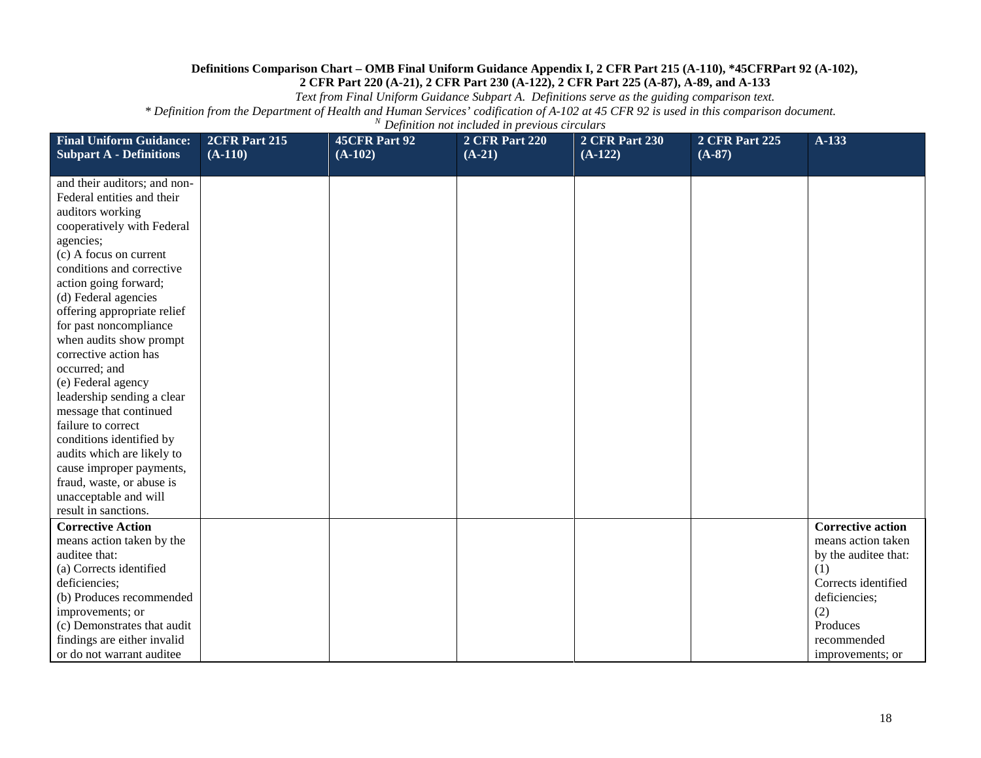*Text from Final Uniform Guidance Subpart A. Definitions serve as the guiding comparison text.*

| <b>Final Uniform Guidance:</b><br><b>Subpart A - Definitions</b> | 2CFR Part 215<br>$(A-110)$ | 45CFR Part 92<br>$(A-102)$ | <b>2 CFR Part 220</b><br>$(A-21)$ | <b>2 CFR Part 230</b><br>$(A-122)$ | <b>2 CFR Part 225</b><br>$(A-87)$ | $A-133$                  |
|------------------------------------------------------------------|----------------------------|----------------------------|-----------------------------------|------------------------------------|-----------------------------------|--------------------------|
| and their auditors; and non-                                     |                            |                            |                                   |                                    |                                   |                          |
| Federal entities and their                                       |                            |                            |                                   |                                    |                                   |                          |
| auditors working                                                 |                            |                            |                                   |                                    |                                   |                          |
| cooperatively with Federal                                       |                            |                            |                                   |                                    |                                   |                          |
| agencies;                                                        |                            |                            |                                   |                                    |                                   |                          |
| (c) A focus on current                                           |                            |                            |                                   |                                    |                                   |                          |
| conditions and corrective                                        |                            |                            |                                   |                                    |                                   |                          |
| action going forward;                                            |                            |                            |                                   |                                    |                                   |                          |
| (d) Federal agencies<br>offering appropriate relief              |                            |                            |                                   |                                    |                                   |                          |
| for past noncompliance                                           |                            |                            |                                   |                                    |                                   |                          |
| when audits show prompt                                          |                            |                            |                                   |                                    |                                   |                          |
| corrective action has                                            |                            |                            |                                   |                                    |                                   |                          |
| occurred; and                                                    |                            |                            |                                   |                                    |                                   |                          |
| (e) Federal agency                                               |                            |                            |                                   |                                    |                                   |                          |
| leadership sending a clear                                       |                            |                            |                                   |                                    |                                   |                          |
| message that continued                                           |                            |                            |                                   |                                    |                                   |                          |
| failure to correct                                               |                            |                            |                                   |                                    |                                   |                          |
| conditions identified by                                         |                            |                            |                                   |                                    |                                   |                          |
| audits which are likely to                                       |                            |                            |                                   |                                    |                                   |                          |
| cause improper payments,                                         |                            |                            |                                   |                                    |                                   |                          |
| fraud, waste, or abuse is                                        |                            |                            |                                   |                                    |                                   |                          |
| unacceptable and will                                            |                            |                            |                                   |                                    |                                   |                          |
| result in sanctions.<br><b>Corrective Action</b>                 |                            |                            |                                   |                                    |                                   | <b>Corrective action</b> |
| means action taken by the                                        |                            |                            |                                   |                                    |                                   | means action taken       |
| auditee that:                                                    |                            |                            |                                   |                                    |                                   | by the auditee that:     |
| (a) Corrects identified                                          |                            |                            |                                   |                                    |                                   | (1)                      |
| deficiencies;                                                    |                            |                            |                                   |                                    |                                   | Corrects identified      |
| (b) Produces recommended                                         |                            |                            |                                   |                                    |                                   | deficiencies;            |
| improvements; or                                                 |                            |                            |                                   |                                    |                                   | (2)                      |
| (c) Demonstrates that audit                                      |                            |                            |                                   |                                    |                                   | Produces                 |
| findings are either invalid                                      |                            |                            |                                   |                                    |                                   | recommended              |
| or do not warrant auditee                                        |                            |                            |                                   |                                    |                                   | improvements; or         |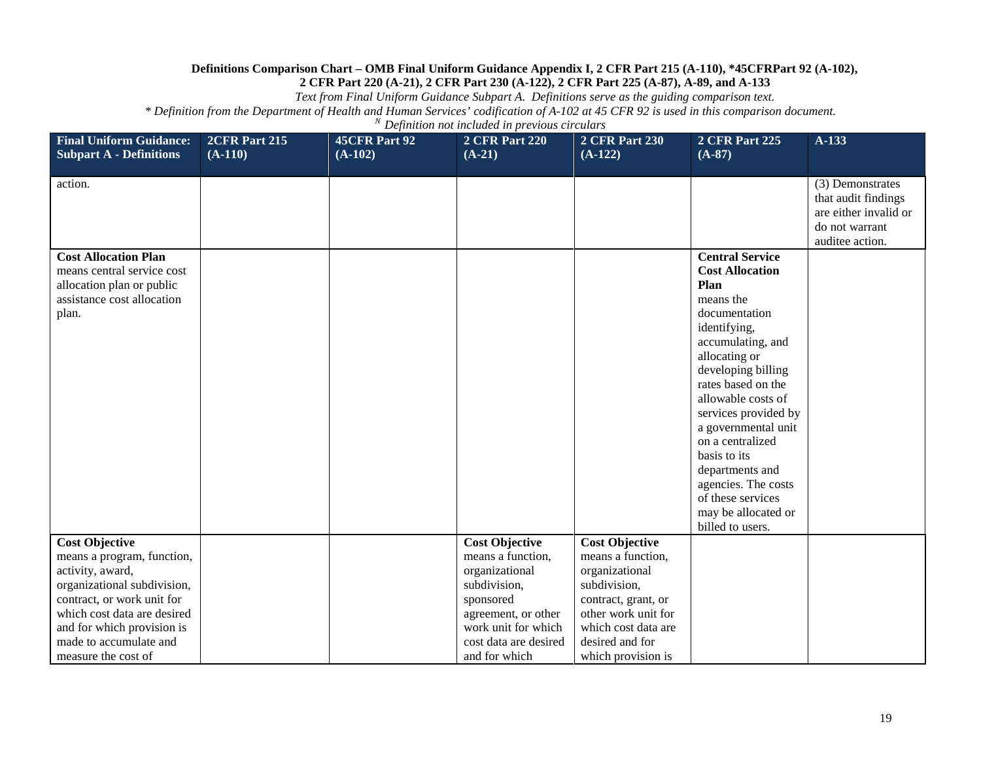*Text from Final Uniform Guidance Subpart A. Definitions serve as the guiding comparison text.*

| <b>Final Uniform Guidance:</b><br><b>Subpart A - Definitions</b>                                                                                                                                                                                   | 2CFR Part 215<br>$(A-110)$ | <b>45CFR Part 92</b><br>$(A-102)$ | <b>2 CFR Part 220</b><br>$(A-21)$                                                                                                                                                 | <b>2 CFR Part 230</b><br>$(A-122)$                                                                                                                                                         | <b>2 CFR Part 225</b><br>$(A-87)$                                                                                                                                                                                                                                                                                                                                                                           | $A-133$                                                                                               |
|----------------------------------------------------------------------------------------------------------------------------------------------------------------------------------------------------------------------------------------------------|----------------------------|-----------------------------------|-----------------------------------------------------------------------------------------------------------------------------------------------------------------------------------|--------------------------------------------------------------------------------------------------------------------------------------------------------------------------------------------|-------------------------------------------------------------------------------------------------------------------------------------------------------------------------------------------------------------------------------------------------------------------------------------------------------------------------------------------------------------------------------------------------------------|-------------------------------------------------------------------------------------------------------|
| action.                                                                                                                                                                                                                                            |                            |                                   |                                                                                                                                                                                   |                                                                                                                                                                                            |                                                                                                                                                                                                                                                                                                                                                                                                             | (3) Demonstrates<br>that audit findings<br>are either invalid or<br>do not warrant<br>auditee action. |
| <b>Cost Allocation Plan</b><br>means central service cost<br>allocation plan or public<br>assistance cost allocation<br>plan.                                                                                                                      |                            |                                   |                                                                                                                                                                                   |                                                                                                                                                                                            | <b>Central Service</b><br><b>Cost Allocation</b><br>Plan<br>means the<br>documentation<br>identifying,<br>accumulating, and<br>allocating or<br>developing billing<br>rates based on the<br>allowable costs of<br>services provided by<br>a governmental unit<br>on a centralized<br>basis to its<br>departments and<br>agencies. The costs<br>of these services<br>may be allocated or<br>billed to users. |                                                                                                       |
| <b>Cost Objective</b><br>means a program, function,<br>activity, award,<br>organizational subdivision,<br>contract, or work unit for<br>which cost data are desired<br>and for which provision is<br>made to accumulate and<br>measure the cost of |                            |                                   | <b>Cost Objective</b><br>means a function,<br>organizational<br>subdivision,<br>sponsored<br>agreement, or other<br>work unit for which<br>cost data are desired<br>and for which | <b>Cost Objective</b><br>means a function,<br>organizational<br>subdivision,<br>contract, grant, or<br>other work unit for<br>which cost data are<br>desired and for<br>which provision is |                                                                                                                                                                                                                                                                                                                                                                                                             |                                                                                                       |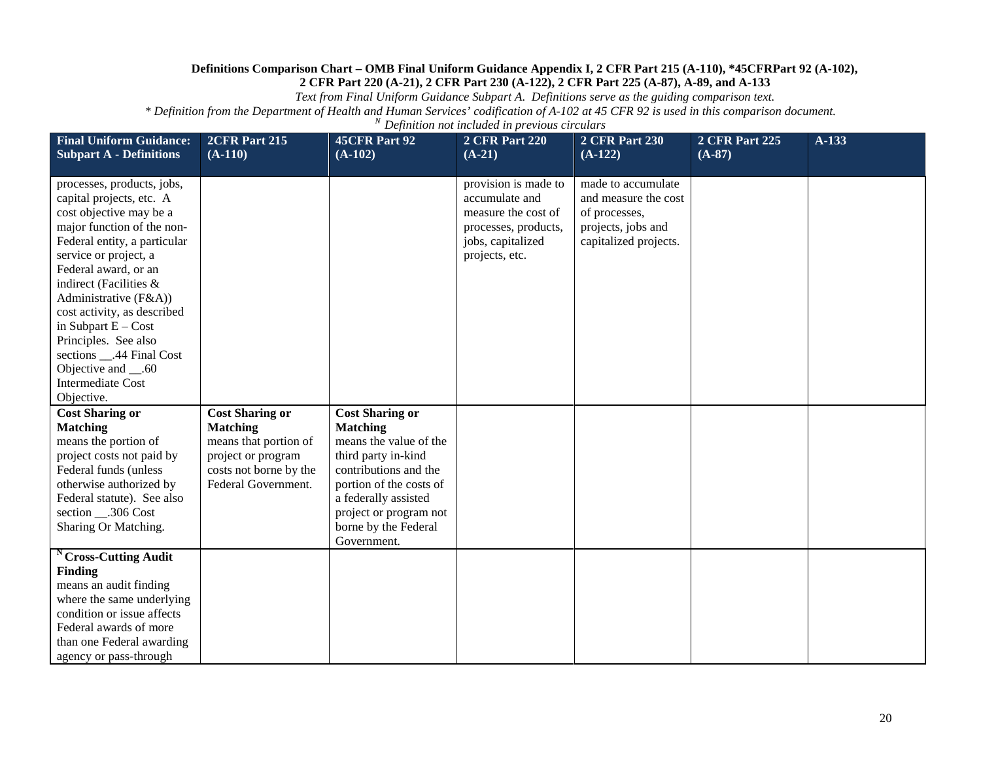*Text from Final Uniform Guidance Subpart A. Definitions serve as the guiding comparison text.*

| <b>Final Uniform Guidance:</b><br><b>Subpart A - Definitions</b>                                                                                                                                                                                                                                                                                                                                                                     | 2CFR Part 215<br>$(A-110)$                                                                                                                | <b>45CFR Part 92</b><br>$(A-102)$                                                                                                                                                                                                       | <b>2 CFR Part 220</b><br>$(A-21)$                                                                                            | <b>2 CFR Part 230</b><br>$(A-122)$                                                                         | <b>2 CFR Part 225</b><br>$(A-87)$ | A-133 |
|--------------------------------------------------------------------------------------------------------------------------------------------------------------------------------------------------------------------------------------------------------------------------------------------------------------------------------------------------------------------------------------------------------------------------------------|-------------------------------------------------------------------------------------------------------------------------------------------|-----------------------------------------------------------------------------------------------------------------------------------------------------------------------------------------------------------------------------------------|------------------------------------------------------------------------------------------------------------------------------|------------------------------------------------------------------------------------------------------------|-----------------------------------|-------|
| processes, products, jobs,<br>capital projects, etc. A<br>cost objective may be a<br>major function of the non-<br>Federal entity, a particular<br>service or project, a<br>Federal award, or an<br>indirect (Facilities &<br>Administrative $(F&A)$ )<br>cost activity, as described<br>in Subpart $E - Cost$<br>Principles. See also<br>sections __.44 Final Cost<br>Objective and __.60<br><b>Intermediate Cost</b><br>Objective. |                                                                                                                                           |                                                                                                                                                                                                                                         | provision is made to<br>accumulate and<br>measure the cost of<br>processes, products,<br>jobs, capitalized<br>projects, etc. | made to accumulate<br>and measure the cost<br>of processes,<br>projects, jobs and<br>capitalized projects. |                                   |       |
| <b>Cost Sharing or</b><br><b>Matching</b><br>means the portion of<br>project costs not paid by<br>Federal funds (unless<br>otherwise authorized by<br>Federal statute). See also<br>section __.306 Cost<br>Sharing Or Matching.                                                                                                                                                                                                      | <b>Cost Sharing or</b><br><b>Matching</b><br>means that portion of<br>project or program<br>costs not borne by the<br>Federal Government. | <b>Cost Sharing or</b><br><b>Matching</b><br>means the value of the<br>third party in-kind<br>contributions and the<br>portion of the costs of<br>a federally assisted<br>project or program not<br>borne by the Federal<br>Government. |                                                                                                                              |                                                                                                            |                                   |       |
| <sup>N</sup> Cross-Cutting Audit<br><b>Finding</b><br>means an audit finding<br>where the same underlying<br>condition or issue affects<br>Federal awards of more<br>than one Federal awarding<br>agency or pass-through                                                                                                                                                                                                             |                                                                                                                                           |                                                                                                                                                                                                                                         |                                                                                                                              |                                                                                                            |                                   |       |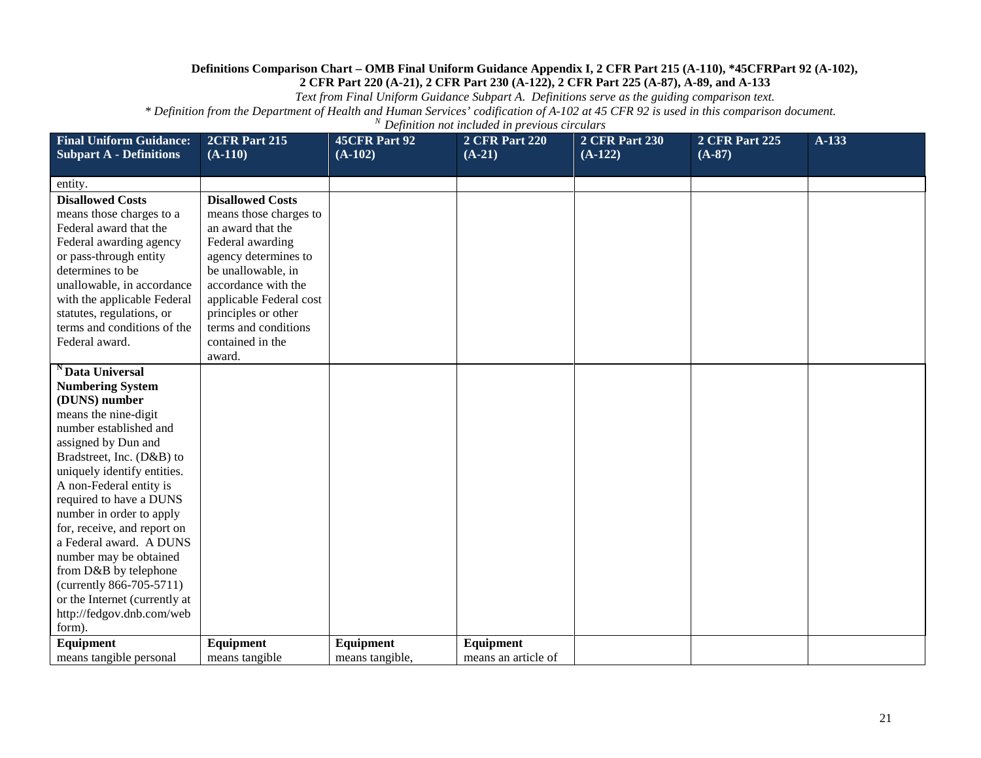*Text from Final Uniform Guidance Subpart A. Definitions serve as the guiding comparison text.*

| <b>Final Uniform Guidance:</b>                         | 2CFR Part 215           | <b>45CFR Part 92</b> | <b>2 CFR Part 220</b> | <b>2 CFR Part 230</b> | <b>2 CFR Part 225</b> | A-133 |
|--------------------------------------------------------|-------------------------|----------------------|-----------------------|-----------------------|-----------------------|-------|
| <b>Subpart A - Definitions</b>                         | $(A-110)$               | $(A-102)$            | $(A-21)$              | $(A-122)$             | $(A-87)$              |       |
| entity.                                                |                         |                      |                       |                       |                       |       |
| <b>Disallowed Costs</b>                                | <b>Disallowed Costs</b> |                      |                       |                       |                       |       |
| means those charges to a                               | means those charges to  |                      |                       |                       |                       |       |
| Federal award that the                                 | an award that the       |                      |                       |                       |                       |       |
| Federal awarding agency                                | Federal awarding        |                      |                       |                       |                       |       |
| or pass-through entity                                 | agency determines to    |                      |                       |                       |                       |       |
| determines to be                                       | be unallowable, in      |                      |                       |                       |                       |       |
| unallowable, in accordance                             | accordance with the     |                      |                       |                       |                       |       |
| with the applicable Federal                            | applicable Federal cost |                      |                       |                       |                       |       |
| statutes, regulations, or                              | principles or other     |                      |                       |                       |                       |       |
| terms and conditions of the                            | terms and conditions    |                      |                       |                       |                       |       |
| Federal award.                                         | contained in the        |                      |                       |                       |                       |       |
|                                                        | award.                  |                      |                       |                       |                       |       |
| <sup>N</sup> Data Universal                            |                         |                      |                       |                       |                       |       |
| <b>Numbering System</b>                                |                         |                      |                       |                       |                       |       |
| (DUNS) number                                          |                         |                      |                       |                       |                       |       |
| means the nine-digit                                   |                         |                      |                       |                       |                       |       |
| number established and                                 |                         |                      |                       |                       |                       |       |
| assigned by Dun and                                    |                         |                      |                       |                       |                       |       |
| Bradstreet, Inc. (D&B) to                              |                         |                      |                       |                       |                       |       |
| uniquely identify entities.                            |                         |                      |                       |                       |                       |       |
| A non-Federal entity is                                |                         |                      |                       |                       |                       |       |
| required to have a DUNS                                |                         |                      |                       |                       |                       |       |
| number in order to apply                               |                         |                      |                       |                       |                       |       |
| for, receive, and report on<br>a Federal award. A DUNS |                         |                      |                       |                       |                       |       |
| number may be obtained                                 |                         |                      |                       |                       |                       |       |
| from D&B by telephone                                  |                         |                      |                       |                       |                       |       |
| (currently 866-705-5711)                               |                         |                      |                       |                       |                       |       |
| or the Internet (currently at                          |                         |                      |                       |                       |                       |       |
| http://fedgov.dnb.com/web                              |                         |                      |                       |                       |                       |       |
| form).                                                 |                         |                      |                       |                       |                       |       |
| Equipment                                              | Equipment               | Equipment            | Equipment             |                       |                       |       |
| means tangible personal                                | means tangible          | means tangible,      | means an article of   |                       |                       |       |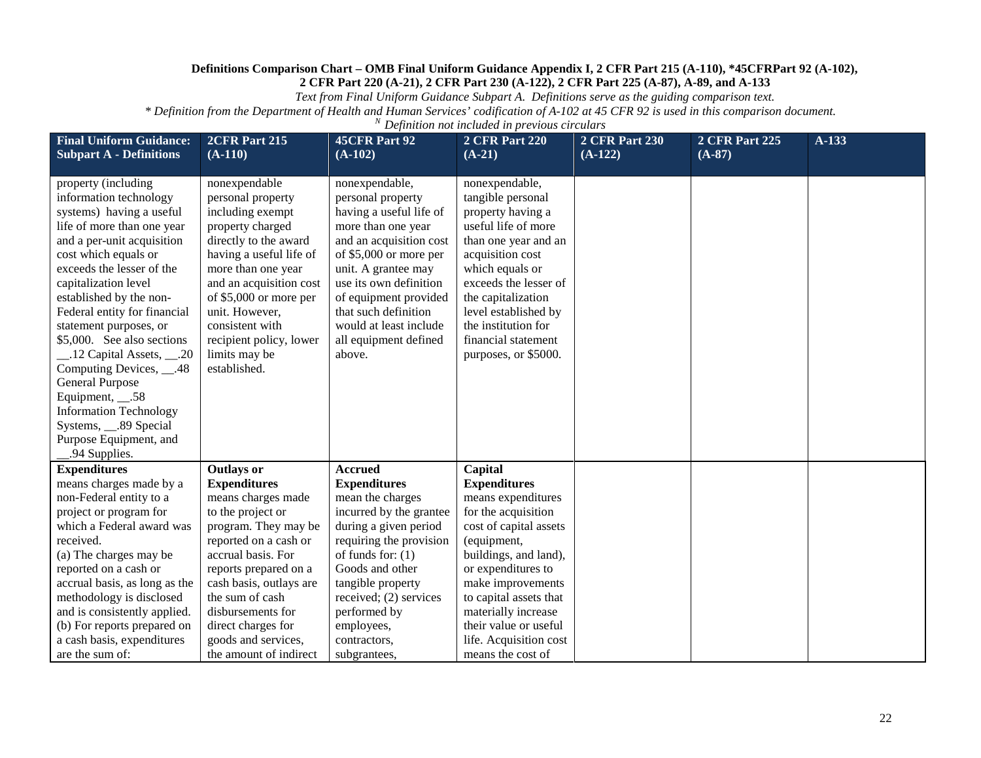*Text from Final Uniform Guidance Subpart A. Definitions serve as the guiding comparison text.*

| <b>Final Uniform Guidance:</b><br><b>Subpart A - Definitions</b>                                                                                                                                                                                                                                                                                                                                                                                                                                                                                   | 2CFR Part 215<br>$(A-110)$                                                                                                                                                                                                                                                                                 | <b>45CFR Part 92</b><br>$(A-102)$                                                                                                                                                                                                                                                                        | <b>2 CFR Part 220</b><br>$(A-21)$                                                                                                                                                                                                                                                           | <b>2 CFR Part 230</b><br>$(A-122)$ | <b>2 CFR Part 225</b><br>$(A-87)$ | A-133 |
|----------------------------------------------------------------------------------------------------------------------------------------------------------------------------------------------------------------------------------------------------------------------------------------------------------------------------------------------------------------------------------------------------------------------------------------------------------------------------------------------------------------------------------------------------|------------------------------------------------------------------------------------------------------------------------------------------------------------------------------------------------------------------------------------------------------------------------------------------------------------|----------------------------------------------------------------------------------------------------------------------------------------------------------------------------------------------------------------------------------------------------------------------------------------------------------|---------------------------------------------------------------------------------------------------------------------------------------------------------------------------------------------------------------------------------------------------------------------------------------------|------------------------------------|-----------------------------------|-------|
| property (including<br>information technology<br>systems) having a useful<br>life of more than one year<br>and a per-unit acquisition<br>cost which equals or<br>exceeds the lesser of the<br>capitalization level<br>established by the non-<br>Federal entity for financial<br>statement purposes, or<br>\$5,000. See also sections<br>_.12 Capital Assets, __.20<br>Computing Devices, __.48<br><b>General Purpose</b><br>Equipment, __.58<br><b>Information Technology</b><br>Systems, 2.89 Special<br>Purpose Equipment, and<br>.94 Supplies. | nonexpendable<br>personal property<br>including exempt<br>property charged<br>directly to the award<br>having a useful life of<br>more than one year<br>and an acquisition cost<br>of \$5,000 or more per<br>unit. However,<br>consistent with<br>recipient policy, lower<br>limits may be<br>established. | nonexpendable,<br>personal property<br>having a useful life of<br>more than one year<br>and an acquisition cost<br>of \$5,000 or more per<br>unit. A grantee may<br>use its own definition<br>of equipment provided<br>that such definition<br>would at least include<br>all equipment defined<br>above. | nonexpendable,<br>tangible personal<br>property having a<br>useful life of more<br>than one year and an<br>acquisition cost<br>which equals or<br>exceeds the lesser of<br>the capitalization<br>level established by<br>the institution for<br>financial statement<br>purposes, or \$5000. |                                    |                                   |       |
| <b>Expenditures</b>                                                                                                                                                                                                                                                                                                                                                                                                                                                                                                                                | <b>Outlays or</b>                                                                                                                                                                                                                                                                                          | <b>Accrued</b>                                                                                                                                                                                                                                                                                           | Capital                                                                                                                                                                                                                                                                                     |                                    |                                   |       |
| means charges made by a                                                                                                                                                                                                                                                                                                                                                                                                                                                                                                                            | <b>Expenditures</b>                                                                                                                                                                                                                                                                                        | <b>Expenditures</b>                                                                                                                                                                                                                                                                                      | <b>Expenditures</b>                                                                                                                                                                                                                                                                         |                                    |                                   |       |
| non-Federal entity to a                                                                                                                                                                                                                                                                                                                                                                                                                                                                                                                            | means charges made                                                                                                                                                                                                                                                                                         | mean the charges                                                                                                                                                                                                                                                                                         | means expenditures                                                                                                                                                                                                                                                                          |                                    |                                   |       |
| project or program for                                                                                                                                                                                                                                                                                                                                                                                                                                                                                                                             | to the project or                                                                                                                                                                                                                                                                                          | incurred by the grantee                                                                                                                                                                                                                                                                                  | for the acquisition                                                                                                                                                                                                                                                                         |                                    |                                   |       |
| which a Federal award was                                                                                                                                                                                                                                                                                                                                                                                                                                                                                                                          | program. They may be                                                                                                                                                                                                                                                                                       | during a given period                                                                                                                                                                                                                                                                                    | cost of capital assets                                                                                                                                                                                                                                                                      |                                    |                                   |       |
| received.                                                                                                                                                                                                                                                                                                                                                                                                                                                                                                                                          | reported on a cash or                                                                                                                                                                                                                                                                                      | requiring the provision                                                                                                                                                                                                                                                                                  | (equipment,                                                                                                                                                                                                                                                                                 |                                    |                                   |       |
| (a) The charges may be                                                                                                                                                                                                                                                                                                                                                                                                                                                                                                                             | accrual basis. For                                                                                                                                                                                                                                                                                         | of funds for: $(1)$                                                                                                                                                                                                                                                                                      | buildings, and land),                                                                                                                                                                                                                                                                       |                                    |                                   |       |
| reported on a cash or                                                                                                                                                                                                                                                                                                                                                                                                                                                                                                                              | reports prepared on a                                                                                                                                                                                                                                                                                      | Goods and other                                                                                                                                                                                                                                                                                          | or expenditures to                                                                                                                                                                                                                                                                          |                                    |                                   |       |
| accrual basis, as long as the                                                                                                                                                                                                                                                                                                                                                                                                                                                                                                                      | cash basis, outlays are                                                                                                                                                                                                                                                                                    | tangible property                                                                                                                                                                                                                                                                                        | make improvements                                                                                                                                                                                                                                                                           |                                    |                                   |       |
| methodology is disclosed                                                                                                                                                                                                                                                                                                                                                                                                                                                                                                                           | the sum of cash                                                                                                                                                                                                                                                                                            | received; (2) services                                                                                                                                                                                                                                                                                   | to capital assets that                                                                                                                                                                                                                                                                      |                                    |                                   |       |
| and is consistently applied.                                                                                                                                                                                                                                                                                                                                                                                                                                                                                                                       | disbursements for                                                                                                                                                                                                                                                                                          | performed by                                                                                                                                                                                                                                                                                             | materially increase                                                                                                                                                                                                                                                                         |                                    |                                   |       |
| (b) For reports prepared on                                                                                                                                                                                                                                                                                                                                                                                                                                                                                                                        | direct charges for                                                                                                                                                                                                                                                                                         | employees,                                                                                                                                                                                                                                                                                               | their value or useful                                                                                                                                                                                                                                                                       |                                    |                                   |       |
| a cash basis, expenditures                                                                                                                                                                                                                                                                                                                                                                                                                                                                                                                         | goods and services,                                                                                                                                                                                                                                                                                        | contractors,                                                                                                                                                                                                                                                                                             | life. Acquisition cost                                                                                                                                                                                                                                                                      |                                    |                                   |       |
| are the sum of:                                                                                                                                                                                                                                                                                                                                                                                                                                                                                                                                    | the amount of indirect                                                                                                                                                                                                                                                                                     | subgrantees,                                                                                                                                                                                                                                                                                             | means the cost of                                                                                                                                                                                                                                                                           |                                    |                                   |       |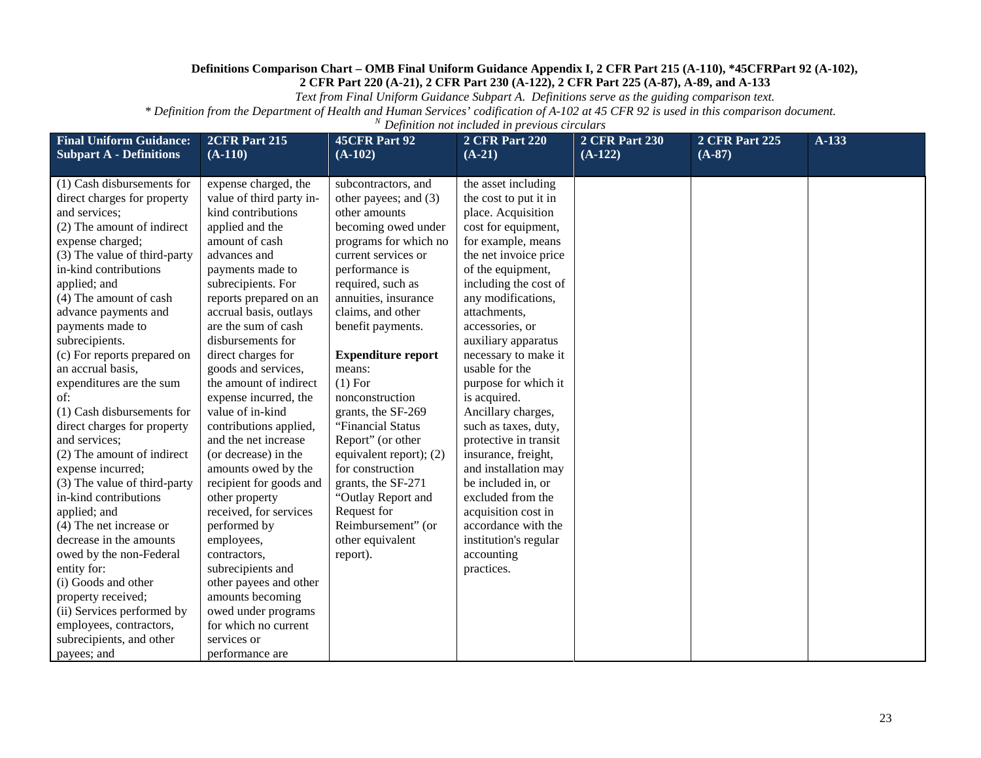*Text from Final Uniform Guidance Subpart A. Definitions serve as the guiding comparison text.*

| <b>Final Uniform Guidance:</b><br><b>Subpart A - Definitions</b>                                                                                                                                                                                                                                                                                                                                                                                                                                                                                                                                                                                                                                                                                                                                                                 | 2CFR Part 215<br>$(A-110)$                                                                                                                                                                                                                                                                                                                                                                                                                                                                                                                                                                                                                                                                                                                       | <b>45CFR Part 92</b><br>$(A-102)$                                                                                                                                                                                                                                                                                                                                                                                                                                                                                                                    | <b>2 CFR Part 220</b><br>$(A-21)$                                                                                                                                                                                                                                                                                                                                                                                                                                                                                                                                                                                            | <b>2 CFR Part 230</b><br>$(A-122)$ | <b>2 CFR Part 225</b><br>$(A-87)$ | A-133 |
|----------------------------------------------------------------------------------------------------------------------------------------------------------------------------------------------------------------------------------------------------------------------------------------------------------------------------------------------------------------------------------------------------------------------------------------------------------------------------------------------------------------------------------------------------------------------------------------------------------------------------------------------------------------------------------------------------------------------------------------------------------------------------------------------------------------------------------|--------------------------------------------------------------------------------------------------------------------------------------------------------------------------------------------------------------------------------------------------------------------------------------------------------------------------------------------------------------------------------------------------------------------------------------------------------------------------------------------------------------------------------------------------------------------------------------------------------------------------------------------------------------------------------------------------------------------------------------------------|------------------------------------------------------------------------------------------------------------------------------------------------------------------------------------------------------------------------------------------------------------------------------------------------------------------------------------------------------------------------------------------------------------------------------------------------------------------------------------------------------------------------------------------------------|------------------------------------------------------------------------------------------------------------------------------------------------------------------------------------------------------------------------------------------------------------------------------------------------------------------------------------------------------------------------------------------------------------------------------------------------------------------------------------------------------------------------------------------------------------------------------------------------------------------------------|------------------------------------|-----------------------------------|-------|
| (1) Cash disbursements for<br>direct charges for property<br>and services;<br>(2) The amount of indirect<br>expense charged;<br>(3) The value of third-party<br>in-kind contributions<br>applied; and<br>(4) The amount of cash<br>advance payments and<br>payments made to<br>subrecipients.<br>(c) For reports prepared on<br>an accrual basis,<br>expenditures are the sum<br>of:<br>(1) Cash disbursements for<br>direct charges for property<br>and services;<br>(2) The amount of indirect<br>expense incurred;<br>(3) The value of third-party<br>in-kind contributions<br>applied; and<br>(4) The net increase or<br>decrease in the amounts<br>owed by the non-Federal<br>entity for:<br>(i) Goods and other<br>property received;<br>(ii) Services performed by<br>employees, contractors,<br>subrecipients, and other | expense charged, the<br>value of third party in-<br>kind contributions<br>applied and the<br>amount of cash<br>advances and<br>payments made to<br>subrecipients. For<br>reports prepared on an<br>accrual basis, outlays<br>are the sum of cash<br>disbursements for<br>direct charges for<br>goods and services,<br>the amount of indirect<br>expense incurred, the<br>value of in-kind<br>contributions applied,<br>and the net increase<br>(or decrease) in the<br>amounts owed by the<br>recipient for goods and<br>other property<br>received, for services<br>performed by<br>employees,<br>contractors,<br>subrecipients and<br>other payees and other<br>amounts becoming<br>owed under programs<br>for which no current<br>services or | subcontractors, and<br>other payees; and (3)<br>other amounts<br>becoming owed under<br>programs for which no<br>current services or<br>performance is<br>required, such as<br>annuities, insurance<br>claims, and other<br>benefit payments.<br><b>Expenditure report</b><br>means:<br>$(1)$ For<br>nonconstruction<br>grants, the SF-269<br>"Financial Status<br>Report" (or other<br>equivalent report); (2)<br>for construction<br>grants, the SF-271<br>"Outlay Report and<br>Request for<br>Reimbursement" (or<br>other equivalent<br>report). | the asset including<br>the cost to put it in<br>place. Acquisition<br>cost for equipment,<br>for example, means<br>the net invoice price<br>of the equipment,<br>including the cost of<br>any modifications,<br>attachments,<br>accessories, or<br>auxiliary apparatus<br>necessary to make it<br>usable for the<br>purpose for which it<br>is acquired.<br>Ancillary charges,<br>such as taxes, duty,<br>protective in transit<br>insurance, freight,<br>and installation may<br>be included in, or<br>excluded from the<br>acquisition cost in<br>accordance with the<br>institution's regular<br>accounting<br>practices. |                                    |                                   |       |
| payees; and                                                                                                                                                                                                                                                                                                                                                                                                                                                                                                                                                                                                                                                                                                                                                                                                                      | performance are                                                                                                                                                                                                                                                                                                                                                                                                                                                                                                                                                                                                                                                                                                                                  |                                                                                                                                                                                                                                                                                                                                                                                                                                                                                                                                                      |                                                                                                                                                                                                                                                                                                                                                                                                                                                                                                                                                                                                                              |                                    |                                   |       |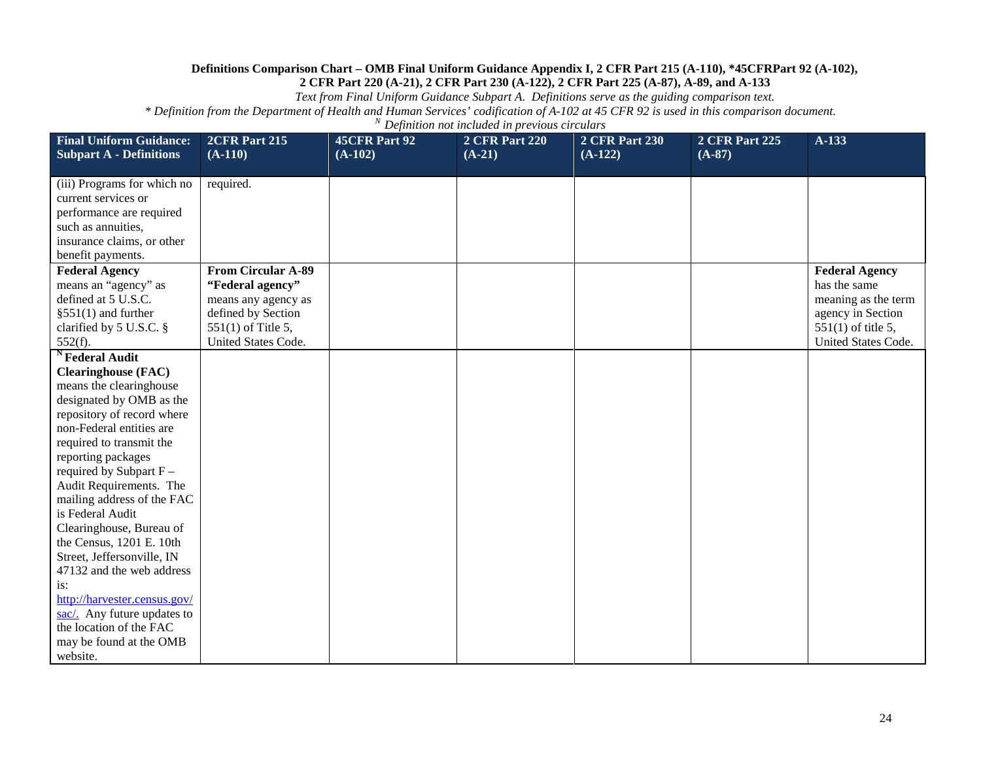*Text from Final Uniform Guidance Subpart A. Definitions serve as the guiding comparison text.*

| <b>Final Uniform Guidance:</b>                   | 2CFR Part 215                              | <b>45CFR Part 92</b> | <b>2 CFR Part 220</b> | <b>2 CFR Part 230</b> | <b>2 CFR Part 225</b> | $A-133$                                   |
|--------------------------------------------------|--------------------------------------------|----------------------|-----------------------|-----------------------|-----------------------|-------------------------------------------|
| <b>Subpart A - Definitions</b>                   | $(A-110)$                                  | $(A-102)$            | $(A-21)$              | $(A-122)$             | $(A-87)$              |                                           |
| (iii) Programs for which no                      | required.                                  |                      |                       |                       |                       |                                           |
| current services or                              |                                            |                      |                       |                       |                       |                                           |
| performance are required                         |                                            |                      |                       |                       |                       |                                           |
| such as annuities,                               |                                            |                      |                       |                       |                       |                                           |
| insurance claims, or other                       |                                            |                      |                       |                       |                       |                                           |
| benefit payments.                                |                                            |                      |                       |                       |                       |                                           |
| <b>Federal Agency</b>                            | <b>From Circular A-89</b>                  |                      |                       |                       |                       | <b>Federal Agency</b>                     |
| means an "agency" as                             | "Federal agency"                           |                      |                       |                       |                       | has the same                              |
| defined at 5 U.S.C.                              | means any agency as                        |                      |                       |                       |                       | meaning as the term                       |
| $§551(1)$ and further<br>clarified by 5 U.S.C. § | defined by Section<br>$551(1)$ of Title 5, |                      |                       |                       |                       | agency in Section<br>$551(1)$ of title 5, |
| $552(f)$ .                                       | United States Code.                        |                      |                       |                       |                       | United States Code.                       |
| <sup>N</sup> Federal Audit                       |                                            |                      |                       |                       |                       |                                           |
| <b>Clearinghouse</b> (FAC)                       |                                            |                      |                       |                       |                       |                                           |
| means the clearinghouse                          |                                            |                      |                       |                       |                       |                                           |
| designated by OMB as the                         |                                            |                      |                       |                       |                       |                                           |
| repository of record where                       |                                            |                      |                       |                       |                       |                                           |
| non-Federal entities are                         |                                            |                      |                       |                       |                       |                                           |
| required to transmit the                         |                                            |                      |                       |                       |                       |                                           |
| reporting packages                               |                                            |                      |                       |                       |                       |                                           |
| required by Subpart $F -$                        |                                            |                      |                       |                       |                       |                                           |
| Audit Requirements. The                          |                                            |                      |                       |                       |                       |                                           |
| mailing address of the FAC                       |                                            |                      |                       |                       |                       |                                           |
| is Federal Audit                                 |                                            |                      |                       |                       |                       |                                           |
| Clearinghouse, Bureau of                         |                                            |                      |                       |                       |                       |                                           |
| the Census, 1201 E. 10th                         |                                            |                      |                       |                       |                       |                                           |
| Street, Jeffersonville, IN                       |                                            |                      |                       |                       |                       |                                           |
| 47132 and the web address                        |                                            |                      |                       |                       |                       |                                           |
| is:<br>http://harvester.census.gov/              |                                            |                      |                       |                       |                       |                                           |
| sac/. Any future updates to                      |                                            |                      |                       |                       |                       |                                           |
| the location of the FAC                          |                                            |                      |                       |                       |                       |                                           |
| may be found at the OMB                          |                                            |                      |                       |                       |                       |                                           |
| website.                                         |                                            |                      |                       |                       |                       |                                           |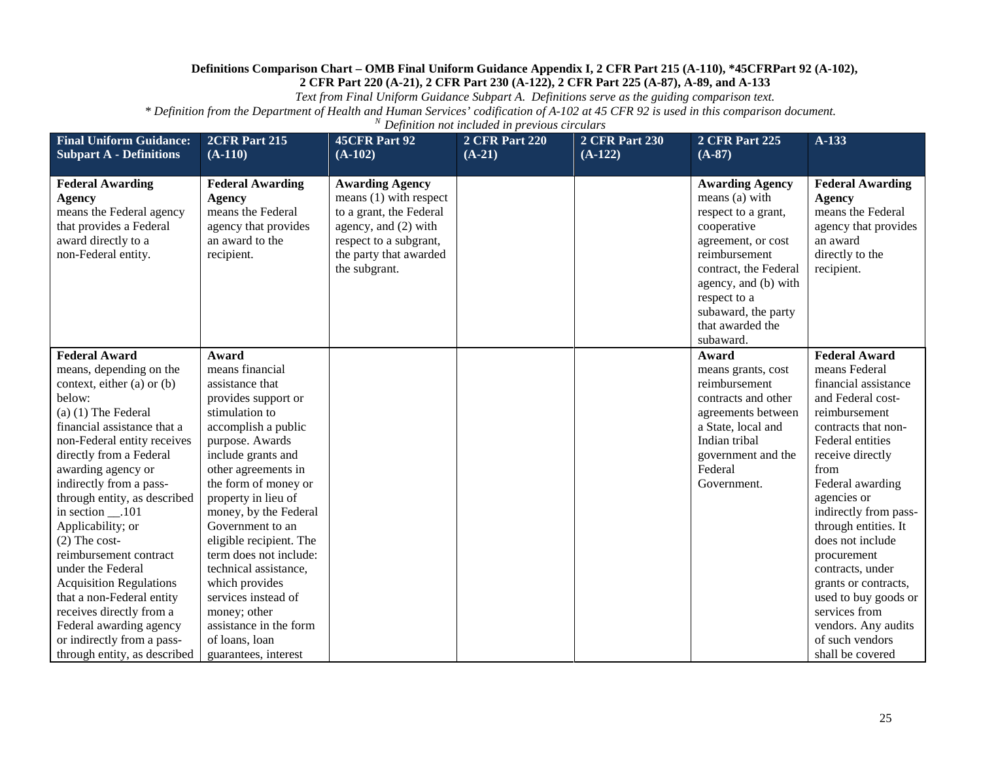*Text from Final Uniform Guidance Subpart A. Definitions serve as the guiding comparison text.*

| <b>Final Uniform Guidance:</b>                                                                                                                | 2CFR Part 215                                                                                                          | <b>45CFR Part 92</b>                                                                                                                                                       | <b>2 CFR Part 220</b> | <b>2 CFR Part 230</b> | <b>2 CFR Part 225</b>                                                                                                                                                                                                                          | A-133                                                                                                                              |
|-----------------------------------------------------------------------------------------------------------------------------------------------|------------------------------------------------------------------------------------------------------------------------|----------------------------------------------------------------------------------------------------------------------------------------------------------------------------|-----------------------|-----------------------|------------------------------------------------------------------------------------------------------------------------------------------------------------------------------------------------------------------------------------------------|------------------------------------------------------------------------------------------------------------------------------------|
| <b>Subpart A - Definitions</b>                                                                                                                | $(A-110)$                                                                                                              | $(A-102)$                                                                                                                                                                  | $(A-21)$              | $(A-122)$             | $(A-87)$                                                                                                                                                                                                                                       |                                                                                                                                    |
| <b>Federal Awarding</b><br><b>Agency</b><br>means the Federal agency<br>that provides a Federal<br>award directly to a<br>non-Federal entity. | <b>Federal Awarding</b><br><b>Agency</b><br>means the Federal<br>agency that provides<br>an award to the<br>recipient. | <b>Awarding Agency</b><br>means $(1)$ with respect<br>to a grant, the Federal<br>agency, and (2) with<br>respect to a subgrant,<br>the party that awarded<br>the subgrant. |                       |                       | <b>Awarding Agency</b><br>means (a) with<br>respect to a grant,<br>cooperative<br>agreement, or cost<br>reimbursement<br>contract, the Federal<br>agency, and (b) with<br>respect to a<br>subaward, the party<br>that awarded the<br>subaward. | <b>Federal Awarding</b><br><b>Agency</b><br>means the Federal<br>agency that provides<br>an award<br>directly to the<br>recipient. |
| <b>Federal Award</b>                                                                                                                          | Award                                                                                                                  |                                                                                                                                                                            |                       |                       | Award                                                                                                                                                                                                                                          | <b>Federal Award</b>                                                                                                               |
| means, depending on the                                                                                                                       | means financial                                                                                                        |                                                                                                                                                                            |                       |                       | means grants, cost                                                                                                                                                                                                                             | means Federal                                                                                                                      |
| context, either (a) or (b)                                                                                                                    | assistance that                                                                                                        |                                                                                                                                                                            |                       |                       | reimbursement                                                                                                                                                                                                                                  | financial assistance                                                                                                               |
| below:                                                                                                                                        | provides support or                                                                                                    |                                                                                                                                                                            |                       |                       | contracts and other                                                                                                                                                                                                                            | and Federal cost-                                                                                                                  |
| $(a)$ (1) The Federal                                                                                                                         | stimulation to                                                                                                         |                                                                                                                                                                            |                       |                       | agreements between                                                                                                                                                                                                                             | reimbursement                                                                                                                      |
| financial assistance that a                                                                                                                   | accomplish a public                                                                                                    |                                                                                                                                                                            |                       |                       | a State, local and                                                                                                                                                                                                                             | contracts that non-                                                                                                                |
| non-Federal entity receives                                                                                                                   | purpose. Awards                                                                                                        |                                                                                                                                                                            |                       |                       | Indian tribal                                                                                                                                                                                                                                  | Federal entities                                                                                                                   |
| directly from a Federal                                                                                                                       | include grants and                                                                                                     |                                                                                                                                                                            |                       |                       | government and the                                                                                                                                                                                                                             | receive directly                                                                                                                   |
| awarding agency or                                                                                                                            | other agreements in                                                                                                    |                                                                                                                                                                            |                       |                       | Federal                                                                                                                                                                                                                                        | from                                                                                                                               |
| indirectly from a pass-                                                                                                                       | the form of money or                                                                                                   |                                                                                                                                                                            |                       |                       | Government.                                                                                                                                                                                                                                    | Federal awarding                                                                                                                   |
| through entity, as described                                                                                                                  | property in lieu of                                                                                                    |                                                                                                                                                                            |                       |                       |                                                                                                                                                                                                                                                | agencies or                                                                                                                        |
| in section __.101                                                                                                                             | money, by the Federal                                                                                                  |                                                                                                                                                                            |                       |                       |                                                                                                                                                                                                                                                | indirectly from pass-                                                                                                              |
| Applicability; or                                                                                                                             | Government to an                                                                                                       |                                                                                                                                                                            |                       |                       |                                                                                                                                                                                                                                                | through entities. It                                                                                                               |
| $(2)$ The cost-                                                                                                                               | eligible recipient. The                                                                                                |                                                                                                                                                                            |                       |                       |                                                                                                                                                                                                                                                | does not include                                                                                                                   |
| reimbursement contract                                                                                                                        | term does not include:                                                                                                 |                                                                                                                                                                            |                       |                       |                                                                                                                                                                                                                                                | procurement                                                                                                                        |
| under the Federal                                                                                                                             | technical assistance,                                                                                                  |                                                                                                                                                                            |                       |                       |                                                                                                                                                                                                                                                | contracts, under                                                                                                                   |
| <b>Acquisition Regulations</b>                                                                                                                | which provides                                                                                                         |                                                                                                                                                                            |                       |                       |                                                                                                                                                                                                                                                | grants or contracts,                                                                                                               |
| that a non-Federal entity                                                                                                                     | services instead of                                                                                                    |                                                                                                                                                                            |                       |                       |                                                                                                                                                                                                                                                | used to buy goods or                                                                                                               |
| receives directly from a                                                                                                                      | money; other                                                                                                           |                                                                                                                                                                            |                       |                       |                                                                                                                                                                                                                                                | services from                                                                                                                      |
| Federal awarding agency                                                                                                                       | assistance in the form                                                                                                 |                                                                                                                                                                            |                       |                       |                                                                                                                                                                                                                                                | vendors. Any audits                                                                                                                |
| or indirectly from a pass-                                                                                                                    | of loans, loan                                                                                                         |                                                                                                                                                                            |                       |                       |                                                                                                                                                                                                                                                | of such vendors                                                                                                                    |
| through entity, as described                                                                                                                  | guarantees, interest                                                                                                   |                                                                                                                                                                            |                       |                       |                                                                                                                                                                                                                                                | shall be covered                                                                                                                   |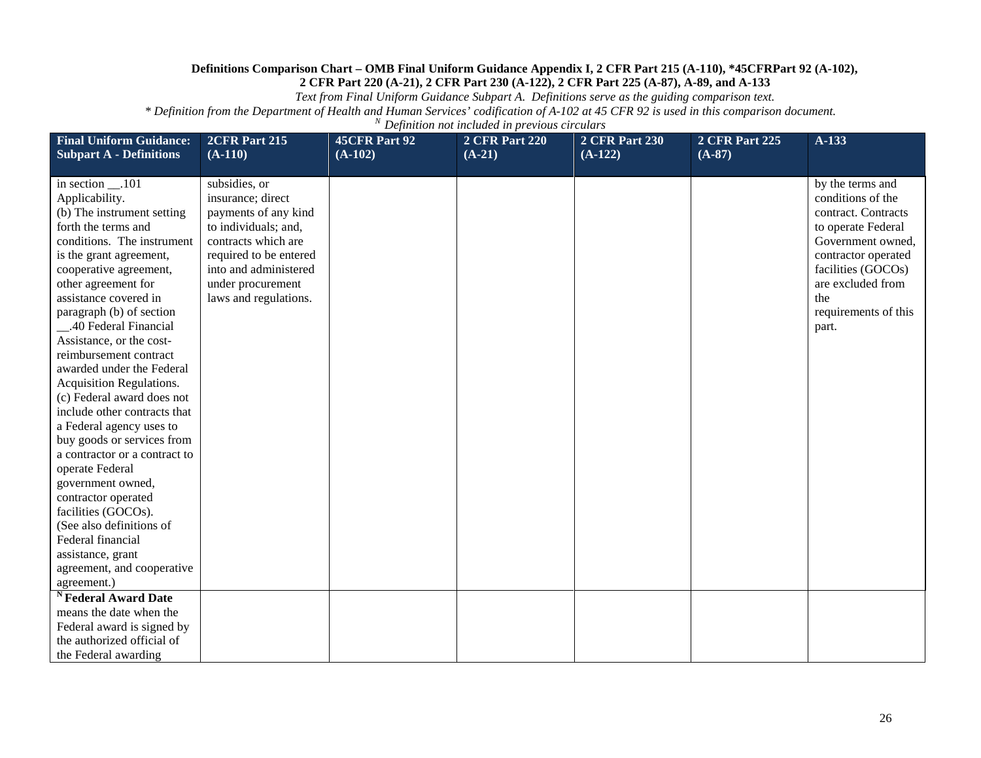*Text from Final Uniform Guidance Subpart A. Definitions serve as the guiding comparison text.*

| <b>Final Uniform Guidance:</b><br><b>Subpart A - Definitions</b>                                                                                                                                                                                                                                                                                                                                                                                                                                                                                                                                                                                                                                                                                                        | 2CFR Part 215<br>$(A-110)$                                                                                                                                                                                 | <b>45CFR Part 92</b><br>$(A-102)$ | <b>2 CFR Part 220</b><br>$(A-21)$ | <b>2 CFR Part 230</b><br>$(A-122)$ | <b>2 CFR Part 225</b><br>$(A-87)$ | $A-133$                                                                                                                                                                                                           |
|-------------------------------------------------------------------------------------------------------------------------------------------------------------------------------------------------------------------------------------------------------------------------------------------------------------------------------------------------------------------------------------------------------------------------------------------------------------------------------------------------------------------------------------------------------------------------------------------------------------------------------------------------------------------------------------------------------------------------------------------------------------------------|------------------------------------------------------------------------------------------------------------------------------------------------------------------------------------------------------------|-----------------------------------|-----------------------------------|------------------------------------|-----------------------------------|-------------------------------------------------------------------------------------------------------------------------------------------------------------------------------------------------------------------|
| in section __.101<br>Applicability.<br>(b) The instrument setting<br>forth the terms and<br>conditions. The instrument<br>is the grant agreement,<br>cooperative agreement,<br>other agreement for<br>assistance covered in<br>paragraph (b) of section<br>40 Federal Financial<br>Assistance, or the cost-<br>reimbursement contract<br>awarded under the Federal<br><b>Acquisition Regulations.</b><br>(c) Federal award does not<br>include other contracts that<br>a Federal agency uses to<br>buy goods or services from<br>a contractor or a contract to<br>operate Federal<br>government owned,<br>contractor operated<br>facilities (GOCOs).<br>(See also definitions of<br>Federal financial<br>assistance, grant<br>agreement, and cooperative<br>agreement.) | subsidies, or<br>insurance; direct<br>payments of any kind<br>to individuals; and,<br>contracts which are<br>required to be entered<br>into and administered<br>under procurement<br>laws and regulations. |                                   |                                   |                                    |                                   | by the terms and<br>conditions of the<br>contract. Contracts<br>to operate Federal<br>Government owned,<br>contractor operated<br>facilities (GOCOs)<br>are excluded from<br>the<br>requirements of this<br>part. |
| <sup>N</sup> Federal Award Date<br>means the date when the<br>Federal award is signed by<br>the authorized official of                                                                                                                                                                                                                                                                                                                                                                                                                                                                                                                                                                                                                                                  |                                                                                                                                                                                                            |                                   |                                   |                                    |                                   |                                                                                                                                                                                                                   |
| the Federal awarding                                                                                                                                                                                                                                                                                                                                                                                                                                                                                                                                                                                                                                                                                                                                                    |                                                                                                                                                                                                            |                                   |                                   |                                    |                                   |                                                                                                                                                                                                                   |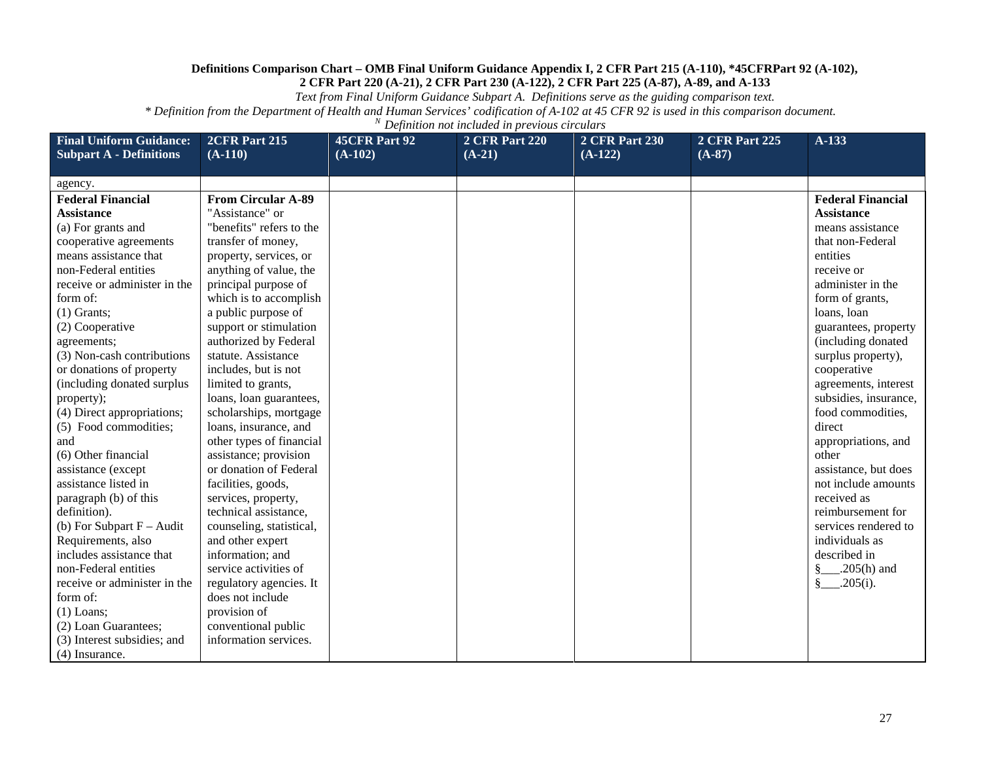*Text from Final Uniform Guidance Subpart A. Definitions serve as the guiding comparison text.*

| <b>Final Uniform Guidance:</b><br><b>Subpart A - Definitions</b> | 2CFR Part 215<br>$(A-110)$ | <b>45CFR Part 92</b><br>$(A-102)$ | <b>2 CFR Part 220</b><br>$(A-21)$ | <b>2 CFR Part 230</b><br>$(A-122)$ | <b>2 CFR Part 225</b><br>$(A-87)$ | A-133                    |
|------------------------------------------------------------------|----------------------------|-----------------------------------|-----------------------------------|------------------------------------|-----------------------------------|--------------------------|
|                                                                  |                            |                                   |                                   |                                    |                                   |                          |
| agency.                                                          |                            |                                   |                                   |                                    |                                   |                          |
| <b>Federal Financial</b>                                         | <b>From Circular A-89</b>  |                                   |                                   |                                    |                                   | <b>Federal Financial</b> |
| <b>Assistance</b>                                                | "Assistance" or            |                                   |                                   |                                    |                                   | <b>Assistance</b>        |
| (a) For grants and                                               | "benefits" refers to the   |                                   |                                   |                                    |                                   | means assistance         |
| cooperative agreements                                           | transfer of money,         |                                   |                                   |                                    |                                   | that non-Federal         |
| means assistance that                                            | property, services, or     |                                   |                                   |                                    |                                   | entities                 |
| non-Federal entities                                             | anything of value, the     |                                   |                                   |                                    |                                   | receive or               |
| receive or administer in the                                     | principal purpose of       |                                   |                                   |                                    |                                   | administer in the        |
| form of:                                                         | which is to accomplish     |                                   |                                   |                                    |                                   | form of grants,          |
| $(1)$ Grants;                                                    | a public purpose of        |                                   |                                   |                                    |                                   | loans, loan              |
| (2) Cooperative                                                  | support or stimulation     |                                   |                                   |                                    |                                   | guarantees, property     |
| agreements;                                                      | authorized by Federal      |                                   |                                   |                                    |                                   | (including donated       |
| (3) Non-cash contributions                                       | statute. Assistance        |                                   |                                   |                                    |                                   | surplus property),       |
| or donations of property                                         | includes, but is not       |                                   |                                   |                                    |                                   | cooperative              |
| (including donated surplus)                                      | limited to grants,         |                                   |                                   |                                    |                                   | agreements, interest     |
| property);                                                       | loans, loan guarantees,    |                                   |                                   |                                    |                                   | subsidies, insurance,    |
| (4) Direct appropriations;                                       | scholarships, mortgage     |                                   |                                   |                                    |                                   | food commodities,        |
| (5) Food commodities;                                            | loans, insurance, and      |                                   |                                   |                                    |                                   | direct                   |
| and                                                              | other types of financial   |                                   |                                   |                                    |                                   | appropriations, and      |
| (6) Other financial                                              | assistance; provision      |                                   |                                   |                                    |                                   | other                    |
| assistance (except                                               | or donation of Federal     |                                   |                                   |                                    |                                   | assistance, but does     |
| assistance listed in                                             | facilities, goods,         |                                   |                                   |                                    |                                   | not include amounts      |
| paragraph (b) of this                                            | services, property,        |                                   |                                   |                                    |                                   | received as              |
| definition).                                                     | technical assistance,      |                                   |                                   |                                    |                                   | reimbursement for        |
| (b) For Subpart $F -$ Audit                                      | counseling, statistical,   |                                   |                                   |                                    |                                   | services rendered to     |
| Requirements, also                                               | and other expert           |                                   |                                   |                                    |                                   | individuals as           |
| includes assistance that                                         | information; and           |                                   |                                   |                                    |                                   | described in             |
| non-Federal entities                                             | service activities of      |                                   |                                   |                                    |                                   |                          |
| receive or administer in the                                     | regulatory agencies. It    |                                   |                                   |                                    |                                   | $\frac{8}{2}$ 205(i).    |
| form of:                                                         | does not include           |                                   |                                   |                                    |                                   |                          |
| $(1)$ Loans;                                                     | provision of               |                                   |                                   |                                    |                                   |                          |
| (2) Loan Guarantees;                                             | conventional public        |                                   |                                   |                                    |                                   |                          |
| (3) Interest subsidies; and                                      | information services.      |                                   |                                   |                                    |                                   |                          |
| (4) Insurance.                                                   |                            |                                   |                                   |                                    |                                   |                          |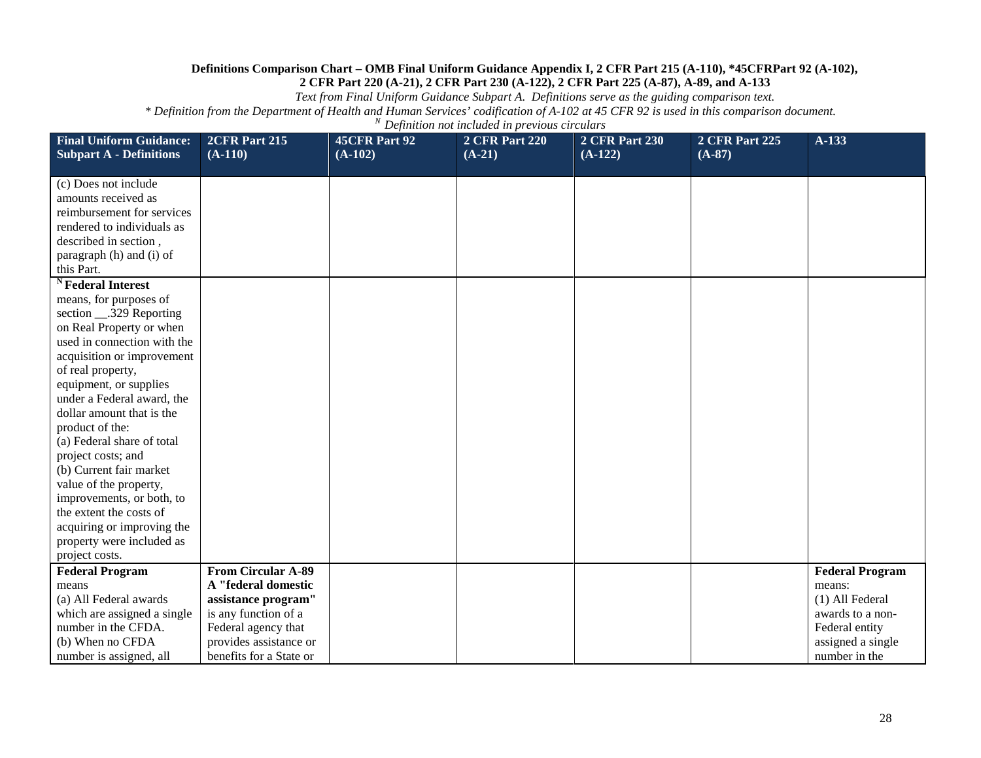*Text from Final Uniform Guidance Subpart A. Definitions serve as the guiding comparison text.*

| <b>Final Uniform Guidance:</b><br><b>Subpart A - Definitions</b> | 2CFR Part 215<br>$(A-110)$ | <b>45CFR Part 92</b><br>$(A-102)$ | <b>2 CFR Part 220</b><br>$(A-21)$ | <b>2 CFR Part 230</b><br>$(A-122)$ | <b>2 CFR Part 225</b><br>$(A-87)$ | $A-133$                |
|------------------------------------------------------------------|----------------------------|-----------------------------------|-----------------------------------|------------------------------------|-----------------------------------|------------------------|
|                                                                  |                            |                                   |                                   |                                    |                                   |                        |
| (c) Does not include                                             |                            |                                   |                                   |                                    |                                   |                        |
| amounts received as                                              |                            |                                   |                                   |                                    |                                   |                        |
| reimbursement for services                                       |                            |                                   |                                   |                                    |                                   |                        |
| rendered to individuals as                                       |                            |                                   |                                   |                                    |                                   |                        |
| described in section,                                            |                            |                                   |                                   |                                    |                                   |                        |
| paragraph (h) and (i) of<br>this Part.                           |                            |                                   |                                   |                                    |                                   |                        |
| <sup>N</sup> Federal Interest                                    |                            |                                   |                                   |                                    |                                   |                        |
| means, for purposes of                                           |                            |                                   |                                   |                                    |                                   |                        |
| section ___.329 Reporting                                        |                            |                                   |                                   |                                    |                                   |                        |
| on Real Property or when                                         |                            |                                   |                                   |                                    |                                   |                        |
| used in connection with the                                      |                            |                                   |                                   |                                    |                                   |                        |
| acquisition or improvement                                       |                            |                                   |                                   |                                    |                                   |                        |
| of real property,                                                |                            |                                   |                                   |                                    |                                   |                        |
| equipment, or supplies                                           |                            |                                   |                                   |                                    |                                   |                        |
| under a Federal award, the                                       |                            |                                   |                                   |                                    |                                   |                        |
| dollar amount that is the                                        |                            |                                   |                                   |                                    |                                   |                        |
| product of the:                                                  |                            |                                   |                                   |                                    |                                   |                        |
| (a) Federal share of total                                       |                            |                                   |                                   |                                    |                                   |                        |
| project costs; and                                               |                            |                                   |                                   |                                    |                                   |                        |
| (b) Current fair market                                          |                            |                                   |                                   |                                    |                                   |                        |
| value of the property,                                           |                            |                                   |                                   |                                    |                                   |                        |
| improvements, or both, to                                        |                            |                                   |                                   |                                    |                                   |                        |
| the extent the costs of                                          |                            |                                   |                                   |                                    |                                   |                        |
| acquiring or improving the                                       |                            |                                   |                                   |                                    |                                   |                        |
| property were included as                                        |                            |                                   |                                   |                                    |                                   |                        |
| project costs.                                                   |                            |                                   |                                   |                                    |                                   |                        |
| <b>Federal Program</b>                                           | <b>From Circular A-89</b>  |                                   |                                   |                                    |                                   | <b>Federal Program</b> |
| means                                                            | A "federal domestic        |                                   |                                   |                                    |                                   | means:                 |
| (a) All Federal awards                                           | assistance program"        |                                   |                                   |                                    |                                   | (1) All Federal        |
| which are assigned a single                                      | is any function of a       |                                   |                                   |                                    |                                   | awards to a non-       |
| number in the CFDA.                                              | Federal agency that        |                                   |                                   |                                    |                                   | Federal entity         |
| (b) When no CFDA                                                 | provides assistance or     |                                   |                                   |                                    |                                   | assigned a single      |
| number is assigned, all                                          | benefits for a State or    |                                   |                                   |                                    |                                   | number in the          |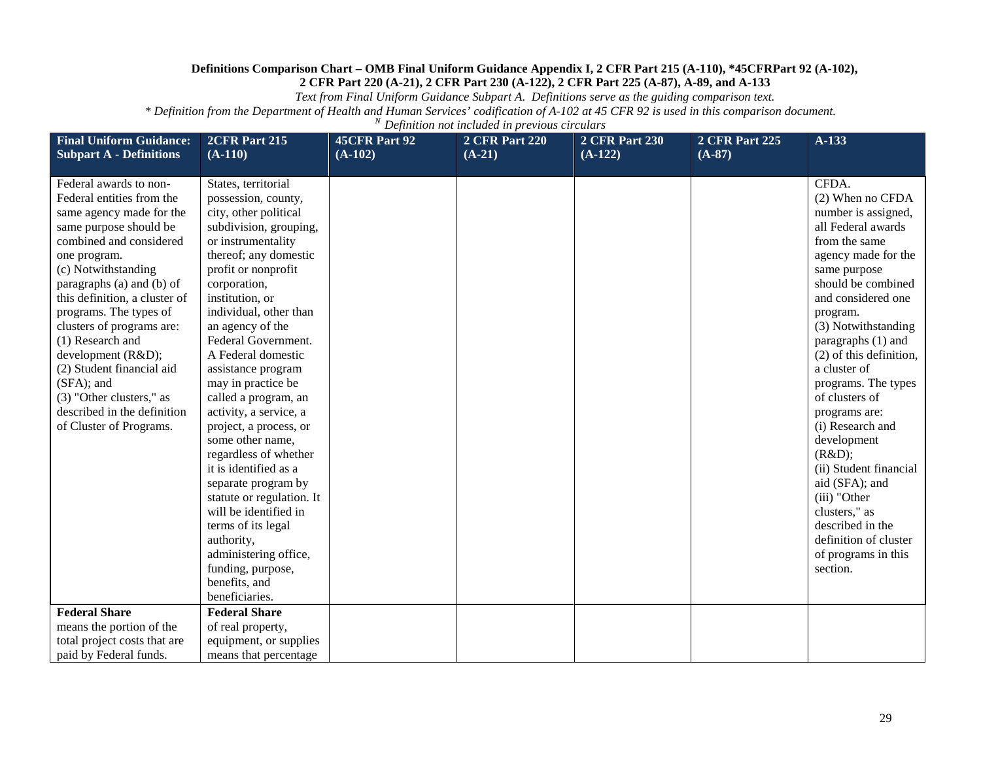*Text from Final Uniform Guidance Subpart A. Definitions serve as the guiding comparison text.*

| <b>Final Uniform Guidance:</b><br><b>Subpart A - Definitions</b>                                                                                                                                                                                                                                                                                                                                                                                                                                    | 2CFR Part 215<br>$(A-110)$                                                                                                                                                                                                                                                                                                                                                                                                                                                                                                                                                                                                                                                                                                | <b>45CFR Part 92</b><br>$(A-102)$ | <b>2 CFR Part 220</b><br>$(A-21)$ | <b>2 CFR Part 230</b><br>$(A-122)$ | <b>2 CFR Part 225</b><br>$(A-87)$ | $A-133$                                                                                                                                                                                                                                                                                                                                                                                                                                                                                                                                            |
|-----------------------------------------------------------------------------------------------------------------------------------------------------------------------------------------------------------------------------------------------------------------------------------------------------------------------------------------------------------------------------------------------------------------------------------------------------------------------------------------------------|---------------------------------------------------------------------------------------------------------------------------------------------------------------------------------------------------------------------------------------------------------------------------------------------------------------------------------------------------------------------------------------------------------------------------------------------------------------------------------------------------------------------------------------------------------------------------------------------------------------------------------------------------------------------------------------------------------------------------|-----------------------------------|-----------------------------------|------------------------------------|-----------------------------------|----------------------------------------------------------------------------------------------------------------------------------------------------------------------------------------------------------------------------------------------------------------------------------------------------------------------------------------------------------------------------------------------------------------------------------------------------------------------------------------------------------------------------------------------------|
| Federal awards to non-<br>Federal entities from the<br>same agency made for the<br>same purpose should be<br>combined and considered<br>one program.<br>(c) Notwithstanding<br>paragraphs (a) and (b) of<br>this definition, a cluster of<br>programs. The types of<br>clusters of programs are:<br>(1) Research and<br>development (R&D);<br>(2) Student financial aid<br>(SFA); and<br>(3) "Other clusters," as<br>described in the definition<br>of Cluster of Programs.<br><b>Federal Share</b> | States, territorial<br>possession, county,<br>city, other political<br>subdivision, grouping,<br>or instrumentality<br>thereof; any domestic<br>profit or nonprofit<br>corporation,<br>institution, or<br>individual, other than<br>an agency of the<br>Federal Government.<br>A Federal domestic<br>assistance program<br>may in practice be<br>called a program, an<br>activity, a service, a<br>project, a process, or<br>some other name,<br>regardless of whether<br>it is identified as a<br>separate program by<br>statute or regulation. It<br>will be identified in<br>terms of its legal<br>authority,<br>administering office,<br>funding, purpose,<br>benefits, and<br>beneficiaries.<br><b>Federal Share</b> |                                   |                                   |                                    |                                   | CFDA.<br>(2) When no CFDA<br>number is assigned,<br>all Federal awards<br>from the same<br>agency made for the<br>same purpose<br>should be combined<br>and considered one<br>program.<br>(3) Notwithstanding<br>paragraphs (1) and<br>(2) of this definition,<br>a cluster of<br>programs. The types<br>of clusters of<br>programs are:<br>(i) Research and<br>development<br>(R&D);<br>(ii) Student financial<br>aid (SFA); and<br>(iii) "Other<br>clusters," as<br>described in the<br>definition of cluster<br>of programs in this<br>section. |
| means the portion of the                                                                                                                                                                                                                                                                                                                                                                                                                                                                            | of real property,                                                                                                                                                                                                                                                                                                                                                                                                                                                                                                                                                                                                                                                                                                         |                                   |                                   |                                    |                                   |                                                                                                                                                                                                                                                                                                                                                                                                                                                                                                                                                    |
| total project costs that are                                                                                                                                                                                                                                                                                                                                                                                                                                                                        | equipment, or supplies                                                                                                                                                                                                                                                                                                                                                                                                                                                                                                                                                                                                                                                                                                    |                                   |                                   |                                    |                                   |                                                                                                                                                                                                                                                                                                                                                                                                                                                                                                                                                    |
| paid by Federal funds.                                                                                                                                                                                                                                                                                                                                                                                                                                                                              | means that percentage                                                                                                                                                                                                                                                                                                                                                                                                                                                                                                                                                                                                                                                                                                     |                                   |                                   |                                    |                                   |                                                                                                                                                                                                                                                                                                                                                                                                                                                                                                                                                    |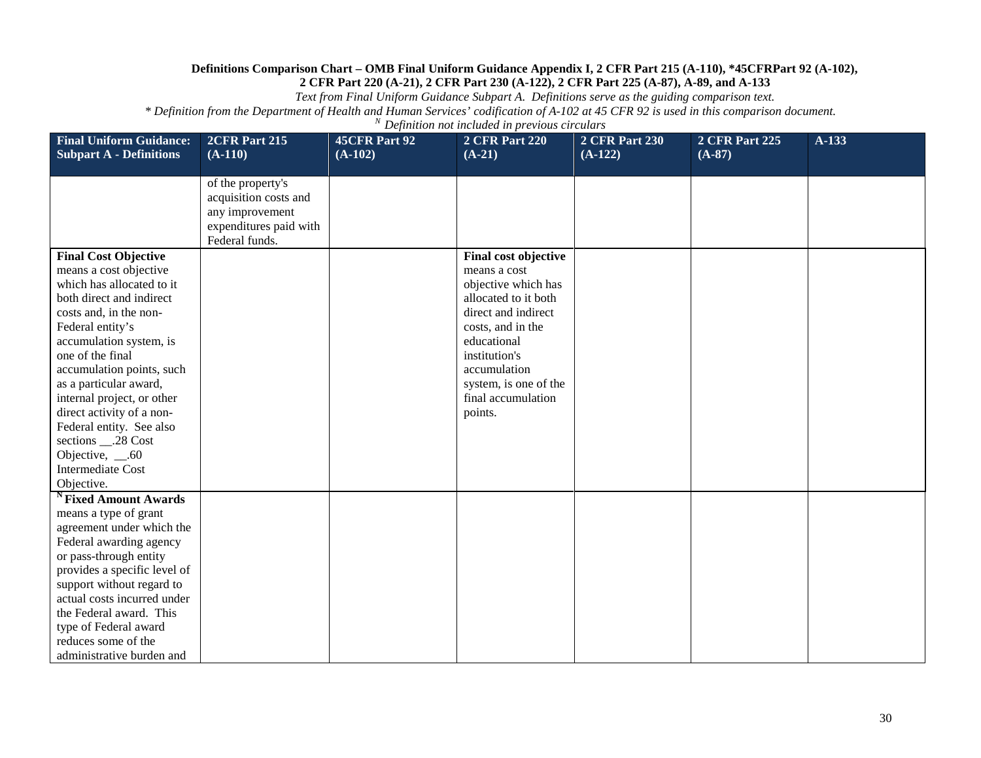*Text from Final Uniform Guidance Subpart A. Definitions serve as the guiding comparison text.*

| <b>Final Uniform Guidance:</b>                                                                                                                                                                                                                                                                                                                                                                                                                      | 2CFR Part 215                                                                                             | <b>45CFR Part 92</b> | <b>2 CFR Part 220</b>                                                                                                                                                                                                                     | <b>2 CFR Part 230</b> | <b>2 CFR Part 225</b> | A-133 |
|-----------------------------------------------------------------------------------------------------------------------------------------------------------------------------------------------------------------------------------------------------------------------------------------------------------------------------------------------------------------------------------------------------------------------------------------------------|-----------------------------------------------------------------------------------------------------------|----------------------|-------------------------------------------------------------------------------------------------------------------------------------------------------------------------------------------------------------------------------------------|-----------------------|-----------------------|-------|
| <b>Subpart A - Definitions</b>                                                                                                                                                                                                                                                                                                                                                                                                                      | $(A-110)$                                                                                                 | $(A-102)$            | $(A-21)$                                                                                                                                                                                                                                  | $(A-122)$             | $(A-87)$              |       |
|                                                                                                                                                                                                                                                                                                                                                                                                                                                     | of the property's<br>acquisition costs and<br>any improvement<br>expenditures paid with<br>Federal funds. |                      |                                                                                                                                                                                                                                           |                       |                       |       |
| <b>Final Cost Objective</b><br>means a cost objective<br>which has allocated to it<br>both direct and indirect<br>costs and, in the non-<br>Federal entity's<br>accumulation system, is<br>one of the final<br>accumulation points, such<br>as a particular award,<br>internal project, or other<br>direct activity of a non-<br>Federal entity. See also<br>sections ___.28 Cost<br>Objective, $\_\$ .60<br><b>Intermediate Cost</b><br>Objective. |                                                                                                           |                      | Final cost objective<br>means a cost<br>objective which has<br>allocated to it both<br>direct and indirect<br>costs, and in the<br>educational<br>institution's<br>accumulation<br>system, is one of the<br>final accumulation<br>points. |                       |                       |       |
| <sup>N</sup> Fixed Amount Awards<br>means a type of grant<br>agreement under which the<br>Federal awarding agency<br>or pass-through entity<br>provides a specific level of<br>support without regard to<br>actual costs incurred under<br>the Federal award. This<br>type of Federal award<br>reduces some of the<br>administrative burden and                                                                                                     |                                                                                                           |                      |                                                                                                                                                                                                                                           |                       |                       |       |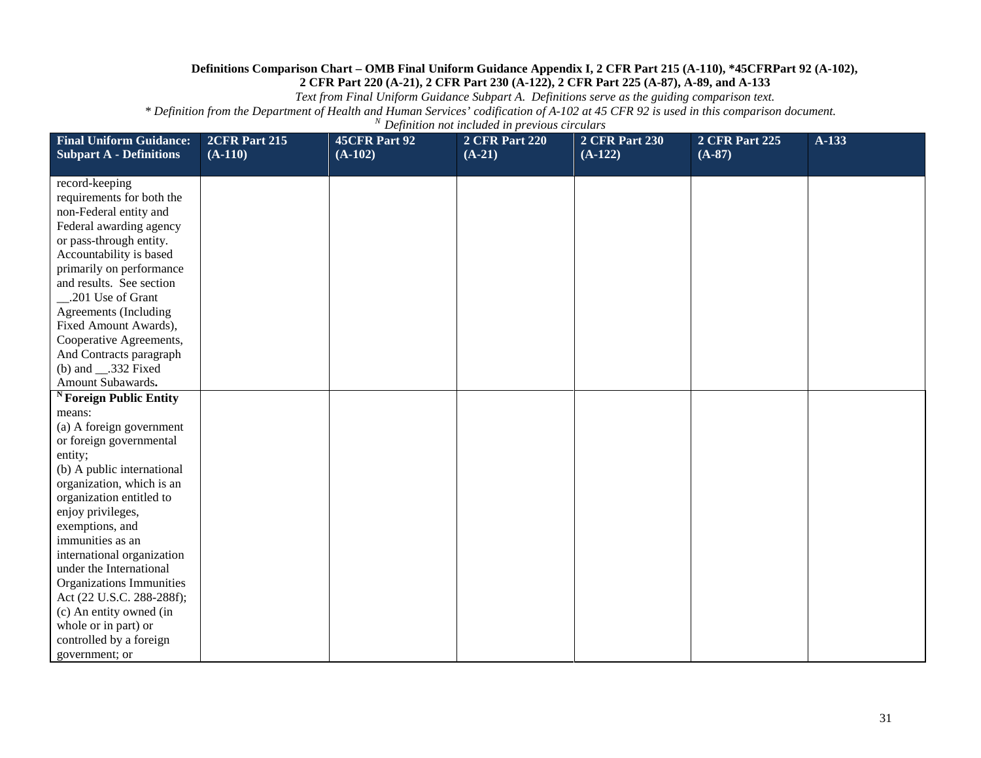*Text from Final Uniform Guidance Subpart A. Definitions serve as the guiding comparison text.*

| <b>Final Uniform Guidance:</b><br><b>Subpart A - Definitions</b> | 2CFR Part 215<br>$(A-110)$ | 45CFR Part 92<br>$(A-102)$ | <b>2 CFR Part 220</b><br>$(A-21)$ | <b>2 CFR Part 230</b><br>$(A-122)$ | <b>2 CFR Part 225</b><br>$(A-87)$ | A-133 |
|------------------------------------------------------------------|----------------------------|----------------------------|-----------------------------------|------------------------------------|-----------------------------------|-------|
|                                                                  |                            |                            |                                   |                                    |                                   |       |
| record-keeping                                                   |                            |                            |                                   |                                    |                                   |       |
| requirements for both the                                        |                            |                            |                                   |                                    |                                   |       |
| non-Federal entity and                                           |                            |                            |                                   |                                    |                                   |       |
| Federal awarding agency                                          |                            |                            |                                   |                                    |                                   |       |
| or pass-through entity.                                          |                            |                            |                                   |                                    |                                   |       |
| Accountability is based                                          |                            |                            |                                   |                                    |                                   |       |
| primarily on performance                                         |                            |                            |                                   |                                    |                                   |       |
| and results. See section                                         |                            |                            |                                   |                                    |                                   |       |
| .201 Use of Grant                                                |                            |                            |                                   |                                    |                                   |       |
| Agreements (Including                                            |                            |                            |                                   |                                    |                                   |       |
| Fixed Amount Awards),                                            |                            |                            |                                   |                                    |                                   |       |
| Cooperative Agreements,                                          |                            |                            |                                   |                                    |                                   |       |
| And Contracts paragraph                                          |                            |                            |                                   |                                    |                                   |       |
| (b) and $\_\_$ .332 Fixed<br>Amount Subawards.                   |                            |                            |                                   |                                    |                                   |       |
|                                                                  |                            |                            |                                   |                                    |                                   |       |
| <sup>N</sup> Foreign Public Entity                               |                            |                            |                                   |                                    |                                   |       |
| means:<br>(a) A foreign government                               |                            |                            |                                   |                                    |                                   |       |
| or foreign governmental                                          |                            |                            |                                   |                                    |                                   |       |
| entity;                                                          |                            |                            |                                   |                                    |                                   |       |
| (b) A public international                                       |                            |                            |                                   |                                    |                                   |       |
| organization, which is an                                        |                            |                            |                                   |                                    |                                   |       |
| organization entitled to                                         |                            |                            |                                   |                                    |                                   |       |
| enjoy privileges,                                                |                            |                            |                                   |                                    |                                   |       |
| exemptions, and                                                  |                            |                            |                                   |                                    |                                   |       |
| immunities as an                                                 |                            |                            |                                   |                                    |                                   |       |
| international organization                                       |                            |                            |                                   |                                    |                                   |       |
| under the International                                          |                            |                            |                                   |                                    |                                   |       |
| Organizations Immunities                                         |                            |                            |                                   |                                    |                                   |       |
| Act (22 U.S.C. 288-288f);                                        |                            |                            |                                   |                                    |                                   |       |
| (c) An entity owned (in                                          |                            |                            |                                   |                                    |                                   |       |
| whole or in part) or                                             |                            |                            |                                   |                                    |                                   |       |
| controlled by a foreign                                          |                            |                            |                                   |                                    |                                   |       |
| government; or                                                   |                            |                            |                                   |                                    |                                   |       |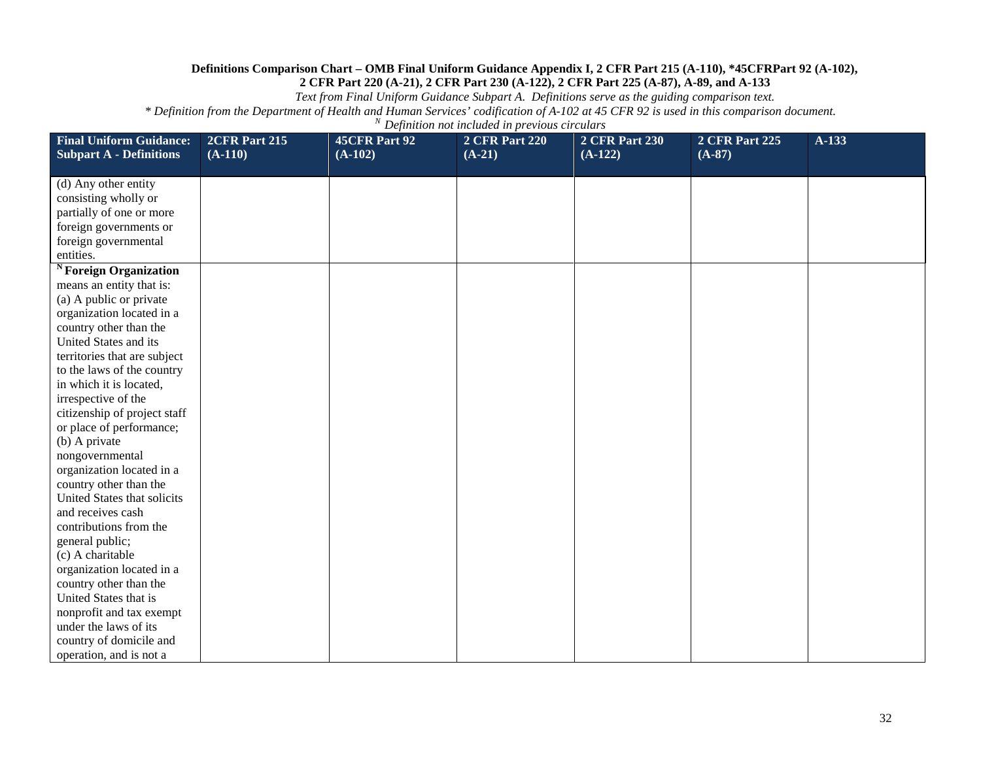*Text from Final Uniform Guidance Subpart A. Definitions serve as the guiding comparison text.*

| <b>Final Uniform Guidance:</b><br><b>Subpart A - Definitions</b> | 2CFR Part 215<br>$(A-110)$ | 45CFR Part 92<br>$(A-102)$ | <b>2 CFR Part 220</b><br>$(A-21)$ | <b>2 CFR Part 230</b><br>$(A-122)$ | <b>2 CFR Part 225</b><br>$(A-87)$ | $A-133$ |
|------------------------------------------------------------------|----------------------------|----------------------------|-----------------------------------|------------------------------------|-----------------------------------|---------|
|                                                                  |                            |                            |                                   |                                    |                                   |         |
| (d) Any other entity                                             |                            |                            |                                   |                                    |                                   |         |
| consisting wholly or                                             |                            |                            |                                   |                                    |                                   |         |
| partially of one or more                                         |                            |                            |                                   |                                    |                                   |         |
| foreign governments or                                           |                            |                            |                                   |                                    |                                   |         |
| foreign governmental                                             |                            |                            |                                   |                                    |                                   |         |
| entities.                                                        |                            |                            |                                   |                                    |                                   |         |
| <sup>N</sup> Foreign Organization                                |                            |                            |                                   |                                    |                                   |         |
| means an entity that is:                                         |                            |                            |                                   |                                    |                                   |         |
| (a) A public or private                                          |                            |                            |                                   |                                    |                                   |         |
| organization located in a                                        |                            |                            |                                   |                                    |                                   |         |
| country other than the                                           |                            |                            |                                   |                                    |                                   |         |
| United States and its                                            |                            |                            |                                   |                                    |                                   |         |
| territories that are subject                                     |                            |                            |                                   |                                    |                                   |         |
| to the laws of the country<br>in which it is located,            |                            |                            |                                   |                                    |                                   |         |
| irrespective of the                                              |                            |                            |                                   |                                    |                                   |         |
| citizenship of project staff                                     |                            |                            |                                   |                                    |                                   |         |
| or place of performance;                                         |                            |                            |                                   |                                    |                                   |         |
| (b) A private                                                    |                            |                            |                                   |                                    |                                   |         |
| nongovernmental                                                  |                            |                            |                                   |                                    |                                   |         |
| organization located in a                                        |                            |                            |                                   |                                    |                                   |         |
| country other than the                                           |                            |                            |                                   |                                    |                                   |         |
| United States that solicits                                      |                            |                            |                                   |                                    |                                   |         |
| and receives cash                                                |                            |                            |                                   |                                    |                                   |         |
| contributions from the                                           |                            |                            |                                   |                                    |                                   |         |
| general public;                                                  |                            |                            |                                   |                                    |                                   |         |
| (c) A charitable                                                 |                            |                            |                                   |                                    |                                   |         |
| organization located in a                                        |                            |                            |                                   |                                    |                                   |         |
| country other than the                                           |                            |                            |                                   |                                    |                                   |         |
| United States that is                                            |                            |                            |                                   |                                    |                                   |         |
| nonprofit and tax exempt                                         |                            |                            |                                   |                                    |                                   |         |
| under the laws of its                                            |                            |                            |                                   |                                    |                                   |         |
| country of domicile and                                          |                            |                            |                                   |                                    |                                   |         |
| operation, and is not a                                          |                            |                            |                                   |                                    |                                   |         |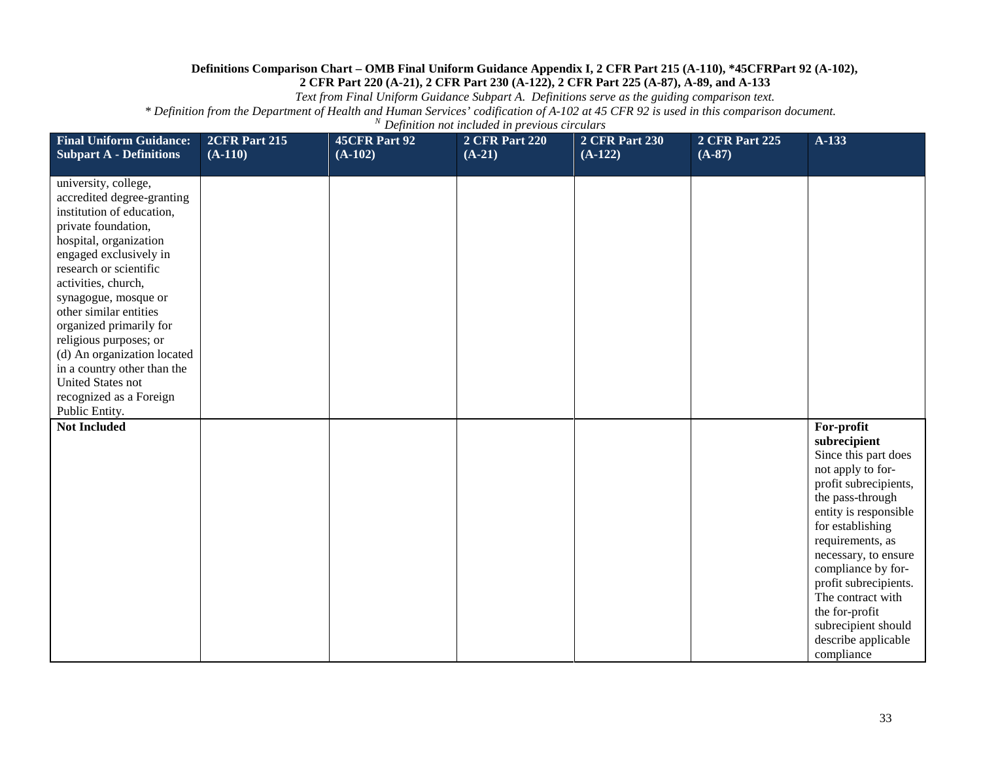*Text from Final Uniform Guidance Subpart A. Definitions serve as the guiding comparison text.*

| <b>Final Uniform Guidance:</b><br><b>Subpart A - Definitions</b>                                                                                                                                                                                                                                                                                                                                                                                          | 2CFR Part 215<br>$(A-110)$ | 45CFR Part 92<br>$(A-102)$ | <b>2 CFR Part 220</b><br>$(A-21)$ | <b>2 CFR Part 230</b><br>$(A-122)$ | <b>2 CFR Part 225</b><br>$(A-87)$ | $A-133$                                                                                                                                                                                                                                                                                                                                                         |
|-----------------------------------------------------------------------------------------------------------------------------------------------------------------------------------------------------------------------------------------------------------------------------------------------------------------------------------------------------------------------------------------------------------------------------------------------------------|----------------------------|----------------------------|-----------------------------------|------------------------------------|-----------------------------------|-----------------------------------------------------------------------------------------------------------------------------------------------------------------------------------------------------------------------------------------------------------------------------------------------------------------------------------------------------------------|
| university, college,<br>accredited degree-granting<br>institution of education,<br>private foundation,<br>hospital, organization<br>engaged exclusively in<br>research or scientific<br>activities, church,<br>synagogue, mosque or<br>other similar entities<br>organized primarily for<br>religious purposes; or<br>(d) An organization located<br>in a country other than the<br><b>United States not</b><br>recognized as a Foreign<br>Public Entity. |                            |                            |                                   |                                    |                                   |                                                                                                                                                                                                                                                                                                                                                                 |
| <b>Not Included</b>                                                                                                                                                                                                                                                                                                                                                                                                                                       |                            |                            |                                   |                                    |                                   | For-profit<br>subrecipient<br>Since this part does<br>not apply to for-<br>profit subrecipients,<br>the pass-through<br>entity is responsible<br>for establishing<br>requirements, as<br>necessary, to ensure<br>compliance by for-<br>profit subrecipients.<br>The contract with<br>the for-profit<br>subrecipient should<br>describe applicable<br>compliance |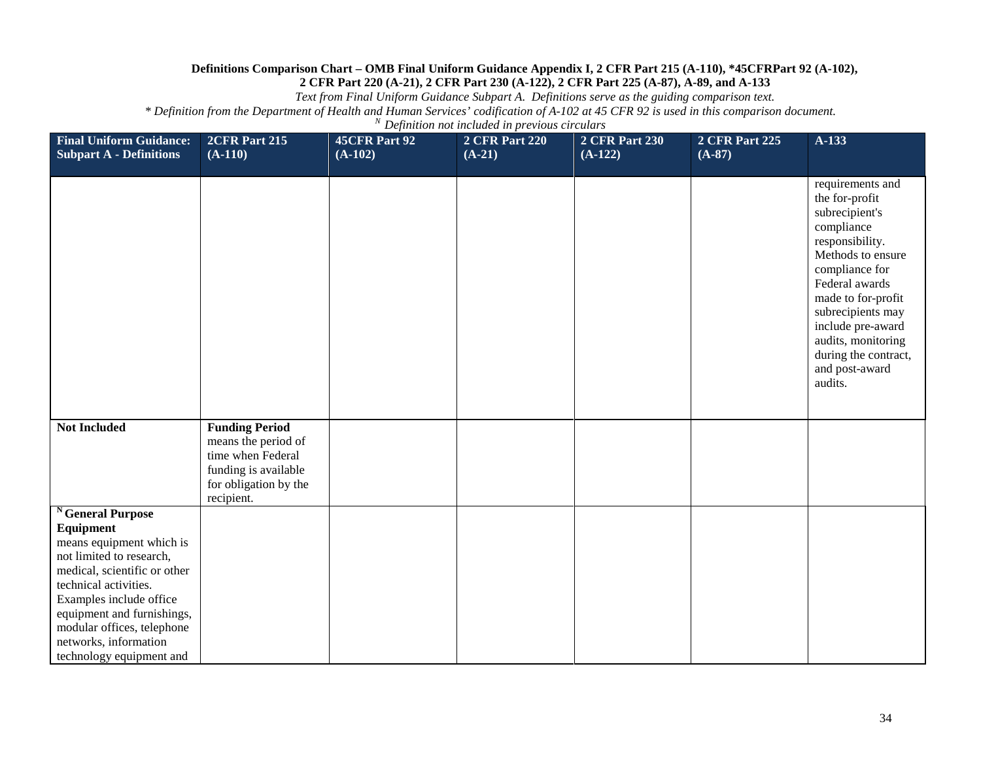*Text from Final Uniform Guidance Subpart A. Definitions serve as the guiding comparison text.*

| <b>Final Uniform Guidance:</b><br><b>Subpart A - Definitions</b>                                                                                                                                                                                                                          | 2CFR Part 215<br>$(A-110)$                                                                                                       | 45CFR Part 92<br>$(A-102)$ | <b>2 CFR Part 220</b><br>$(A-21)$ | <b>2 CFR Part 230</b><br>$(A-122)$ | <b>2 CFR Part 225</b><br>$(A-87)$ | $A-133$                                                                                                                                                                                                                                                                                   |
|-------------------------------------------------------------------------------------------------------------------------------------------------------------------------------------------------------------------------------------------------------------------------------------------|----------------------------------------------------------------------------------------------------------------------------------|----------------------------|-----------------------------------|------------------------------------|-----------------------------------|-------------------------------------------------------------------------------------------------------------------------------------------------------------------------------------------------------------------------------------------------------------------------------------------|
|                                                                                                                                                                                                                                                                                           |                                                                                                                                  |                            |                                   |                                    |                                   | requirements and<br>the for-profit<br>subrecipient's<br>compliance<br>responsibility.<br>Methods to ensure<br>compliance for<br>Federal awards<br>made to for-profit<br>subrecipients may<br>include pre-award<br>audits, monitoring<br>during the contract,<br>and post-award<br>audits. |
| <b>Not Included</b>                                                                                                                                                                                                                                                                       | <b>Funding Period</b><br>means the period of<br>time when Federal<br>funding is available<br>for obligation by the<br>recipient. |                            |                                   |                                    |                                   |                                                                                                                                                                                                                                                                                           |
| General Purpose<br>Equipment<br>means equipment which is<br>not limited to research,<br>medical, scientific or other<br>technical activities.<br>Examples include office<br>equipment and furnishings,<br>modular offices, telephone<br>networks, information<br>technology equipment and |                                                                                                                                  |                            |                                   |                                    |                                   |                                                                                                                                                                                                                                                                                           |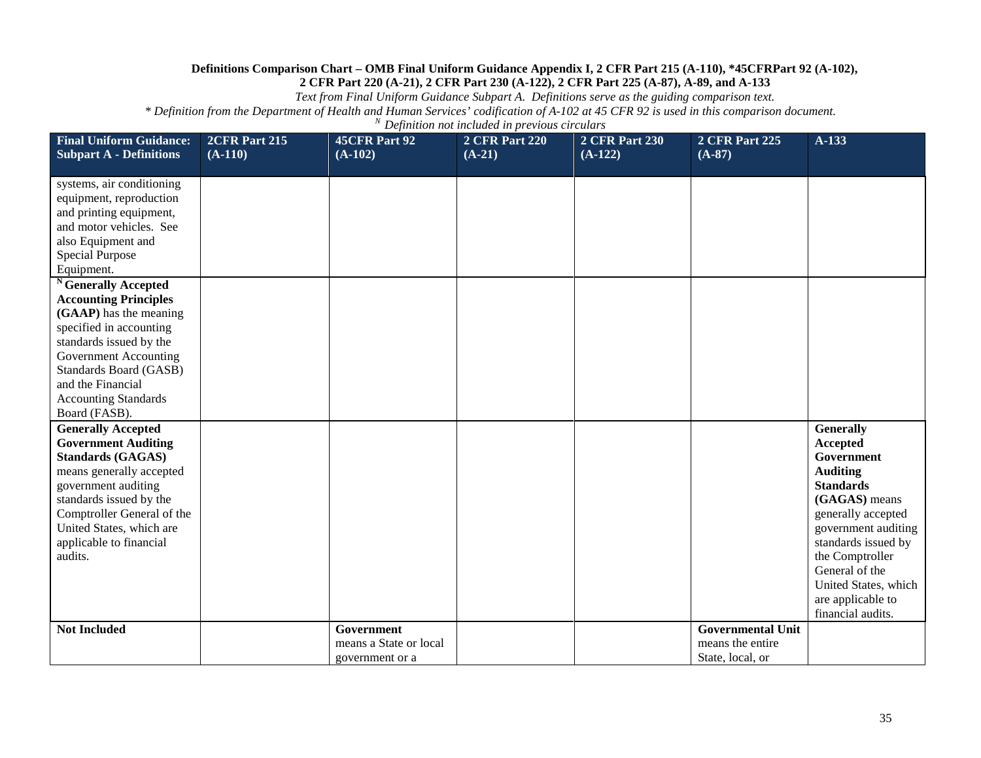*Text from Final Uniform Guidance Subpart A. Definitions serve as the guiding comparison text.*

| <b>Final Uniform Guidance:</b><br><b>Subpart A - Definitions</b>                                                                                                                                                                                                        | 2CFR Part 215<br>$(A-110)$ | 45CFR Part 92<br>$(A-102)$                              | <b>2 CFR Part 220</b><br>$(A-21)$ | <b>2 CFR Part 230</b><br>$(A-122)$ | <b>2 CFR Part 225</b><br>$(A-87)$                                | $A-133$                                                                                                                                                                                                                                                                              |
|-------------------------------------------------------------------------------------------------------------------------------------------------------------------------------------------------------------------------------------------------------------------------|----------------------------|---------------------------------------------------------|-----------------------------------|------------------------------------|------------------------------------------------------------------|--------------------------------------------------------------------------------------------------------------------------------------------------------------------------------------------------------------------------------------------------------------------------------------|
| systems, air conditioning<br>equipment, reproduction<br>and printing equipment,<br>and motor vehicles. See<br>also Equipment and<br><b>Special Purpose</b><br>Equipment.                                                                                                |                            |                                                         |                                   |                                    |                                                                  |                                                                                                                                                                                                                                                                                      |
| <sup>N</sup> Generally Accepted<br><b>Accounting Principles</b><br>(GAAP) has the meaning<br>specified in accounting<br>standards issued by the<br>Government Accounting<br>Standards Board (GASB)<br>and the Financial<br><b>Accounting Standards</b><br>Board (FASB). |                            |                                                         |                                   |                                    |                                                                  |                                                                                                                                                                                                                                                                                      |
| <b>Generally Accepted</b><br><b>Government Auditing</b><br><b>Standards (GAGAS)</b><br>means generally accepted<br>government auditing<br>standards issued by the<br>Comptroller General of the<br>United States, which are<br>applicable to financial<br>audits.       |                            |                                                         |                                   |                                    |                                                                  | <b>Generally</b><br><b>Accepted</b><br>Government<br><b>Auditing</b><br><b>Standards</b><br>(GAGAS) means<br>generally accepted<br>government auditing<br>standards issued by<br>the Comptroller<br>General of the<br>United States, which<br>are applicable to<br>financial audits. |
| <b>Not Included</b>                                                                                                                                                                                                                                                     |                            | Government<br>means a State or local<br>government or a |                                   |                                    | <b>Governmental Unit</b><br>means the entire<br>State, local, or |                                                                                                                                                                                                                                                                                      |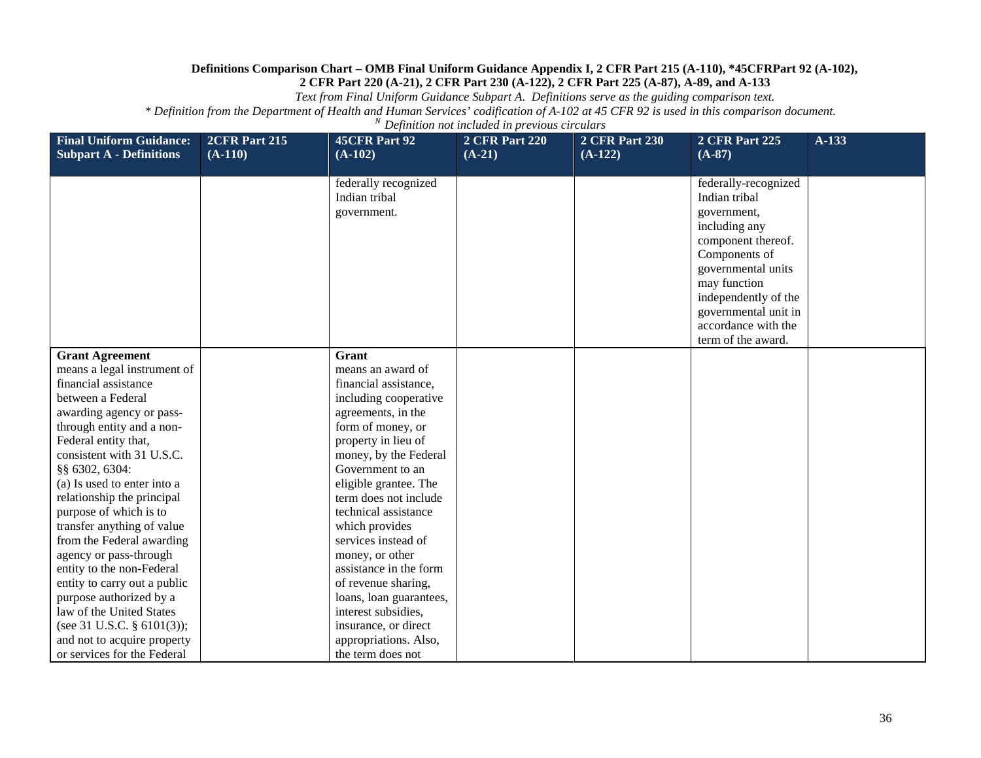*Text from Final Uniform Guidance Subpart A. Definitions serve as the guiding comparison text.*

| <b>Final Uniform Guidance:</b><br><b>Subpart A - Definitions</b> | 2CFR Part 215<br>$(A-110)$ | <b>45CFR Part 92</b><br>$(A-102)$                    | <b>2 CFR Part 220</b><br>$(A-21)$ | <b>2 CFR Part 230</b><br>$(A-122)$ | <b>2 CFR Part 225</b><br>$(A-87)$                                                                                                                                                                                                               | $A-133$ |
|------------------------------------------------------------------|----------------------------|------------------------------------------------------|-----------------------------------|------------------------------------|-------------------------------------------------------------------------------------------------------------------------------------------------------------------------------------------------------------------------------------------------|---------|
|                                                                  |                            | federally recognized<br>Indian tribal<br>government. |                                   |                                    | federally-recognized<br>Indian tribal<br>government,<br>including any<br>component thereof.<br>Components of<br>governmental units<br>may function<br>independently of the<br>governmental unit in<br>accordance with the<br>term of the award. |         |
| <b>Grant Agreement</b>                                           |                            | Grant                                                |                                   |                                    |                                                                                                                                                                                                                                                 |         |
| means a legal instrument of                                      |                            | means an award of                                    |                                   |                                    |                                                                                                                                                                                                                                                 |         |
| financial assistance                                             |                            | financial assistance,                                |                                   |                                    |                                                                                                                                                                                                                                                 |         |
| between a Federal                                                |                            | including cooperative                                |                                   |                                    |                                                                                                                                                                                                                                                 |         |
| awarding agency or pass-                                         |                            | agreements, in the                                   |                                   |                                    |                                                                                                                                                                                                                                                 |         |
| through entity and a non-                                        |                            | form of money, or                                    |                                   |                                    |                                                                                                                                                                                                                                                 |         |
| Federal entity that,                                             |                            | property in lieu of                                  |                                   |                                    |                                                                                                                                                                                                                                                 |         |
| consistent with 31 U.S.C.                                        |                            | money, by the Federal                                |                                   |                                    |                                                                                                                                                                                                                                                 |         |
| §§ 6302, 6304:                                                   |                            | Government to an                                     |                                   |                                    |                                                                                                                                                                                                                                                 |         |
| (a) Is used to enter into a                                      |                            | eligible grantee. The                                |                                   |                                    |                                                                                                                                                                                                                                                 |         |
| relationship the principal                                       |                            | term does not include                                |                                   |                                    |                                                                                                                                                                                                                                                 |         |
| purpose of which is to                                           |                            | technical assistance                                 |                                   |                                    |                                                                                                                                                                                                                                                 |         |
| transfer anything of value                                       |                            | which provides                                       |                                   |                                    |                                                                                                                                                                                                                                                 |         |
| from the Federal awarding                                        |                            | services instead of                                  |                                   |                                    |                                                                                                                                                                                                                                                 |         |
| agency or pass-through                                           |                            | money, or other                                      |                                   |                                    |                                                                                                                                                                                                                                                 |         |
| entity to the non-Federal                                        |                            | assistance in the form                               |                                   |                                    |                                                                                                                                                                                                                                                 |         |
| entity to carry out a public                                     |                            | of revenue sharing,                                  |                                   |                                    |                                                                                                                                                                                                                                                 |         |
| purpose authorized by a                                          |                            | loans, loan guarantees,                              |                                   |                                    |                                                                                                                                                                                                                                                 |         |
| law of the United States                                         |                            | interest subsidies,                                  |                                   |                                    |                                                                                                                                                                                                                                                 |         |
| (see 31 U.S.C. § 6101(3));                                       |                            | insurance, or direct                                 |                                   |                                    |                                                                                                                                                                                                                                                 |         |
| and not to acquire property                                      |                            | appropriations. Also,                                |                                   |                                    |                                                                                                                                                                                                                                                 |         |
| or services for the Federal                                      |                            | the term does not                                    |                                   |                                    |                                                                                                                                                                                                                                                 |         |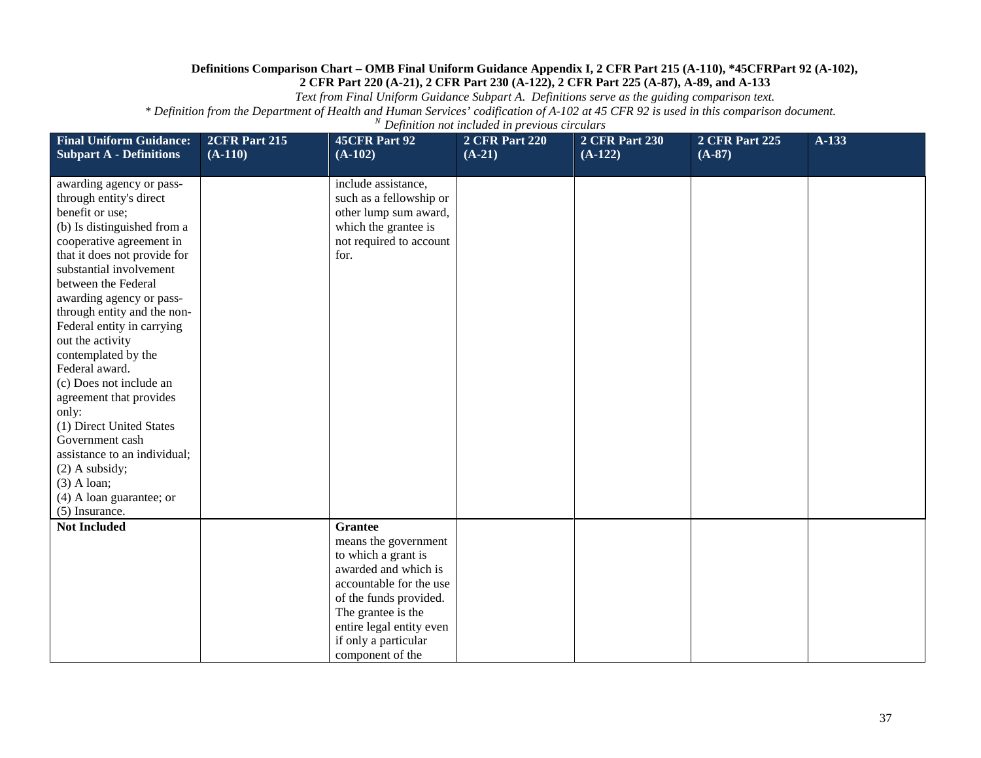*Text from Final Uniform Guidance Subpart A. Definitions serve as the guiding comparison text.*

| <b>Final Uniform Guidance:</b><br><b>Subpart A - Definitions</b>                                                                                                                                                                                                                                                                                                                                                                                                                                                                                                                                           | 2CFR Part 215<br>$(A-110)$ | 45CFR Part 92<br>$(A-102)$                                                                                                                                                                                                               | <b>2 CFR Part 220</b><br>$(A-21)$ | <b>2 CFR Part 230</b><br>$(A-122)$ | <b>2 CFR Part 225</b><br>$(A-87)$ | A-133 |
|------------------------------------------------------------------------------------------------------------------------------------------------------------------------------------------------------------------------------------------------------------------------------------------------------------------------------------------------------------------------------------------------------------------------------------------------------------------------------------------------------------------------------------------------------------------------------------------------------------|----------------------------|------------------------------------------------------------------------------------------------------------------------------------------------------------------------------------------------------------------------------------------|-----------------------------------|------------------------------------|-----------------------------------|-------|
| awarding agency or pass-<br>through entity's direct<br>benefit or use;<br>(b) Is distinguished from a<br>cooperative agreement in<br>that it does not provide for<br>substantial involvement<br>between the Federal<br>awarding agency or pass-<br>through entity and the non-<br>Federal entity in carrying<br>out the activity<br>contemplated by the<br>Federal award.<br>(c) Does not include an<br>agreement that provides<br>only:<br>(1) Direct United States<br>Government cash<br>assistance to an individual;<br>$(2)$ A subsidy;<br>$(3)$ A loan;<br>(4) A loan guarantee; or<br>(5) Insurance. |                            | include assistance,<br>such as a fellowship or<br>other lump sum award,<br>which the grantee is<br>not required to account<br>for.                                                                                                       |                                   |                                    |                                   |       |
| <b>Not Included</b>                                                                                                                                                                                                                                                                                                                                                                                                                                                                                                                                                                                        |                            | <b>Grantee</b><br>means the government<br>to which a grant is<br>awarded and which is<br>accountable for the use<br>of the funds provided.<br>The grantee is the<br>entire legal entity even<br>if only a particular<br>component of the |                                   |                                    |                                   |       |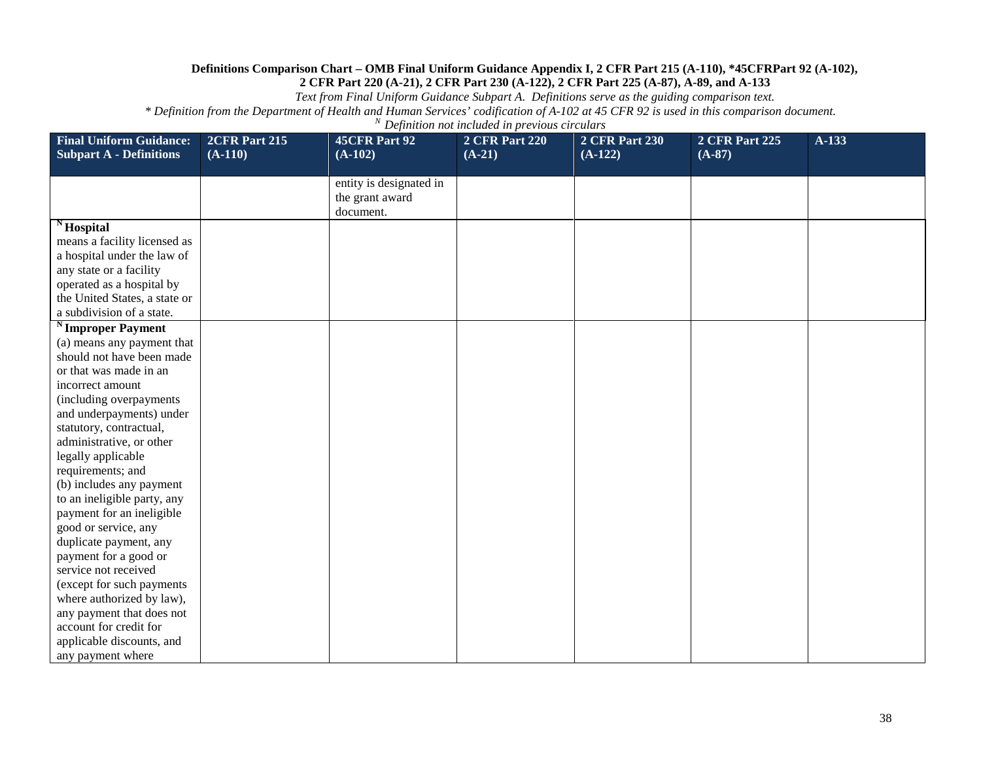*Text from Final Uniform Guidance Subpart A. Definitions serve as the guiding comparison text.*

| <b>Final Uniform Guidance:</b>                                                                                                                                                                                                                                                                                                                                                                                                                                                             | 2CFR Part 215 | 45CFR Part 92                                           | <b>2 CFR Part 220</b> | <b>2 CFR Part 230</b> | <b>2 CFR Part 225</b> | A-133 |
|--------------------------------------------------------------------------------------------------------------------------------------------------------------------------------------------------------------------------------------------------------------------------------------------------------------------------------------------------------------------------------------------------------------------------------------------------------------------------------------------|---------------|---------------------------------------------------------|-----------------------|-----------------------|-----------------------|-------|
| <b>Subpart A - Definitions</b>                                                                                                                                                                                                                                                                                                                                                                                                                                                             | $(A-110)$     | $(A-102)$                                               | $(A-21)$              | $(A-122)$             | $(A-87)$              |       |
|                                                                                                                                                                                                                                                                                                                                                                                                                                                                                            |               | entity is designated in<br>the grant award<br>document. |                       |                       |                       |       |
| $N$ Hospital<br>means a facility licensed as<br>a hospital under the law of<br>any state or a facility<br>operated as a hospital by<br>the United States, a state or<br>a subdivision of a state.                                                                                                                                                                                                                                                                                          |               |                                                         |                       |                       |                       |       |
| <sup>N</sup> Improper Payment<br>(a) means any payment that<br>should not have been made<br>or that was made in an<br>incorrect amount<br>(including overpayments<br>and underpayments) under<br>statutory, contractual,<br>administrative, or other<br>legally applicable<br>requirements; and<br>(b) includes any payment<br>to an ineligible party, any<br>payment for an ineligible<br>good or service, any<br>duplicate payment, any<br>payment for a good or<br>service not received |               |                                                         |                       |                       |                       |       |
| (except for such payments<br>where authorized by law),<br>any payment that does not<br>account for credit for<br>applicable discounts, and<br>any payment where                                                                                                                                                                                                                                                                                                                            |               |                                                         |                       |                       |                       |       |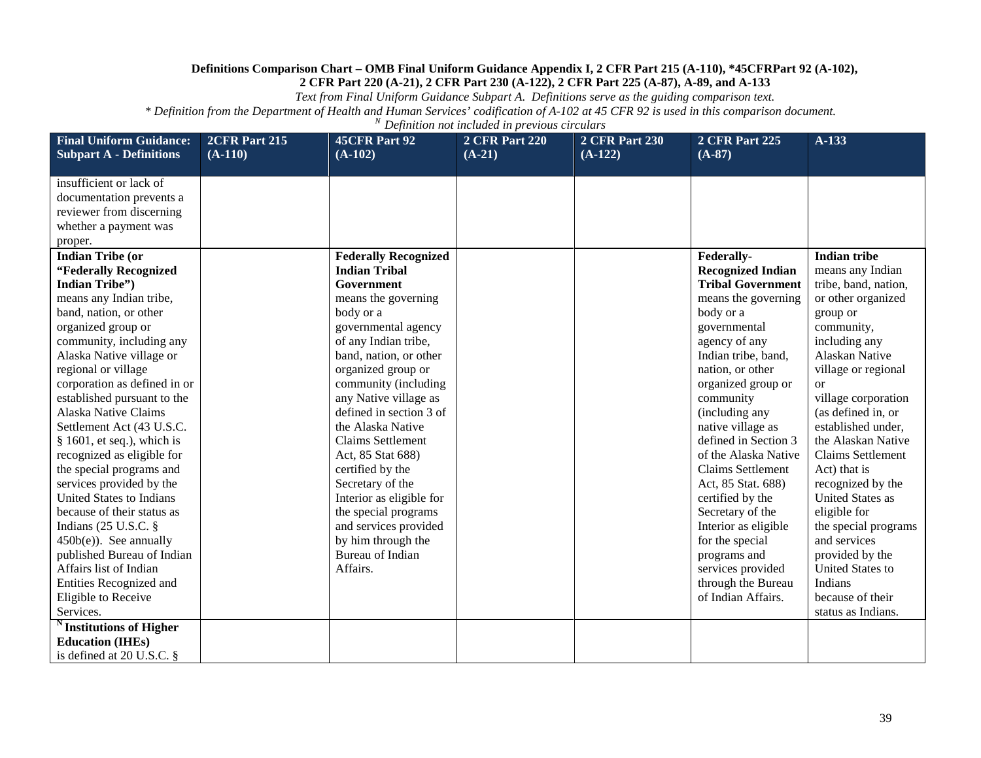*Text from Final Uniform Guidance Subpart A. Definitions serve as the guiding comparison text.*

| <b>Final Uniform Guidance:</b>                          | 2CFR Part 215 | <b>45CFR Part 92</b>                          | <b>2 CFR Part 220</b> | <b>2 CFR Part 230</b> | <b>2 CFR Part 225</b>             | A-133                                |
|---------------------------------------------------------|---------------|-----------------------------------------------|-----------------------|-----------------------|-----------------------------------|--------------------------------------|
| <b>Subpart A - Definitions</b>                          | $(A-110)$     | $(A-102)$                                     | $(A-21)$              | $(A-122)$             | $(A-87)$                          |                                      |
| insufficient or lack of                                 |               |                                               |                       |                       |                                   |                                      |
| documentation prevents a                                |               |                                               |                       |                       |                                   |                                      |
| reviewer from discerning                                |               |                                               |                       |                       |                                   |                                      |
| whether a payment was                                   |               |                                               |                       |                       |                                   |                                      |
| proper.                                                 |               |                                               |                       |                       |                                   |                                      |
| <b>Indian Tribe (or</b>                                 |               | <b>Federally Recognized</b>                   |                       |                       | Federally-                        | <b>Indian tribe</b>                  |
| "Federally Recognized                                   |               | <b>Indian Tribal</b>                          |                       |                       | <b>Recognized Indian</b>          | means any Indian                     |
| <b>Indian Tribe'')</b>                                  |               | Government                                    |                       |                       | <b>Tribal Government</b>          | tribe, band, nation,                 |
| means any Indian tribe,                                 |               | means the governing                           |                       |                       | means the governing               | or other organized                   |
| band, nation, or other                                  |               | body or a                                     |                       |                       | body or a                         | group or                             |
| organized group or                                      |               | governmental agency                           |                       |                       | governmental                      | community,                           |
| community, including any                                |               | of any Indian tribe,                          |                       |                       | agency of any                     | including any                        |
| Alaska Native village or                                |               | band, nation, or other                        |                       |                       | Indian tribe, band,               | <b>Alaskan Native</b>                |
| regional or village                                     |               | organized group or                            |                       |                       | nation, or other                  | village or regional                  |
| corporation as defined in or                            |               | community (including                          |                       |                       | organized group or                | or                                   |
| established pursuant to the                             |               | any Native village as                         |                       |                       | community                         | village corporation                  |
| Alaska Native Claims                                    |               | defined in section 3 of                       |                       |                       | (including any                    | (as defined in, or                   |
| Settlement Act (43 U.S.C.                               |               | the Alaska Native                             |                       |                       | native village as                 | established under,                   |
| $§$ 1601, et seq.), which is                            |               | <b>Claims Settlement</b>                      |                       |                       | defined in Section 3              | the Alaskan Native                   |
| recognized as eligible for                              |               | Act, 85 Stat 688)                             |                       |                       | of the Alaska Native              | <b>Claims Settlement</b>             |
| the special programs and                                |               | certified by the                              |                       |                       | <b>Claims Settlement</b>          | Act) that is                         |
| services provided by the                                |               | Secretary of the                              |                       |                       | Act, 85 Stat. 688)                | recognized by the                    |
| <b>United States to Indians</b>                         |               | Interior as eligible for                      |                       |                       | certified by the                  | <b>United States as</b>              |
| because of their status as                              |               | the special programs                          |                       |                       | Secretary of the                  | eligible for                         |
| Indians (25 U.S.C. §                                    |               | and services provided                         |                       |                       | Interior as eligible              | the special programs<br>and services |
| $450b(e)$ ). See annually<br>published Bureau of Indian |               | by him through the<br><b>Bureau of Indian</b> |                       |                       | for the special                   | provided by the                      |
| Affairs list of Indian                                  |               | Affairs.                                      |                       |                       | programs and<br>services provided | <b>United States to</b>              |
| Entities Recognized and                                 |               |                                               |                       |                       | through the Bureau                | Indians                              |
| Eligible to Receive                                     |               |                                               |                       |                       | of Indian Affairs.                | because of their                     |
| Services.                                               |               |                                               |                       |                       |                                   | status as Indians.                   |
| Institutions of Higher                                  |               |                                               |                       |                       |                                   |                                      |
| <b>Education (IHEs)</b>                                 |               |                                               |                       |                       |                                   |                                      |
| is defined at $20$ U.S.C. $\S$                          |               |                                               |                       |                       |                                   |                                      |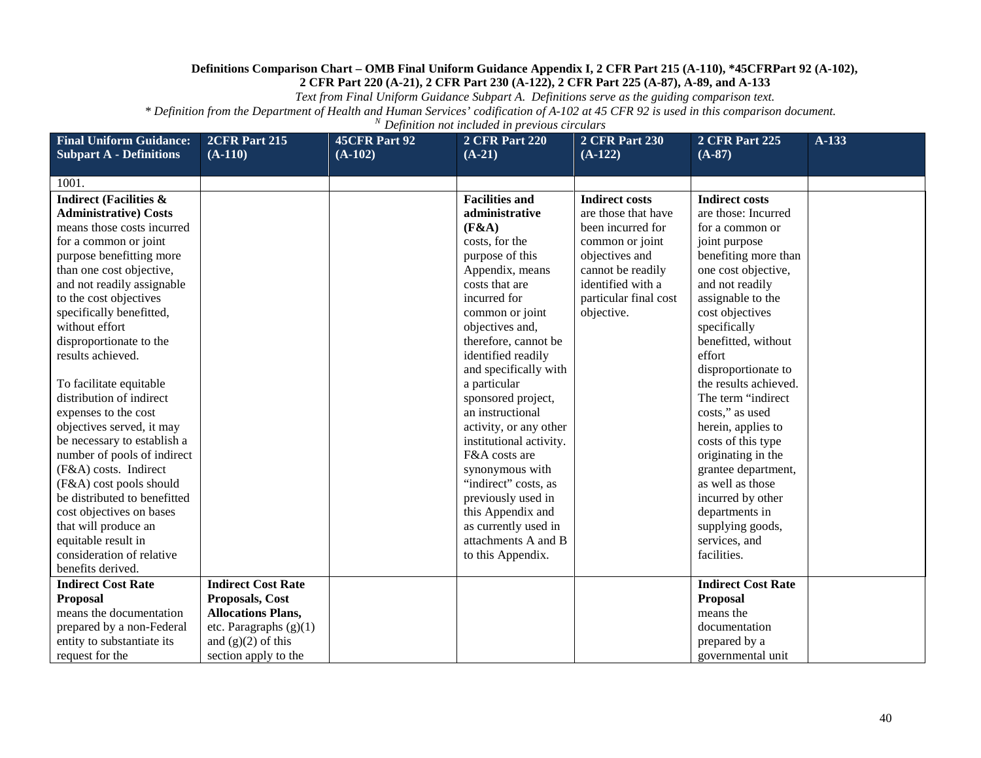*Text from Final Uniform Guidance Subpart A. Definitions serve as the guiding comparison text.*

| <b>Final Uniform Guidance:</b>    | 2CFR Part 215             | <b>45CFR Part 92</b> | <b>2 CFR Part 220</b>   | <b>2 CFR Part 230</b> | <b>2 CFR Part 225</b>     | A-133 |
|-----------------------------------|---------------------------|----------------------|-------------------------|-----------------------|---------------------------|-------|
| <b>Subpart A - Definitions</b>    | $(A-110)$                 | $(A-102)$            | $(A-21)$                | $(A-122)$             | $(A-87)$                  |       |
| 1001.                             |                           |                      |                         |                       |                           |       |
| <b>Indirect (Facilities &amp;</b> |                           |                      | <b>Facilities and</b>   | <b>Indirect costs</b> | <b>Indirect costs</b>     |       |
| <b>Administrative) Costs</b>      |                           |                      | administrative          | are those that have   | are those: Incurred       |       |
| means those costs incurred        |                           |                      | (F&A)                   | been incurred for     | for a common or           |       |
| for a common or joint             |                           |                      | costs, for the          | common or joint       | joint purpose             |       |
| purpose benefitting more          |                           |                      | purpose of this         | objectives and        | benefiting more than      |       |
| than one cost objective,          |                           |                      | Appendix, means         | cannot be readily     | one cost objective,       |       |
| and not readily assignable        |                           |                      | costs that are          | identified with a     | and not readily           |       |
| to the cost objectives            |                           |                      | incurred for            | particular final cost | assignable to the         |       |
| specifically benefitted,          |                           |                      | common or joint         | objective.            | cost objectives           |       |
| without effort                    |                           |                      | objectives and,         |                       | specifically              |       |
| disproportionate to the           |                           |                      | therefore, cannot be    |                       | benefitted, without       |       |
| results achieved.                 |                           |                      | identified readily      |                       | effort                    |       |
|                                   |                           |                      | and specifically with   |                       | disproportionate to       |       |
| To facilitate equitable           |                           |                      | a particular            |                       | the results achieved.     |       |
| distribution of indirect          |                           |                      | sponsored project,      |                       | The term "indirect"       |       |
| expenses to the cost              |                           |                      | an instructional        |                       | costs," as used           |       |
| objectives served, it may         |                           |                      | activity, or any other  |                       | herein, applies to        |       |
| be necessary to establish a       |                           |                      | institutional activity. |                       | costs of this type        |       |
| number of pools of indirect       |                           |                      | F&A costs are           |                       | originating in the        |       |
| (F&A) costs. Indirect             |                           |                      | synonymous with         |                       | grantee department,       |       |
| (F&A) cost pools should           |                           |                      | "indirect" costs, as    |                       | as well as those          |       |
| be distributed to benefitted      |                           |                      | previously used in      |                       | incurred by other         |       |
| cost objectives on bases          |                           |                      | this Appendix and       |                       | departments in            |       |
| that will produce an              |                           |                      | as currently used in    |                       | supplying goods,          |       |
| equitable result in               |                           |                      | attachments A and B     |                       | services, and             |       |
| consideration of relative         |                           |                      | to this Appendix.       |                       | facilities.               |       |
| benefits derived.                 |                           |                      |                         |                       |                           |       |
| <b>Indirect Cost Rate</b>         | <b>Indirect Cost Rate</b> |                      |                         |                       | <b>Indirect Cost Rate</b> |       |
| <b>Proposal</b>                   | Proposals, Cost           |                      |                         |                       | Proposal                  |       |
| means the documentation           | <b>Allocations Plans,</b> |                      |                         |                       | means the                 |       |
| prepared by a non-Federal         | etc. Paragraphs (g)(1)    |                      |                         |                       | documentation             |       |
| entity to substantiate its        | and $(g)(2)$ of this      |                      |                         |                       | prepared by a             |       |
| request for the                   | section apply to the      |                      |                         |                       | governmental unit         |       |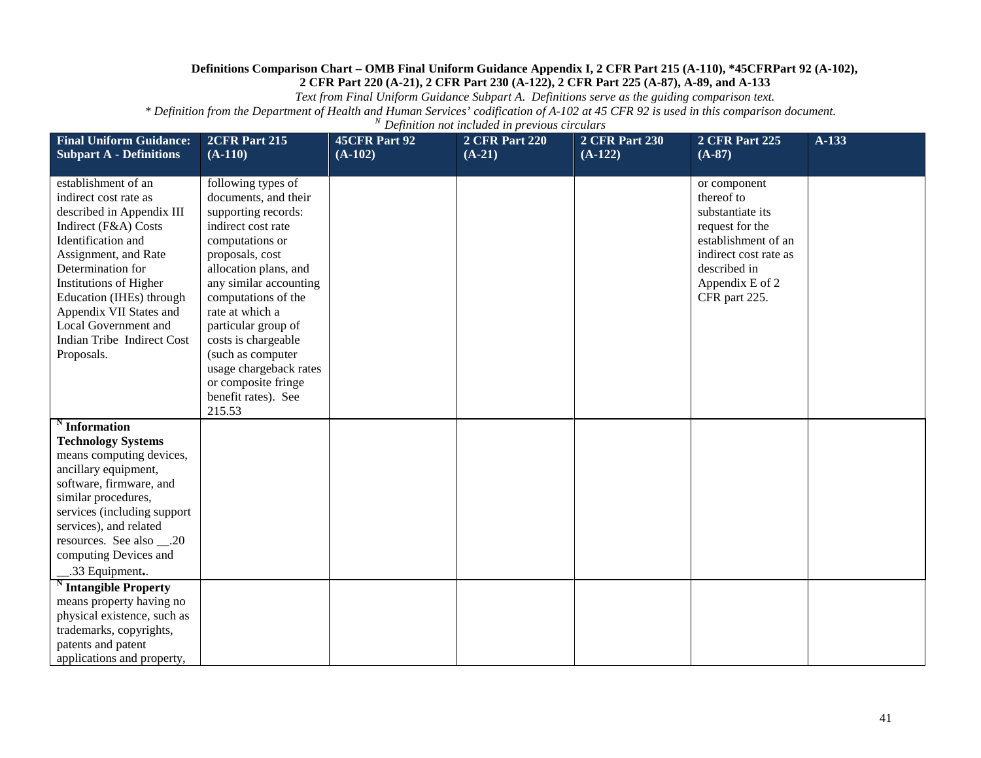*Text from Final Uniform Guidance Subpart A. Definitions serve as the guiding comparison text.*

| <b>Final Uniform Guidance:</b><br><b>Subpart A - Definitions</b>                                                                                                                                                                                                                                                                 | 2CFR Part 215<br>$(A-110)$                                                                                                                                                                                                                                                                                                                                                      | <b>45CFR Part 92</b><br>$(A-102)$ | <b>2 CFR Part 220</b><br>$(A-21)$ | <b>2 CFR Part 230</b><br>$(A-122)$ | <b>2 CFR Part 225</b><br>$(A-87)$                                                                                                                                     | A-133 |
|----------------------------------------------------------------------------------------------------------------------------------------------------------------------------------------------------------------------------------------------------------------------------------------------------------------------------------|---------------------------------------------------------------------------------------------------------------------------------------------------------------------------------------------------------------------------------------------------------------------------------------------------------------------------------------------------------------------------------|-----------------------------------|-----------------------------------|------------------------------------|-----------------------------------------------------------------------------------------------------------------------------------------------------------------------|-------|
| establishment of an<br>indirect cost rate as<br>described in Appendix III<br>Indirect (F&A) Costs<br>Identification and<br>Assignment, and Rate<br>Determination for<br><b>Institutions of Higher</b><br>Education (IHEs) through<br>Appendix VII States and<br>Local Government and<br>Indian Tribe Indirect Cost<br>Proposals. | following types of<br>documents, and their<br>supporting records:<br>indirect cost rate<br>computations or<br>proposals, cost<br>allocation plans, and<br>any similar accounting<br>computations of the<br>rate at which a<br>particular group of<br>costs is chargeable<br>(such as computer<br>usage chargeback rates<br>or composite fringe<br>benefit rates). See<br>215.53 |                                   |                                   |                                    | or component<br>thereof to<br>substantiate its<br>request for the<br>establishment of an<br>indirect cost rate as<br>described in<br>Appendix E of 2<br>CFR part 225. |       |
| <b>Information</b><br><b>Technology Systems</b><br>means computing devices,<br>ancillary equipment,<br>software, firmware, and<br>similar procedures,<br>services (including support<br>services), and related<br>resources. See also ___.20<br>computing Devices and<br>.33 Equipment.                                          |                                                                                                                                                                                                                                                                                                                                                                                 |                                   |                                   |                                    |                                                                                                                                                                       |       |
| <b>Intangible Property</b><br>means property having no<br>physical existence, such as<br>trademarks, copyrights,<br>patents and patent<br>applications and property,                                                                                                                                                             |                                                                                                                                                                                                                                                                                                                                                                                 |                                   |                                   |                                    |                                                                                                                                                                       |       |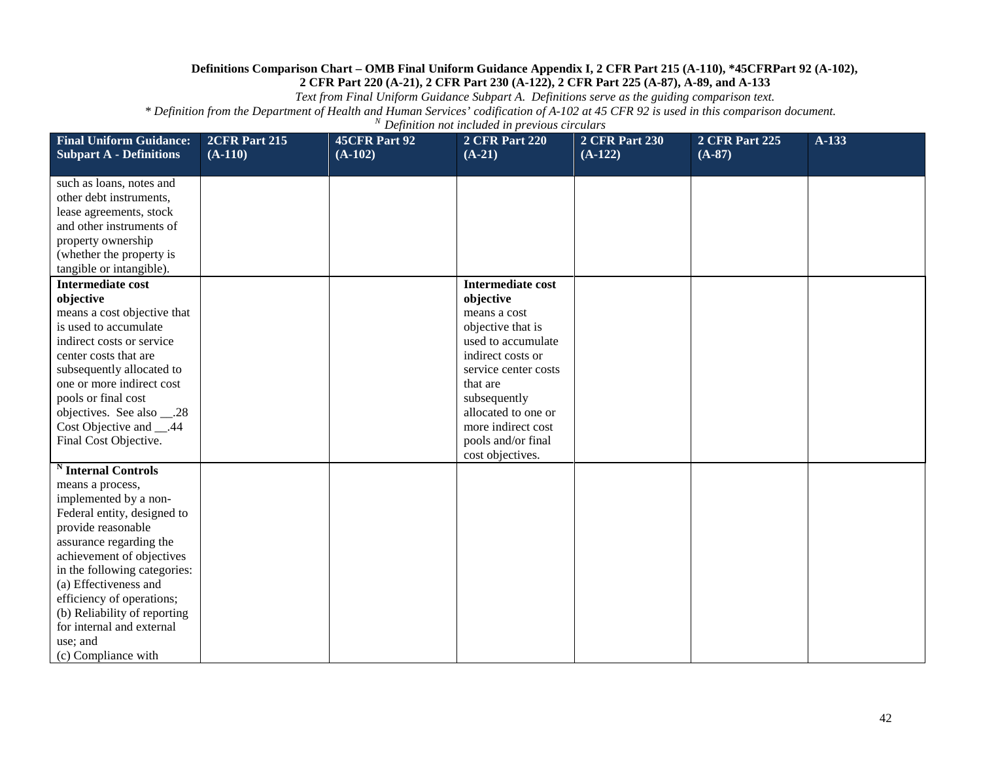*Text from Final Uniform Guidance Subpart A. Definitions serve as the guiding comparison text.*

| <b>Final Uniform Guidance:</b><br><b>Subpart A - Definitions</b>                                                                                                                                                                                                                                                                                                               | 2CFR Part 215<br>$(A-110)$ | 45CFR Part 92<br>$(A-102)$ | <b>2 CFR Part 220</b><br>$(A-21)$                                                                                                                                                                                                                                | <b>2 CFR Part 230</b><br>$(A-122)$ | <b>2 CFR Part 225</b><br>$(A-87)$ | $A-133$ |
|--------------------------------------------------------------------------------------------------------------------------------------------------------------------------------------------------------------------------------------------------------------------------------------------------------------------------------------------------------------------------------|----------------------------|----------------------------|------------------------------------------------------------------------------------------------------------------------------------------------------------------------------------------------------------------------------------------------------------------|------------------------------------|-----------------------------------|---------|
| such as loans, notes and<br>other debt instruments,<br>lease agreements, stock<br>and other instruments of<br>property ownership<br>(whether the property is<br>tangible or intangible).                                                                                                                                                                                       |                            |                            |                                                                                                                                                                                                                                                                  |                                    |                                   |         |
| <b>Intermediate cost</b><br>objective<br>means a cost objective that<br>is used to accumulate<br>indirect costs or service<br>center costs that are<br>subsequently allocated to<br>one or more indirect cost<br>pools or final cost<br>objectives. See also ___.28<br>Cost Objective and __.44<br>Final Cost Objective.                                                       |                            |                            | <b>Intermediate cost</b><br>objective<br>means a cost<br>objective that is<br>used to accumulate<br>indirect costs or<br>service center costs<br>that are<br>subsequently<br>allocated to one or<br>more indirect cost<br>pools and/or final<br>cost objectives. |                                    |                                   |         |
| <sup>N</sup> Internal Controls<br>means a process,<br>implemented by a non-<br>Federal entity, designed to<br>provide reasonable<br>assurance regarding the<br>achievement of objectives<br>in the following categories:<br>(a) Effectiveness and<br>efficiency of operations;<br>(b) Reliability of reporting<br>for internal and external<br>use; and<br>(c) Compliance with |                            |                            |                                                                                                                                                                                                                                                                  |                                    |                                   |         |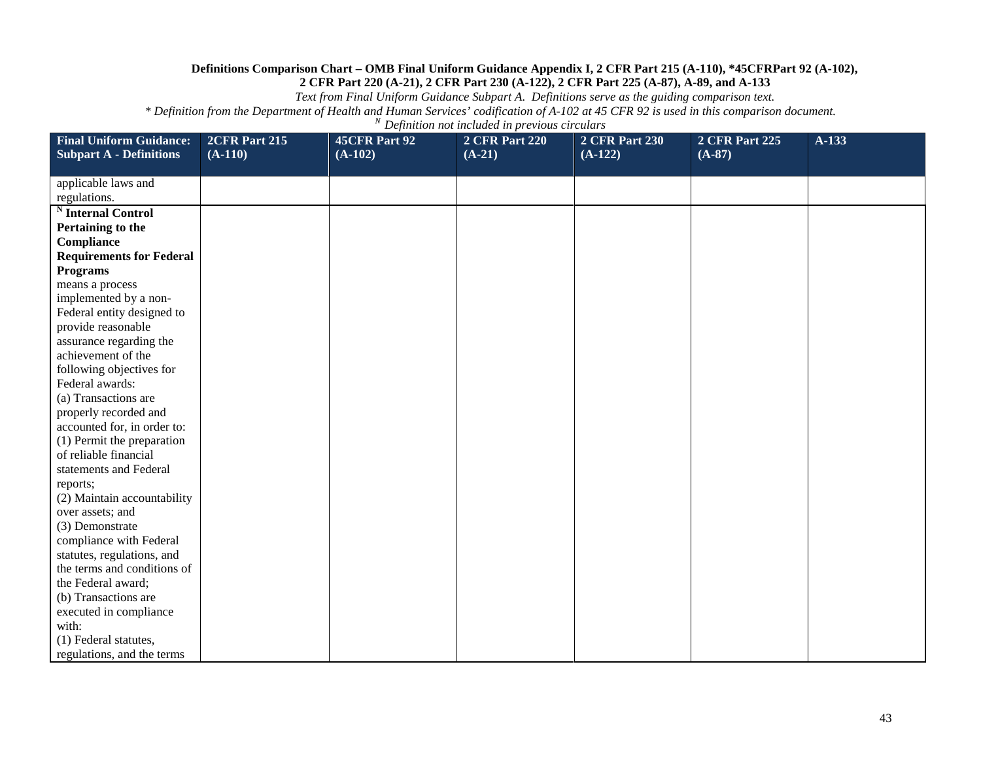*Text from Final Uniform Guidance Subpart A. Definitions serve as the guiding comparison text.*

| <b>Final Uniform Guidance:</b>  | 2CFR Part 215 | 45CFR Part 92 | <b>2 CFR Part 220</b> | <b>2 CFR Part 230</b> | <b>2 CFR Part 225</b> | A-133 |
|---------------------------------|---------------|---------------|-----------------------|-----------------------|-----------------------|-------|
| <b>Subpart A - Definitions</b>  | $(A-110)$     | $(A-102)$     | $(A-21)$              | $(A-122)$             | $(A-87)$              |       |
|                                 |               |               |                       |                       |                       |       |
| applicable laws and             |               |               |                       |                       |                       |       |
| regulations.                    |               |               |                       |                       |                       |       |
| <b>Internal Control</b>         |               |               |                       |                       |                       |       |
| Pertaining to the               |               |               |                       |                       |                       |       |
| Compliance                      |               |               |                       |                       |                       |       |
| <b>Requirements for Federal</b> |               |               |                       |                       |                       |       |
| <b>Programs</b>                 |               |               |                       |                       |                       |       |
| means a process                 |               |               |                       |                       |                       |       |
| implemented by a non-           |               |               |                       |                       |                       |       |
| Federal entity designed to      |               |               |                       |                       |                       |       |
| provide reasonable              |               |               |                       |                       |                       |       |
| assurance regarding the         |               |               |                       |                       |                       |       |
| achievement of the              |               |               |                       |                       |                       |       |
| following objectives for        |               |               |                       |                       |                       |       |
| Federal awards:                 |               |               |                       |                       |                       |       |
| (a) Transactions are            |               |               |                       |                       |                       |       |
| properly recorded and           |               |               |                       |                       |                       |       |
| accounted for, in order to:     |               |               |                       |                       |                       |       |
| (1) Permit the preparation      |               |               |                       |                       |                       |       |
| of reliable financial           |               |               |                       |                       |                       |       |
| statements and Federal          |               |               |                       |                       |                       |       |
| reports;                        |               |               |                       |                       |                       |       |
| (2) Maintain accountability     |               |               |                       |                       |                       |       |
| over assets; and                |               |               |                       |                       |                       |       |
| (3) Demonstrate                 |               |               |                       |                       |                       |       |
| compliance with Federal         |               |               |                       |                       |                       |       |
| statutes, regulations, and      |               |               |                       |                       |                       |       |
| the terms and conditions of     |               |               |                       |                       |                       |       |
| the Federal award;              |               |               |                       |                       |                       |       |
| (b) Transactions are            |               |               |                       |                       |                       |       |
| executed in compliance          |               |               |                       |                       |                       |       |
| with:                           |               |               |                       |                       |                       |       |
| (1) Federal statutes,           |               |               |                       |                       |                       |       |
| regulations, and the terms      |               |               |                       |                       |                       |       |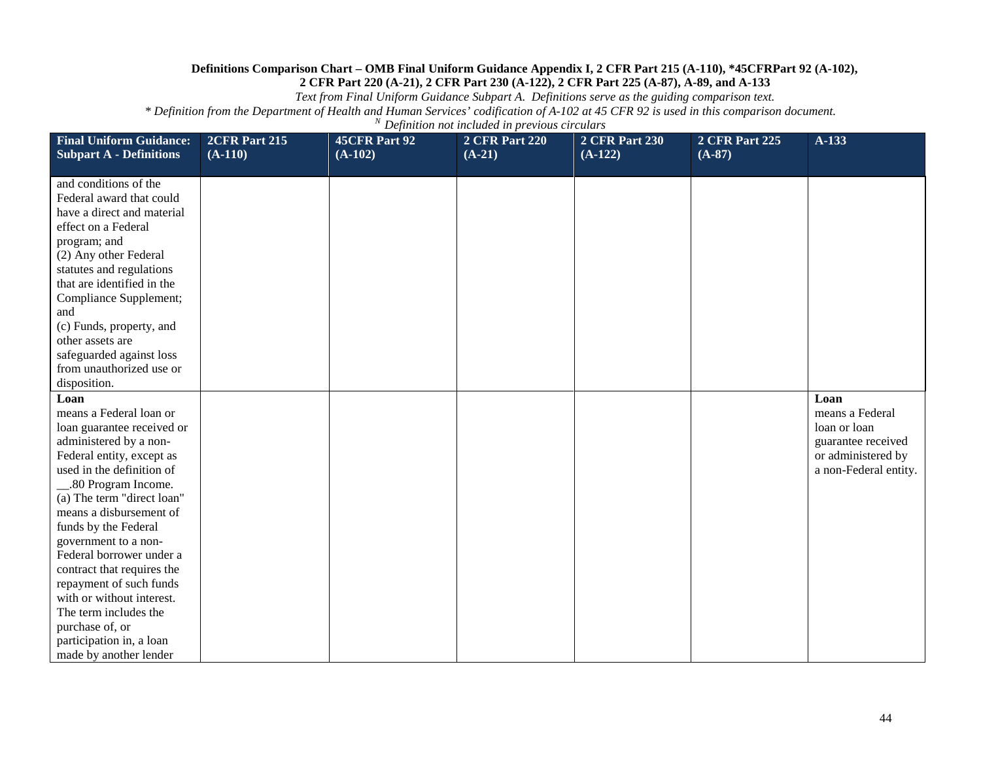*Text from Final Uniform Guidance Subpart A. Definitions serve as the guiding comparison text.*

| <b>Final Uniform Guidance:</b><br><b>Subpart A - Definitions</b>                                                                                                                                                                                                                                                                                                                                                                                                                                     | 2CFR Part 215<br>$(A-110)$ | <b>45CFR Part 92</b><br>$(A-102)$ | <b>2 CFR Part 220</b><br>$(A-21)$ | <b>2 CFR Part 230</b><br>$(A-122)$ | <b>2 CFR Part 225</b><br>$(A-87)$ | $A-133$                                                                                                      |
|------------------------------------------------------------------------------------------------------------------------------------------------------------------------------------------------------------------------------------------------------------------------------------------------------------------------------------------------------------------------------------------------------------------------------------------------------------------------------------------------------|----------------------------|-----------------------------------|-----------------------------------|------------------------------------|-----------------------------------|--------------------------------------------------------------------------------------------------------------|
|                                                                                                                                                                                                                                                                                                                                                                                                                                                                                                      |                            |                                   |                                   |                                    |                                   |                                                                                                              |
| and conditions of the<br>Federal award that could<br>have a direct and material<br>effect on a Federal<br>program; and<br>(2) Any other Federal<br>statutes and regulations<br>that are identified in the<br>Compliance Supplement;<br>and<br>(c) Funds, property, and<br>other assets are<br>safeguarded against loss<br>from unauthorized use or                                                                                                                                                   |                            |                                   |                                   |                                    |                                   |                                                                                                              |
| disposition.                                                                                                                                                                                                                                                                                                                                                                                                                                                                                         |                            |                                   |                                   |                                    |                                   |                                                                                                              |
| Loan<br>means a Federal loan or<br>loan guarantee received or<br>administered by a non-<br>Federal entity, except as<br>used in the definition of<br>80 Program Income.<br>(a) The term "direct loan"<br>means a disbursement of<br>funds by the Federal<br>government to a non-<br>Federal borrower under a<br>contract that requires the<br>repayment of such funds<br>with or without interest.<br>The term includes the<br>purchase of, or<br>participation in, a loan<br>made by another lender |                            |                                   |                                   |                                    |                                   | Loan<br>means a Federal<br>loan or loan<br>guarantee received<br>or administered by<br>a non-Federal entity. |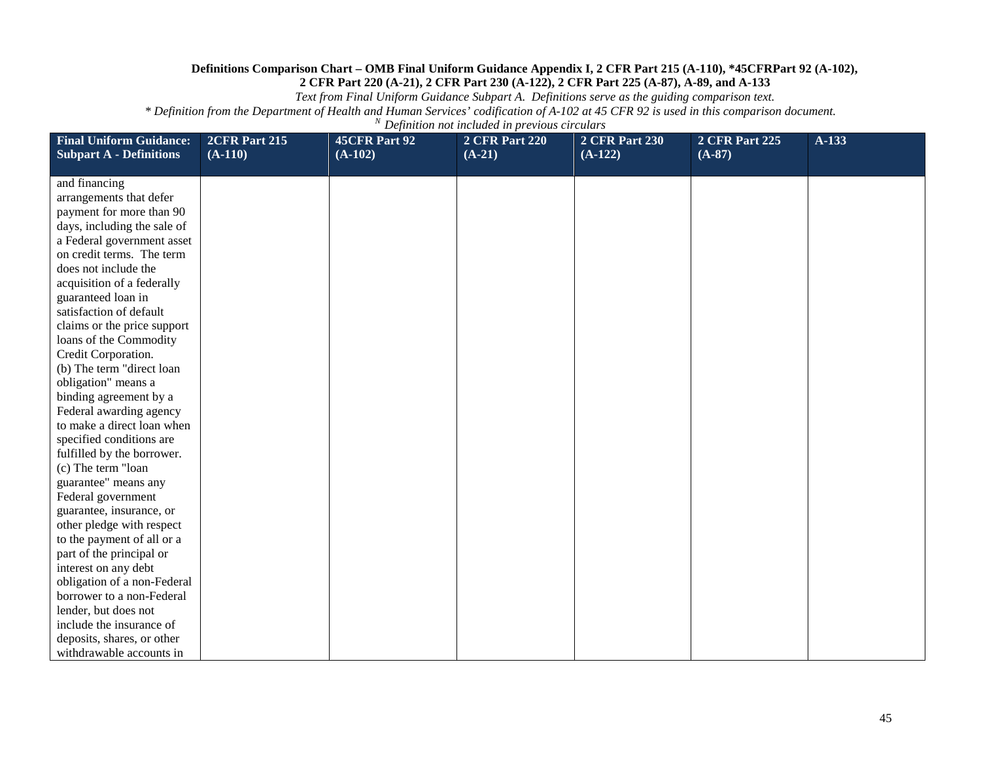*Text from Final Uniform Guidance Subpart A. Definitions serve as the guiding comparison text.*

| <b>Final Uniform Guidance:</b> | 2CFR Part 215 | 45CFR Part 92 | <b>2 CFR Part 220</b> | <b>2 CFR Part 230</b> | <b>2 CFR Part 225</b> | $A-133$ |
|--------------------------------|---------------|---------------|-----------------------|-----------------------|-----------------------|---------|
| <b>Subpart A - Definitions</b> | $(A-110)$     | $(A-102)$     | $(A-21)$              | $(A-122)$             | $(A-87)$              |         |
| and financing                  |               |               |                       |                       |                       |         |
| arrangements that defer        |               |               |                       |                       |                       |         |
| payment for more than 90       |               |               |                       |                       |                       |         |
| days, including the sale of    |               |               |                       |                       |                       |         |
| a Federal government asset     |               |               |                       |                       |                       |         |
| on credit terms. The term      |               |               |                       |                       |                       |         |
| does not include the           |               |               |                       |                       |                       |         |
| acquisition of a federally     |               |               |                       |                       |                       |         |
| guaranteed loan in             |               |               |                       |                       |                       |         |
| satisfaction of default        |               |               |                       |                       |                       |         |
| claims or the price support    |               |               |                       |                       |                       |         |
| loans of the Commodity         |               |               |                       |                       |                       |         |
| Credit Corporation.            |               |               |                       |                       |                       |         |
| (b) The term "direct loan      |               |               |                       |                       |                       |         |
| obligation" means a            |               |               |                       |                       |                       |         |
| binding agreement by a         |               |               |                       |                       |                       |         |
| Federal awarding agency        |               |               |                       |                       |                       |         |
| to make a direct loan when     |               |               |                       |                       |                       |         |
| specified conditions are       |               |               |                       |                       |                       |         |
| fulfilled by the borrower.     |               |               |                       |                       |                       |         |
| (c) The term "loan             |               |               |                       |                       |                       |         |
| guarantee" means any           |               |               |                       |                       |                       |         |
| Federal government             |               |               |                       |                       |                       |         |
| guarantee, insurance, or       |               |               |                       |                       |                       |         |
| other pledge with respect      |               |               |                       |                       |                       |         |
| to the payment of all or a     |               |               |                       |                       |                       |         |
| part of the principal or       |               |               |                       |                       |                       |         |
| interest on any debt           |               |               |                       |                       |                       |         |
| obligation of a non-Federal    |               |               |                       |                       |                       |         |
| borrower to a non-Federal      |               |               |                       |                       |                       |         |
| lender, but does not           |               |               |                       |                       |                       |         |
| include the insurance of       |               |               |                       |                       |                       |         |
| deposits, shares, or other     |               |               |                       |                       |                       |         |
| withdrawable accounts in       |               |               |                       |                       |                       |         |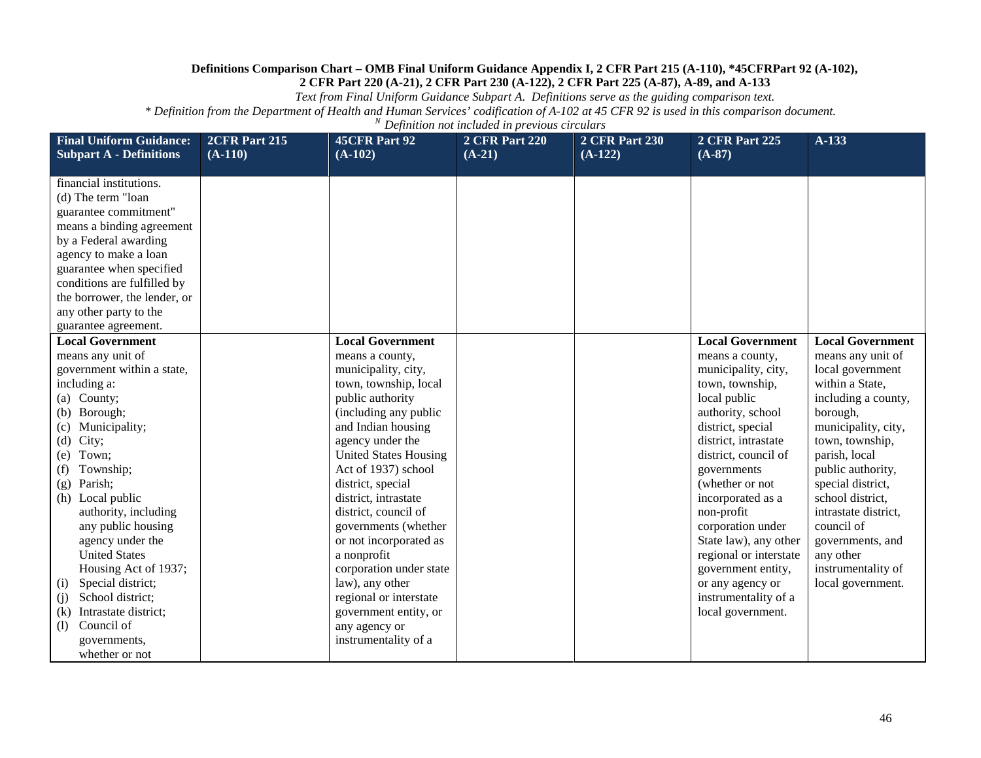*Text from Final Uniform Guidance Subpart A. Definitions serve as the guiding comparison text.*

| <b>Final Uniform Guidance:</b><br><b>Subpart A - Definitions</b>                                                                                                                                                                                                                                                                                                                                                                                                            | 2CFR Part 215<br>$(A-110)$ | <b>45CFR Part 92</b><br>$(A-102)$                                                                                                                                                                                                                                                                                                                                                                                                                                                                | <b>2 CFR Part 220</b><br>$(A-21)$ | <b>2 CFR Part 230</b><br>$(A-122)$ | <b>2 CFR Part 225</b><br>$(A-87)$                                                                                                                                                                                                                                                                                                                                                                                                  | $A-133$                                                                                                                                                                                                                                                                                                                                                           |
|-----------------------------------------------------------------------------------------------------------------------------------------------------------------------------------------------------------------------------------------------------------------------------------------------------------------------------------------------------------------------------------------------------------------------------------------------------------------------------|----------------------------|--------------------------------------------------------------------------------------------------------------------------------------------------------------------------------------------------------------------------------------------------------------------------------------------------------------------------------------------------------------------------------------------------------------------------------------------------------------------------------------------------|-----------------------------------|------------------------------------|------------------------------------------------------------------------------------------------------------------------------------------------------------------------------------------------------------------------------------------------------------------------------------------------------------------------------------------------------------------------------------------------------------------------------------|-------------------------------------------------------------------------------------------------------------------------------------------------------------------------------------------------------------------------------------------------------------------------------------------------------------------------------------------------------------------|
|                                                                                                                                                                                                                                                                                                                                                                                                                                                                             |                            |                                                                                                                                                                                                                                                                                                                                                                                                                                                                                                  |                                   |                                    |                                                                                                                                                                                                                                                                                                                                                                                                                                    |                                                                                                                                                                                                                                                                                                                                                                   |
| financial institutions.<br>(d) The term "loan<br>guarantee commitment"<br>means a binding agreement<br>by a Federal awarding<br>agency to make a loan<br>guarantee when specified<br>conditions are fulfilled by<br>the borrower, the lender, or<br>any other party to the<br>guarantee agreement.                                                                                                                                                                          |                            |                                                                                                                                                                                                                                                                                                                                                                                                                                                                                                  |                                   |                                    |                                                                                                                                                                                                                                                                                                                                                                                                                                    |                                                                                                                                                                                                                                                                                                                                                                   |
| <b>Local Government</b><br>means any unit of<br>government within a state,<br>including a:<br>(a) County;<br>(b) Borough;<br>Municipality;<br>(c)<br>City;<br>(d)<br>Town;<br>(e)<br>Township;<br>(f)<br>Parish;<br>(g)<br>Local public<br>(h)<br>authority, including<br>any public housing<br>agency under the<br><b>United States</b><br>Housing Act of 1937;<br>Special district;<br>(i)<br>School district;<br>(i)<br>Intrastate district;<br>(k)<br>Council of<br>(1) |                            | <b>Local Government</b><br>means a county,<br>municipality, city,<br>town, township, local<br>public authority<br>(including any public<br>and Indian housing<br>agency under the<br><b>United States Housing</b><br>Act of 1937) school<br>district, special<br>district, intrastate<br>district, council of<br>governments (whether<br>or not incorporated as<br>a nonprofit<br>corporation under state<br>law), any other<br>regional or interstate<br>government entity, or<br>any agency or |                                   |                                    | <b>Local Government</b><br>means a county,<br>municipality, city,<br>town, township,<br>local public<br>authority, school<br>district, special<br>district, intrastate<br>district, council of<br>governments<br>(whether or not<br>incorporated as a<br>non-profit<br>corporation under<br>State law), any other<br>regional or interstate<br>government entity,<br>or any agency or<br>instrumentality of a<br>local government. | <b>Local Government</b><br>means any unit of<br>local government<br>within a State,<br>including a county,<br>borough,<br>municipality, city,<br>town, township,<br>parish, local<br>public authority,<br>special district,<br>school district,<br>intrastate district,<br>council of<br>governments, and<br>any other<br>instrumentality of<br>local government. |
| governments,<br>whether or not                                                                                                                                                                                                                                                                                                                                                                                                                                              |                            | instrumentality of a                                                                                                                                                                                                                                                                                                                                                                                                                                                                             |                                   |                                    |                                                                                                                                                                                                                                                                                                                                                                                                                                    |                                                                                                                                                                                                                                                                                                                                                                   |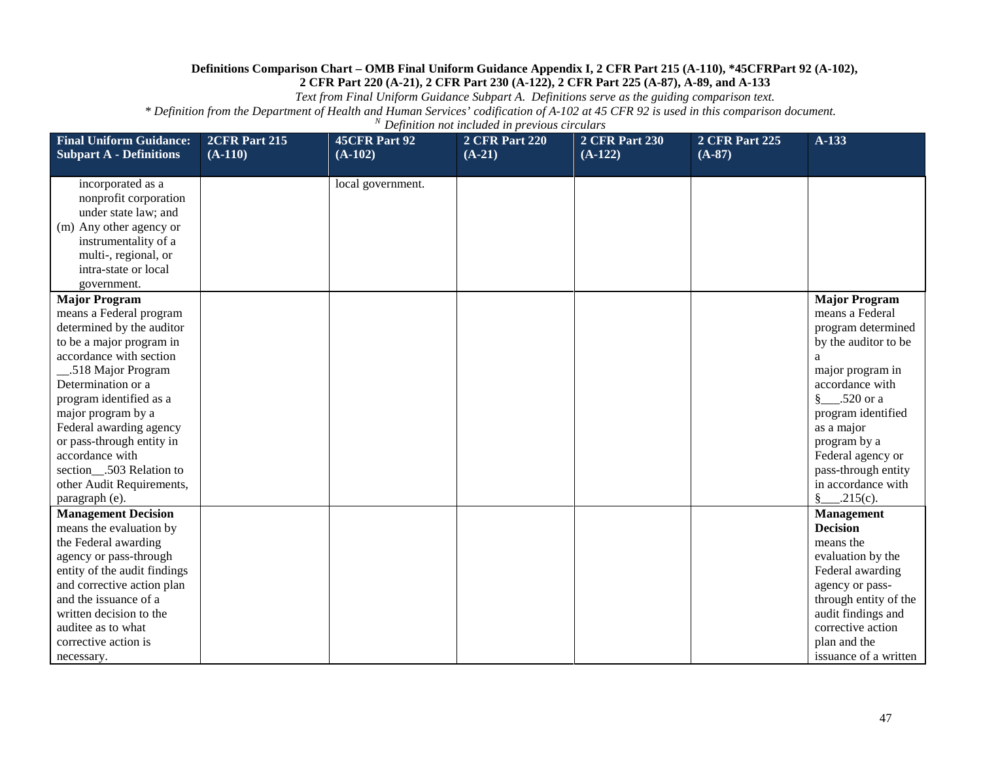*Text from Final Uniform Guidance Subpart A. Definitions serve as the guiding comparison text.*

| <b>Final Uniform Guidance:</b>                      | 2CFR Part 215 | <b>45CFR Part 92</b> | <b>2 CFR Part 220</b><br>$(A-21)$ | <b>2 CFR Part 230</b><br>$(A-122)$ | <b>2 CFR Part 225</b><br>$(A-87)$ | A-133                   |
|-----------------------------------------------------|---------------|----------------------|-----------------------------------|------------------------------------|-----------------------------------|-------------------------|
| <b>Subpart A - Definitions</b>                      | $(A-110)$     | $(A-102)$            |                                   |                                    |                                   |                         |
| incorporated as a                                   |               | local government.    |                                   |                                    |                                   |                         |
| nonprofit corporation                               |               |                      |                                   |                                    |                                   |                         |
| under state law; and                                |               |                      |                                   |                                    |                                   |                         |
| (m) Any other agency or                             |               |                      |                                   |                                    |                                   |                         |
| instrumentality of a                                |               |                      |                                   |                                    |                                   |                         |
| multi-, regional, or                                |               |                      |                                   |                                    |                                   |                         |
| intra-state or local                                |               |                      |                                   |                                    |                                   |                         |
| government.                                         |               |                      |                                   |                                    |                                   |                         |
| <b>Major Program</b>                                |               |                      |                                   |                                    |                                   | <b>Major Program</b>    |
| means a Federal program                             |               |                      |                                   |                                    |                                   | means a Federal         |
| determined by the auditor                           |               |                      |                                   |                                    |                                   | program determined      |
| to be a major program in                            |               |                      |                                   |                                    |                                   | by the auditor to be    |
| accordance with section                             |               |                      |                                   |                                    |                                   |                         |
| .518 Major Program                                  |               |                      |                                   |                                    |                                   | major program in        |
| Determination or a                                  |               |                      |                                   |                                    |                                   | accordance with         |
| program identified as a                             |               |                      |                                   |                                    |                                   | $\S$ .520 or a          |
| major program by a                                  |               |                      |                                   |                                    |                                   | program identified      |
| Federal awarding agency                             |               |                      |                                   |                                    |                                   | as a major              |
| or pass-through entity in                           |               |                      |                                   |                                    |                                   | program by a            |
| accordance with                                     |               |                      |                                   |                                    |                                   | Federal agency or       |
| section_.503 Relation to                            |               |                      |                                   |                                    |                                   | pass-through entity     |
| other Audit Requirements,                           |               |                      |                                   |                                    |                                   | in accordance with      |
| paragraph (e).                                      |               |                      |                                   |                                    |                                   | $\frac{8}{2}$ . 215(c). |
| <b>Management Decision</b>                          |               |                      |                                   |                                    |                                   | <b>Management</b>       |
| means the evaluation by                             |               |                      |                                   |                                    |                                   | <b>Decision</b>         |
| the Federal awarding                                |               |                      |                                   |                                    |                                   | means the               |
| agency or pass-through                              |               |                      |                                   |                                    |                                   | evaluation by the       |
| entity of the audit findings                        |               |                      |                                   |                                    |                                   | Federal awarding        |
| and corrective action plan<br>and the issuance of a |               |                      |                                   |                                    |                                   | agency or pass-         |
|                                                     |               |                      |                                   |                                    |                                   | through entity of the   |
| written decision to the                             |               |                      |                                   |                                    |                                   | audit findings and      |
| auditee as to what                                  |               |                      |                                   |                                    |                                   | corrective action       |
| corrective action is                                |               |                      |                                   |                                    |                                   | plan and the            |
| necessary.                                          |               |                      |                                   |                                    |                                   | issuance of a written   |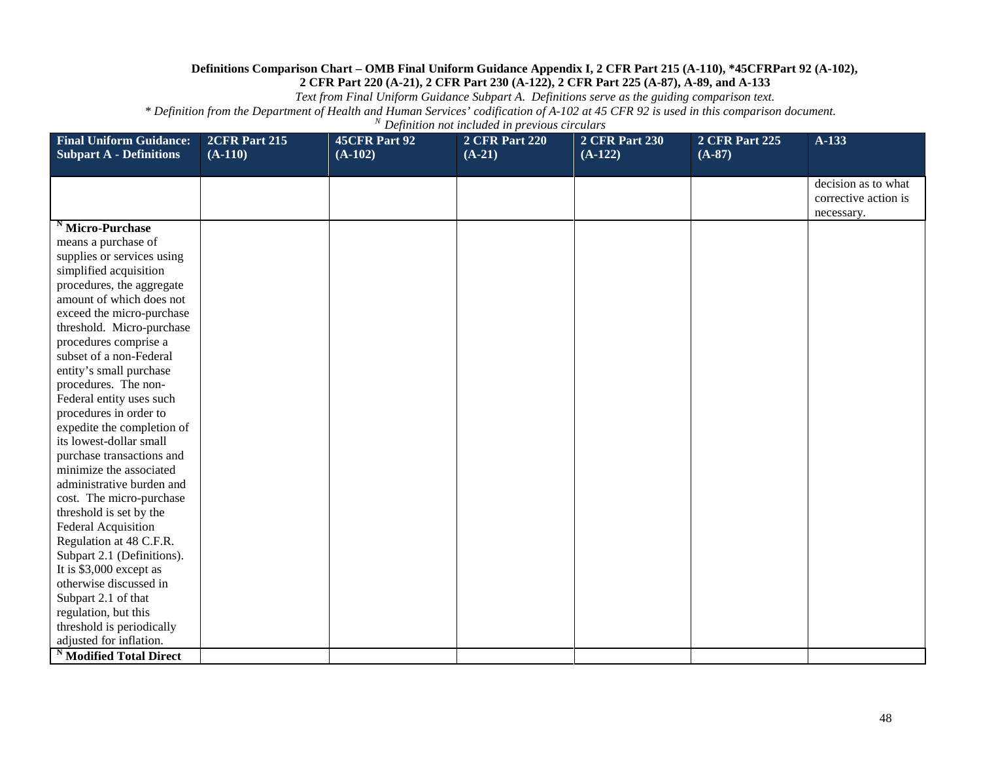*Text from Final Uniform Guidance Subpart A. Definitions serve as the guiding comparison text.*

| <b>Final Uniform Guidance:</b>                       | <b>2CFR Part 215</b> | <b>45CFR Part 92</b> | <b>2 CFR Part 220</b> | <b>2 CFR Part 230</b> | <b>2 CFR Part 225</b> | A-133                              |
|------------------------------------------------------|----------------------|----------------------|-----------------------|-----------------------|-----------------------|------------------------------------|
| <b>Subpart A - Definitions</b>                       | $(A-110)$            | $(A-102)$            | $(A-21)$              | $(A-122)$             | $(A-87)$              |                                    |
|                                                      |                      |                      |                       |                       |                       | decision as to what                |
|                                                      |                      |                      |                       |                       |                       | corrective action is<br>necessary. |
| <sup>N</sup> Micro-Purchase                          |                      |                      |                       |                       |                       |                                    |
| means a purchase of                                  |                      |                      |                       |                       |                       |                                    |
| supplies or services using                           |                      |                      |                       |                       |                       |                                    |
| simplified acquisition                               |                      |                      |                       |                       |                       |                                    |
| procedures, the aggregate                            |                      |                      |                       |                       |                       |                                    |
| amount of which does not                             |                      |                      |                       |                       |                       |                                    |
| exceed the micro-purchase                            |                      |                      |                       |                       |                       |                                    |
| threshold. Micro-purchase                            |                      |                      |                       |                       |                       |                                    |
| procedures comprise a                                |                      |                      |                       |                       |                       |                                    |
| subset of a non-Federal                              |                      |                      |                       |                       |                       |                                    |
| entity's small purchase                              |                      |                      |                       |                       |                       |                                    |
| procedures. The non-                                 |                      |                      |                       |                       |                       |                                    |
| Federal entity uses such                             |                      |                      |                       |                       |                       |                                    |
| procedures in order to<br>expedite the completion of |                      |                      |                       |                       |                       |                                    |
| its lowest-dollar small                              |                      |                      |                       |                       |                       |                                    |
| purchase transactions and                            |                      |                      |                       |                       |                       |                                    |
| minimize the associated                              |                      |                      |                       |                       |                       |                                    |
| administrative burden and                            |                      |                      |                       |                       |                       |                                    |
| cost. The micro-purchase                             |                      |                      |                       |                       |                       |                                    |
| threshold is set by the                              |                      |                      |                       |                       |                       |                                    |
| Federal Acquisition                                  |                      |                      |                       |                       |                       |                                    |
| Regulation at 48 C.F.R.                              |                      |                      |                       |                       |                       |                                    |
| Subpart 2.1 (Definitions).                           |                      |                      |                       |                       |                       |                                    |
| It is \$3,000 except as                              |                      |                      |                       |                       |                       |                                    |
| otherwise discussed in                               |                      |                      |                       |                       |                       |                                    |
| Subpart 2.1 of that                                  |                      |                      |                       |                       |                       |                                    |
| regulation, but this                                 |                      |                      |                       |                       |                       |                                    |
| threshold is periodically                            |                      |                      |                       |                       |                       |                                    |
| adjusted for inflation.                              |                      |                      |                       |                       |                       |                                    |
| <sup>N</sup> Modified Total Direct                   |                      |                      |                       |                       |                       |                                    |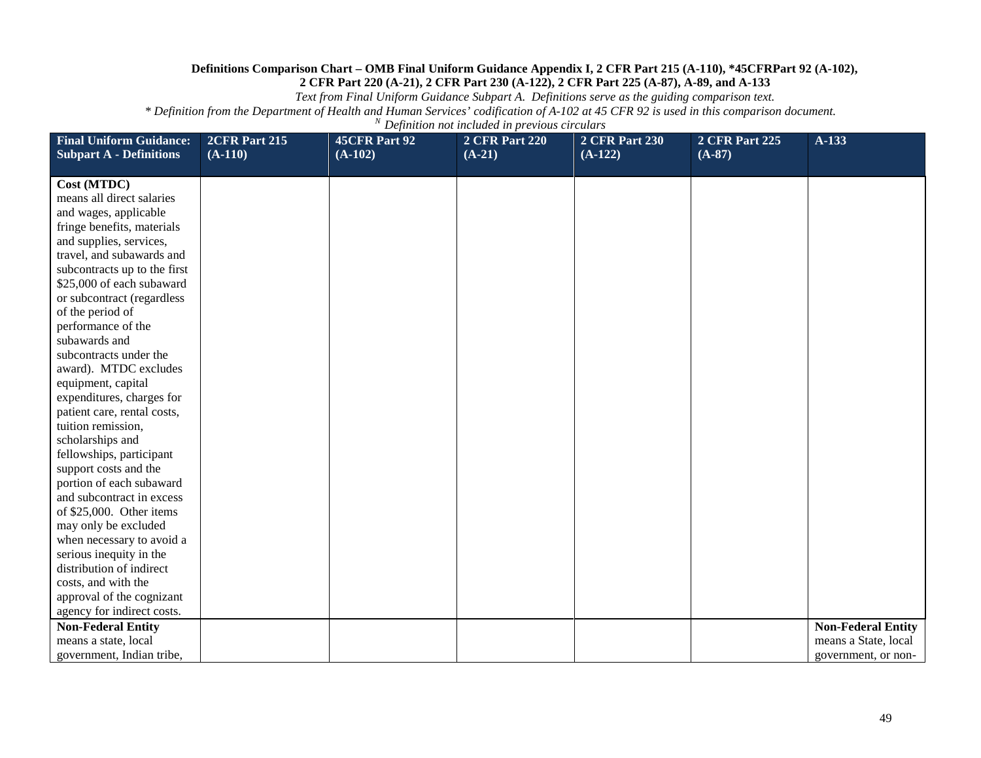*Text from Final Uniform Guidance Subpart A. Definitions serve as the guiding comparison text.*

| <b>Final Uniform Guidance:</b><br><b>Subpart A - Definitions</b> | 2CFR Part 215<br>$(A-110)$ | 45CFR Part 92<br>$(A-102)$ | <b>2 CFR Part 220</b><br>$(A-21)$ | <b>2 CFR Part 230</b><br>$(A-122)$ | <b>2 CFR Part 225</b><br>$(A-87)$ | A-133                     |
|------------------------------------------------------------------|----------------------------|----------------------------|-----------------------------------|------------------------------------|-----------------------------------|---------------------------|
|                                                                  |                            |                            |                                   |                                    |                                   |                           |
| Cost (MTDC)                                                      |                            |                            |                                   |                                    |                                   |                           |
| means all direct salaries                                        |                            |                            |                                   |                                    |                                   |                           |
| and wages, applicable                                            |                            |                            |                                   |                                    |                                   |                           |
| fringe benefits, materials                                       |                            |                            |                                   |                                    |                                   |                           |
| and supplies, services,                                          |                            |                            |                                   |                                    |                                   |                           |
| travel, and subawards and                                        |                            |                            |                                   |                                    |                                   |                           |
| subcontracts up to the first                                     |                            |                            |                                   |                                    |                                   |                           |
| \$25,000 of each subaward                                        |                            |                            |                                   |                                    |                                   |                           |
| or subcontract (regardless                                       |                            |                            |                                   |                                    |                                   |                           |
| of the period of                                                 |                            |                            |                                   |                                    |                                   |                           |
| performance of the                                               |                            |                            |                                   |                                    |                                   |                           |
| subawards and                                                    |                            |                            |                                   |                                    |                                   |                           |
| subcontracts under the                                           |                            |                            |                                   |                                    |                                   |                           |
| award). MTDC excludes                                            |                            |                            |                                   |                                    |                                   |                           |
| equipment, capital                                               |                            |                            |                                   |                                    |                                   |                           |
| expenditures, charges for                                        |                            |                            |                                   |                                    |                                   |                           |
| patient care, rental costs,                                      |                            |                            |                                   |                                    |                                   |                           |
| tuition remission,                                               |                            |                            |                                   |                                    |                                   |                           |
| scholarships and                                                 |                            |                            |                                   |                                    |                                   |                           |
| fellowships, participant                                         |                            |                            |                                   |                                    |                                   |                           |
| support costs and the                                            |                            |                            |                                   |                                    |                                   |                           |
| portion of each subaward                                         |                            |                            |                                   |                                    |                                   |                           |
| and subcontract in excess                                        |                            |                            |                                   |                                    |                                   |                           |
| of \$25,000. Other items                                         |                            |                            |                                   |                                    |                                   |                           |
| may only be excluded                                             |                            |                            |                                   |                                    |                                   |                           |
| when necessary to avoid a                                        |                            |                            |                                   |                                    |                                   |                           |
| serious inequity in the                                          |                            |                            |                                   |                                    |                                   |                           |
| distribution of indirect                                         |                            |                            |                                   |                                    |                                   |                           |
| costs, and with the                                              |                            |                            |                                   |                                    |                                   |                           |
| approval of the cognizant                                        |                            |                            |                                   |                                    |                                   |                           |
| agency for indirect costs.                                       |                            |                            |                                   |                                    |                                   |                           |
| <b>Non-Federal Entity</b>                                        |                            |                            |                                   |                                    |                                   | <b>Non-Federal Entity</b> |
| means a state, local                                             |                            |                            |                                   |                                    |                                   | means a State, local      |
| government, Indian tribe,                                        |                            |                            |                                   |                                    |                                   | government, or non-       |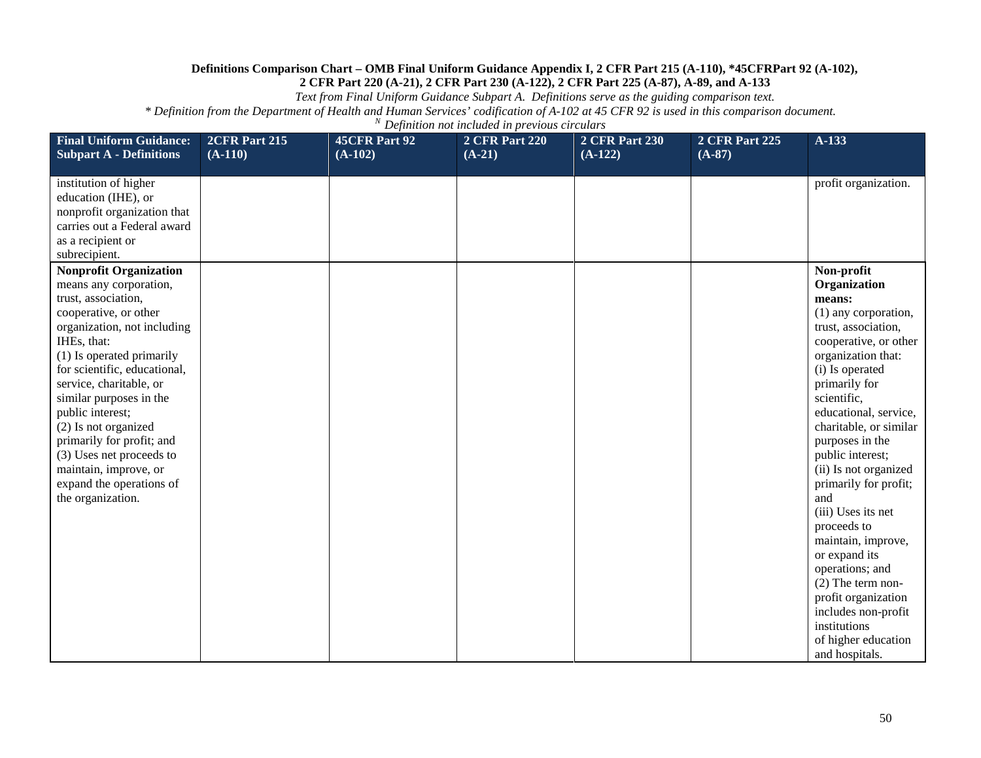*Text from Final Uniform Guidance Subpart A. Definitions serve as the guiding comparison text.*

| <b>Final Uniform Guidance:</b><br><b>Subpart A - Definitions</b>                                                                                                                                                                                                                                                                                                                                                                                        | 2CFR Part 215<br>$(A-110)$ | <b>45CFR Part 92</b><br>$(A-102)$ | <b>2 CFR Part 220</b><br>$(A-21)$ | <b>2 CFR Part 230</b><br>$(A-122)$ | <b>2 CFR Part 225</b><br>$(A-87)$ | A-133                                                                                                                                                                                                                                                                                                                                                                                                                                                                                                                                                                 |
|---------------------------------------------------------------------------------------------------------------------------------------------------------------------------------------------------------------------------------------------------------------------------------------------------------------------------------------------------------------------------------------------------------------------------------------------------------|----------------------------|-----------------------------------|-----------------------------------|------------------------------------|-----------------------------------|-----------------------------------------------------------------------------------------------------------------------------------------------------------------------------------------------------------------------------------------------------------------------------------------------------------------------------------------------------------------------------------------------------------------------------------------------------------------------------------------------------------------------------------------------------------------------|
| institution of higher<br>education (IHE), or<br>nonprofit organization that<br>carries out a Federal award<br>as a recipient or<br>subrecipient.                                                                                                                                                                                                                                                                                                        |                            |                                   |                                   |                                    |                                   | profit organization.                                                                                                                                                                                                                                                                                                                                                                                                                                                                                                                                                  |
| <b>Nonprofit Organization</b><br>means any corporation,<br>trust, association,<br>cooperative, or other<br>organization, not including<br>IHEs, that:<br>(1) Is operated primarily<br>for scientific, educational,<br>service, charitable, or<br>similar purposes in the<br>public interest;<br>(2) Is not organized<br>primarily for profit; and<br>(3) Uses net proceeds to<br>maintain, improve, or<br>expand the operations of<br>the organization. |                            |                                   |                                   |                                    |                                   | Non-profit<br>Organization<br>means:<br>(1) any corporation,<br>trust, association,<br>cooperative, or other<br>organization that:<br>(i) Is operated<br>primarily for<br>scientific,<br>educational, service,<br>charitable, or similar<br>purposes in the<br>public interest;<br>(ii) Is not organized<br>primarily for profit;<br>and<br>(iii) Uses its net<br>proceeds to<br>maintain, improve,<br>or expand its<br>operations; and<br>$(2)$ The term non-<br>profit organization<br>includes non-profit<br>institutions<br>of higher education<br>and hospitals. |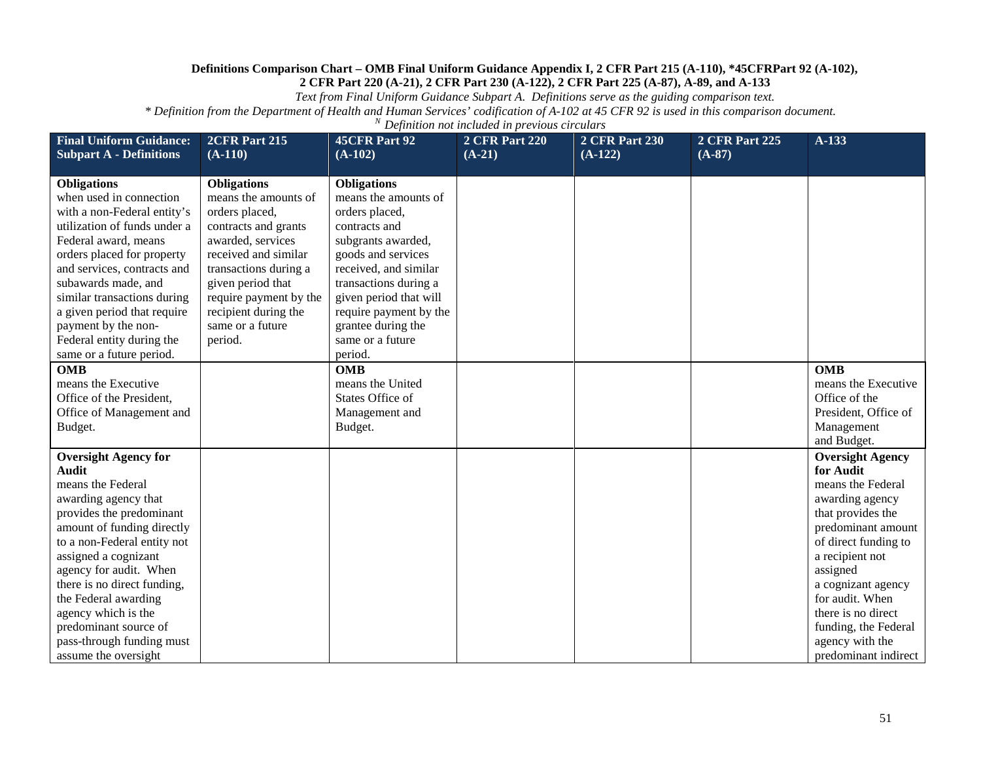*Text from Final Uniform Guidance Subpart A. Definitions serve as the guiding comparison text.*

| <b>Final Uniform Guidance:</b><br><b>Subpart A - Definitions</b>                                                                                                                                                                                                                                                                                                                         | 2CFR Part 215<br>$(A-110)$                                                                                                                                                                                                                                       | <b>45CFR Part 92</b><br>$(A-102)$                                                                                                                                                                                                                                                    | <b>2 CFR Part 220</b><br>$(A-21)$ | <b>2 CFR Part 230</b><br>$(A-122)$ | <b>2 CFR Part 225</b><br>$(A-87)$ | A-133                                                                                                                                                                                                                                                                                                            |
|------------------------------------------------------------------------------------------------------------------------------------------------------------------------------------------------------------------------------------------------------------------------------------------------------------------------------------------------------------------------------------------|------------------------------------------------------------------------------------------------------------------------------------------------------------------------------------------------------------------------------------------------------------------|--------------------------------------------------------------------------------------------------------------------------------------------------------------------------------------------------------------------------------------------------------------------------------------|-----------------------------------|------------------------------------|-----------------------------------|------------------------------------------------------------------------------------------------------------------------------------------------------------------------------------------------------------------------------------------------------------------------------------------------------------------|
|                                                                                                                                                                                                                                                                                                                                                                                          |                                                                                                                                                                                                                                                                  |                                                                                                                                                                                                                                                                                      |                                   |                                    |                                   |                                                                                                                                                                                                                                                                                                                  |
| <b>Obligations</b><br>when used in connection<br>with a non-Federal entity's<br>utilization of funds under a<br>Federal award, means<br>orders placed for property<br>and services, contracts and<br>subawards made, and<br>similar transactions during<br>a given period that require<br>payment by the non-<br>Federal entity during the<br>same or a future period.                   | <b>Obligations</b><br>means the amounts of<br>orders placed,<br>contracts and grants<br>awarded, services<br>received and similar<br>transactions during a<br>given period that<br>require payment by the<br>recipient during the<br>same or a future<br>period. | <b>Obligations</b><br>means the amounts of<br>orders placed,<br>contracts and<br>subgrants awarded,<br>goods and services<br>received, and similar<br>transactions during a<br>given period that will<br>require payment by the<br>grantee during the<br>same or a future<br>period. |                                   |                                    |                                   |                                                                                                                                                                                                                                                                                                                  |
| <b>OMB</b><br>means the Executive<br>Office of the President,<br>Office of Management and<br>Budget.                                                                                                                                                                                                                                                                                     |                                                                                                                                                                                                                                                                  | <b>OMB</b><br>means the United<br>States Office of<br>Management and<br>Budget.                                                                                                                                                                                                      |                                   |                                    |                                   | <b>OMB</b><br>means the Executive<br>Office of the<br>President, Office of<br>Management<br>and Budget.                                                                                                                                                                                                          |
| <b>Oversight Agency for</b><br>Audit<br>means the Federal<br>awarding agency that<br>provides the predominant<br>amount of funding directly<br>to a non-Federal entity not<br>assigned a cognizant<br>agency for audit. When<br>there is no direct funding,<br>the Federal awarding<br>agency which is the<br>predominant source of<br>pass-through funding must<br>assume the oversight |                                                                                                                                                                                                                                                                  |                                                                                                                                                                                                                                                                                      |                                   |                                    |                                   | <b>Oversight Agency</b><br>for Audit<br>means the Federal<br>awarding agency<br>that provides the<br>predominant amount<br>of direct funding to<br>a recipient not<br>assigned<br>a cognizant agency<br>for audit. When<br>there is no direct<br>funding, the Federal<br>agency with the<br>predominant indirect |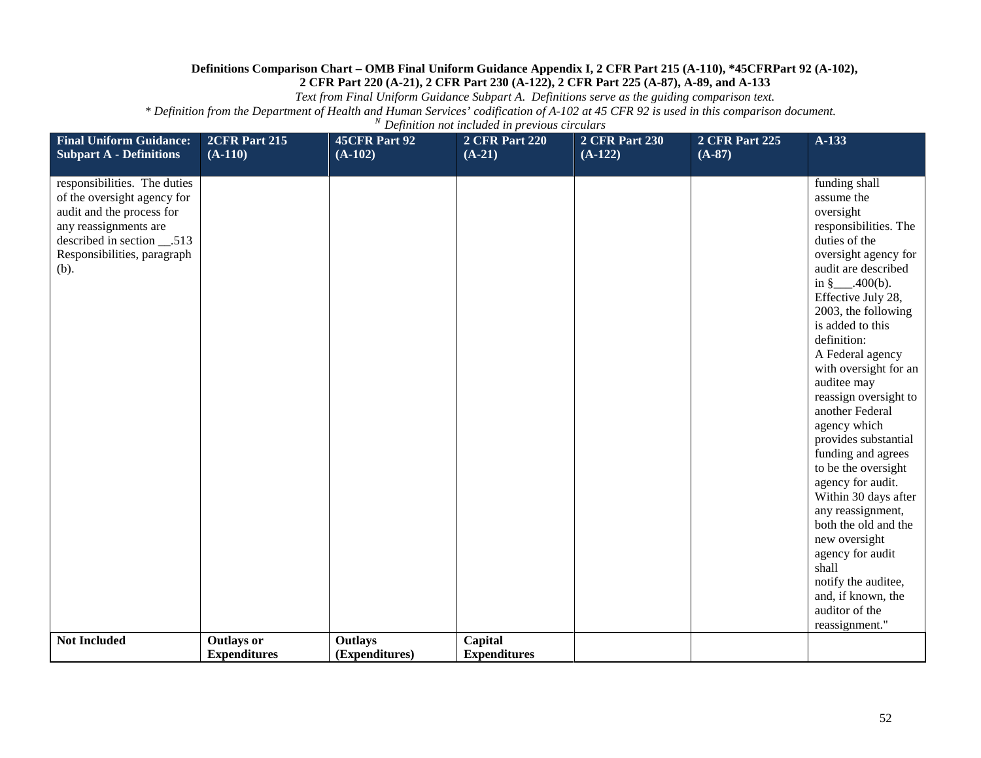*Text from Final Uniform Guidance Subpart A. Definitions serve as the guiding comparison text.*

| <b>Final Uniform Guidance:</b><br><b>Subpart A - Definitions</b> | 2CFR Part 215<br>$(A-110)$ | 45CFR Part 92<br>$(A-102)$ | <b>2 CFR Part 220</b><br>$(A-21)$ | <b>2 CFR Part 230</b><br>$(A-122)$ | <b>2 CFR Part 225</b><br>$(A-87)$ | A-133                                       |
|------------------------------------------------------------------|----------------------------|----------------------------|-----------------------------------|------------------------------------|-----------------------------------|---------------------------------------------|
| responsibilities. The duties                                     |                            |                            |                                   |                                    |                                   | funding shall                               |
| of the oversight agency for                                      |                            |                            |                                   |                                    |                                   | assume the                                  |
| audit and the process for                                        |                            |                            |                                   |                                    |                                   | oversight                                   |
| any reassignments are                                            |                            |                            |                                   |                                    |                                   | responsibilities. The                       |
| described in section __.513                                      |                            |                            |                                   |                                    |                                   | duties of the                               |
| Responsibilities, paragraph<br>(b).                              |                            |                            |                                   |                                    |                                   | oversight agency for<br>audit are described |
|                                                                  |                            |                            |                                   |                                    |                                   | in $\{\frac{\$}{2}, \frac{\$}{400(b)}\}$ .  |
|                                                                  |                            |                            |                                   |                                    |                                   | Effective July 28,                          |
|                                                                  |                            |                            |                                   |                                    |                                   | 2003, the following                         |
|                                                                  |                            |                            |                                   |                                    |                                   | is added to this                            |
|                                                                  |                            |                            |                                   |                                    |                                   | definition:                                 |
|                                                                  |                            |                            |                                   |                                    |                                   | A Federal agency                            |
|                                                                  |                            |                            |                                   |                                    |                                   | with oversight for an                       |
|                                                                  |                            |                            |                                   |                                    |                                   | auditee may                                 |
|                                                                  |                            |                            |                                   |                                    |                                   | reassign oversight to<br>another Federal    |
|                                                                  |                            |                            |                                   |                                    |                                   | agency which                                |
|                                                                  |                            |                            |                                   |                                    |                                   | provides substantial                        |
|                                                                  |                            |                            |                                   |                                    |                                   | funding and agrees                          |
|                                                                  |                            |                            |                                   |                                    |                                   | to be the oversight                         |
|                                                                  |                            |                            |                                   |                                    |                                   | agency for audit.                           |
|                                                                  |                            |                            |                                   |                                    |                                   | Within 30 days after                        |
|                                                                  |                            |                            |                                   |                                    |                                   | any reassignment,                           |
|                                                                  |                            |                            |                                   |                                    |                                   | both the old and the                        |
|                                                                  |                            |                            |                                   |                                    |                                   | new oversight                               |
|                                                                  |                            |                            |                                   |                                    |                                   | agency for audit<br>shall                   |
|                                                                  |                            |                            |                                   |                                    |                                   | notify the auditee,                         |
|                                                                  |                            |                            |                                   |                                    |                                   | and, if known, the                          |
|                                                                  |                            |                            |                                   |                                    |                                   | auditor of the                              |
|                                                                  |                            |                            |                                   |                                    |                                   | reassignment."                              |
| <b>Not Included</b>                                              | <b>Outlays or</b>          | <b>Outlays</b>             | Capital                           |                                    |                                   |                                             |
|                                                                  | <b>Expenditures</b>        | (Expenditures)             | <b>Expenditures</b>               |                                    |                                   |                                             |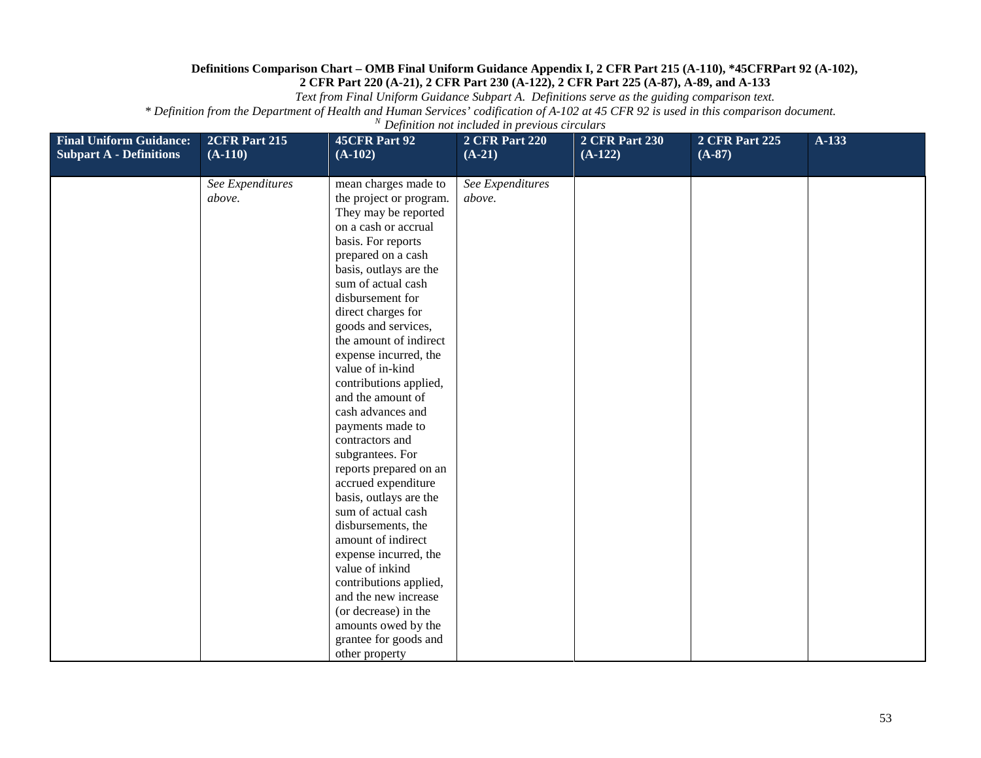*Text from Final Uniform Guidance Subpart A. Definitions serve as the guiding comparison text.*

| <b>Final Uniform Guidance:</b> | 2CFR Part 215              | 45CFR Part 92                                                                                                                                                                                                                                                                                                                                                                                                                                                                                                                                                                                                                                                                                                                                                                                           | <b>2 CFR Part 220</b>      | 2 CFR Part 230 | 2 CFR Part 225 | $A-133$ |
|--------------------------------|----------------------------|---------------------------------------------------------------------------------------------------------------------------------------------------------------------------------------------------------------------------------------------------------------------------------------------------------------------------------------------------------------------------------------------------------------------------------------------------------------------------------------------------------------------------------------------------------------------------------------------------------------------------------------------------------------------------------------------------------------------------------------------------------------------------------------------------------|----------------------------|----------------|----------------|---------|
| <b>Subpart A - Definitions</b> | $(A-110)$                  | $(A-102)$                                                                                                                                                                                                                                                                                                                                                                                                                                                                                                                                                                                                                                                                                                                                                                                               | $(A-21)$                   | $(A-122)$      | $(A-87)$       |         |
|                                | See Expenditures<br>above. | mean charges made to<br>the project or program.<br>They may be reported<br>on a cash or accrual<br>basis. For reports<br>prepared on a cash<br>basis, outlays are the<br>sum of actual cash<br>disbursement for<br>direct charges for<br>goods and services,<br>the amount of indirect<br>expense incurred, the<br>value of in-kind<br>contributions applied,<br>and the amount of<br>cash advances and<br>payments made to<br>contractors and<br>subgrantees. For<br>reports prepared on an<br>accrued expenditure<br>basis, outlays are the<br>sum of actual cash<br>disbursements, the<br>amount of indirect<br>expense incurred, the<br>value of inkind<br>contributions applied,<br>and the new increase<br>(or decrease) in the<br>amounts owed by the<br>grantee for goods and<br>other property | See Expenditures<br>above. |                |                |         |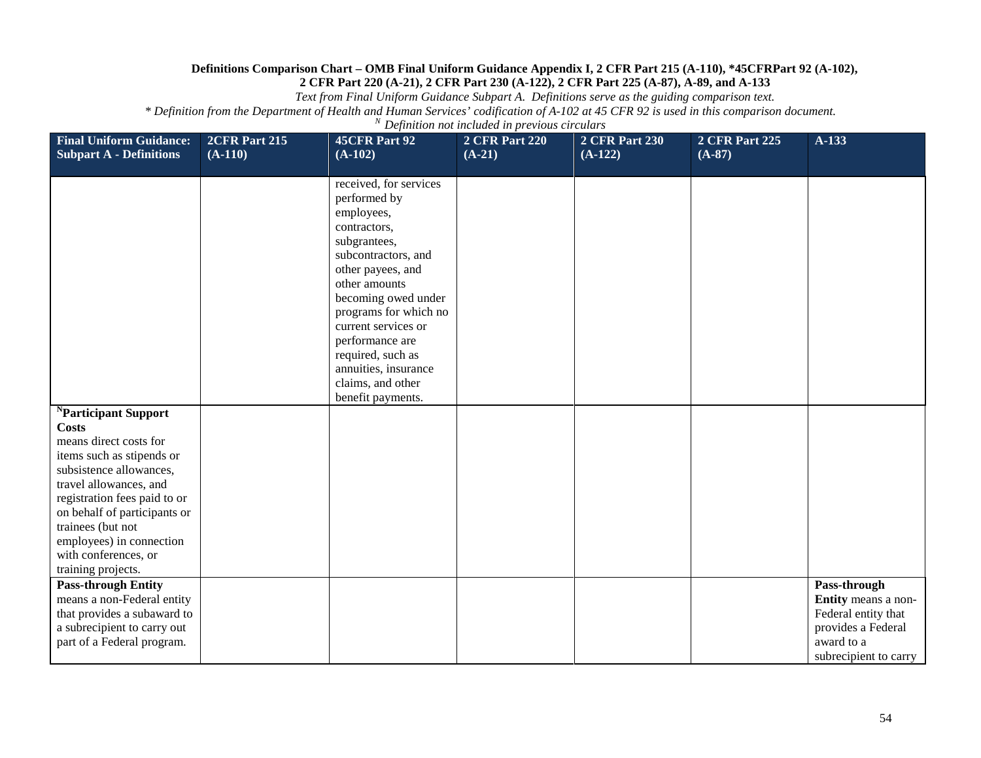*Text from Final Uniform Guidance Subpart A. Definitions serve as the guiding comparison text.*

| <b>Final Uniform Guidance:</b><br><b>Subpart A - Definitions</b>                                                                                                                                                                                                                                                            | 2CFR Part 215<br>$(A-110)$ | 45CFR Part 92<br>$(A-102)$                                                                                                                                                                                                                                                                                                         | <b>2 CFR Part 220</b><br>$(A-21)$ | <b>2 CFR Part 230</b><br>$(A-122)$ | <b>2 CFR Part 225</b><br>$(A-87)$ | A-133                                                                                                                   |
|-----------------------------------------------------------------------------------------------------------------------------------------------------------------------------------------------------------------------------------------------------------------------------------------------------------------------------|----------------------------|------------------------------------------------------------------------------------------------------------------------------------------------------------------------------------------------------------------------------------------------------------------------------------------------------------------------------------|-----------------------------------|------------------------------------|-----------------------------------|-------------------------------------------------------------------------------------------------------------------------|
|                                                                                                                                                                                                                                                                                                                             |                            | received, for services<br>performed by<br>employees,<br>contractors,<br>subgrantees,<br>subcontractors, and<br>other payees, and<br>other amounts<br>becoming owed under<br>programs for which no<br>current services or<br>performance are<br>required, such as<br>annuities, insurance<br>claims, and other<br>benefit payments. |                                   |                                    |                                   |                                                                                                                         |
| <sup>N</sup> Participant Support<br><b>Costs</b><br>means direct costs for<br>items such as stipends or<br>subsistence allowances,<br>travel allowances, and<br>registration fees paid to or<br>on behalf of participants or<br>trainees (but not<br>employees) in connection<br>with conferences, or<br>training projects. |                            |                                                                                                                                                                                                                                                                                                                                    |                                   |                                    |                                   |                                                                                                                         |
| <b>Pass-through Entity</b><br>means a non-Federal entity<br>that provides a subaward to<br>a subrecipient to carry out<br>part of a Federal program.                                                                                                                                                                        |                            |                                                                                                                                                                                                                                                                                                                                    |                                   |                                    |                                   | Pass-through<br>Entity means a non-<br>Federal entity that<br>provides a Federal<br>award to a<br>subrecipient to carry |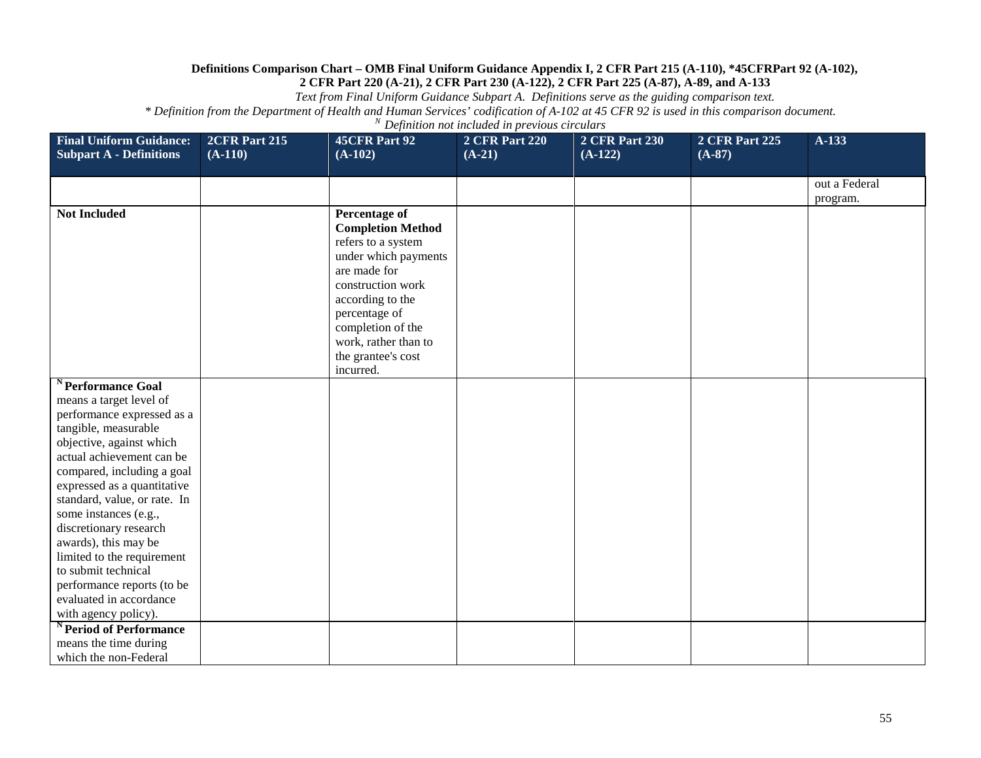*Text from Final Uniform Guidance Subpart A. Definitions serve as the guiding comparison text.*

| <b>Final Uniform Guidance:</b><br><b>Subpart A - Definitions</b> | <b>2CFR Part 215</b><br>$(A-110)$ | 45CFR Part 92<br>$(A-102)$                 | <b>2 CFR Part 220</b><br>$(A-21)$ | <b>2 CFR Part 230</b><br>$(A-122)$ | <b>2 CFR Part 225</b><br>$(A-87)$ | $A-133$       |
|------------------------------------------------------------------|-----------------------------------|--------------------------------------------|-----------------------------------|------------------------------------|-----------------------------------|---------------|
|                                                                  |                                   |                                            |                                   |                                    |                                   |               |
|                                                                  |                                   |                                            |                                   |                                    |                                   | out a Federal |
|                                                                  |                                   |                                            |                                   |                                    |                                   | program.      |
| <b>Not Included</b>                                              |                                   | Percentage of                              |                                   |                                    |                                   |               |
|                                                                  |                                   | <b>Completion Method</b>                   |                                   |                                    |                                   |               |
|                                                                  |                                   | refers to a system<br>under which payments |                                   |                                    |                                   |               |
|                                                                  |                                   | are made for                               |                                   |                                    |                                   |               |
|                                                                  |                                   | construction work                          |                                   |                                    |                                   |               |
|                                                                  |                                   | according to the                           |                                   |                                    |                                   |               |
|                                                                  |                                   | percentage of                              |                                   |                                    |                                   |               |
|                                                                  |                                   | completion of the                          |                                   |                                    |                                   |               |
|                                                                  |                                   | work, rather than to<br>the grantee's cost |                                   |                                    |                                   |               |
|                                                                  |                                   | incurred.                                  |                                   |                                    |                                   |               |
| <sup>N</sup> Performance Goal                                    |                                   |                                            |                                   |                                    |                                   |               |
| means a target level of                                          |                                   |                                            |                                   |                                    |                                   |               |
| performance expressed as a                                       |                                   |                                            |                                   |                                    |                                   |               |
| tangible, measurable                                             |                                   |                                            |                                   |                                    |                                   |               |
| objective, against which                                         |                                   |                                            |                                   |                                    |                                   |               |
| actual achievement can be<br>compared, including a goal          |                                   |                                            |                                   |                                    |                                   |               |
| expressed as a quantitative                                      |                                   |                                            |                                   |                                    |                                   |               |
| standard, value, or rate. In                                     |                                   |                                            |                                   |                                    |                                   |               |
| some instances (e.g.,                                            |                                   |                                            |                                   |                                    |                                   |               |
| discretionary research                                           |                                   |                                            |                                   |                                    |                                   |               |
| awards), this may be                                             |                                   |                                            |                                   |                                    |                                   |               |
| limited to the requirement                                       |                                   |                                            |                                   |                                    |                                   |               |
| to submit technical                                              |                                   |                                            |                                   |                                    |                                   |               |
| performance reports (to be<br>evaluated in accordance            |                                   |                                            |                                   |                                    |                                   |               |
| with agency policy).                                             |                                   |                                            |                                   |                                    |                                   |               |
| <sup>N</sup> Period of Performance                               |                                   |                                            |                                   |                                    |                                   |               |
| means the time during                                            |                                   |                                            |                                   |                                    |                                   |               |
| which the non-Federal                                            |                                   |                                            |                                   |                                    |                                   |               |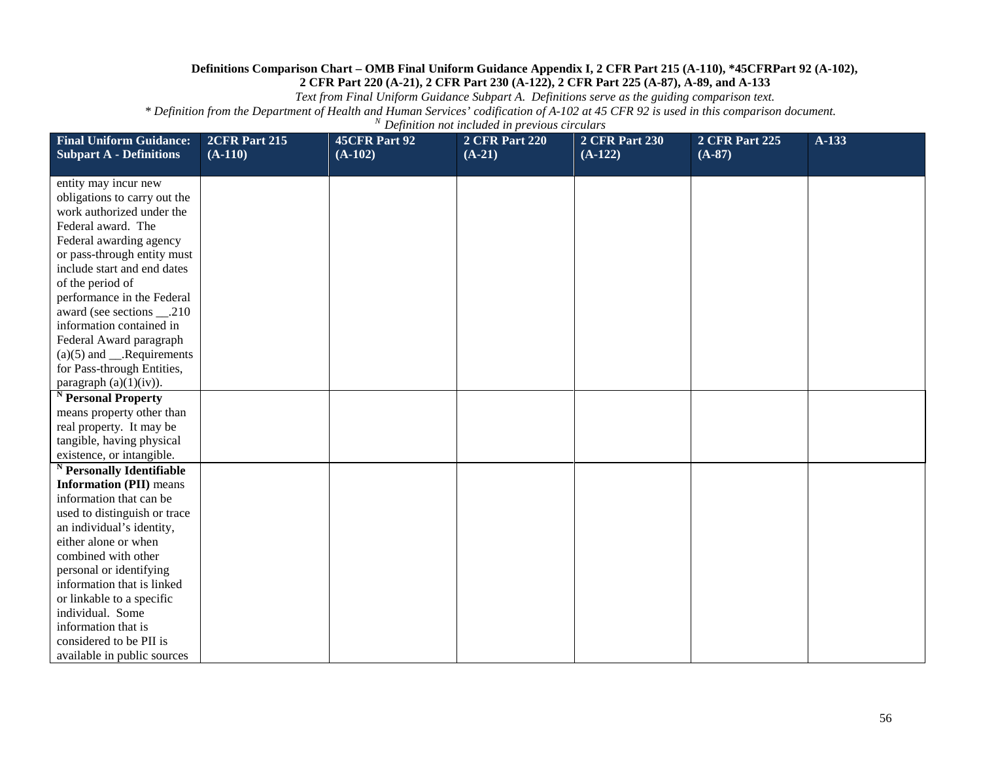*Text from Final Uniform Guidance Subpart A. Definitions serve as the guiding comparison text.*

| <b>Final Uniform Guidance:</b><br><b>Subpart A - Definitions</b> | 2CFR Part 215<br>$(A-110)$ | 45CFR Part 92<br>$(A-102)$ | <b>2 CFR Part 220</b><br>$(A-21)$ | <b>2 CFR Part 230</b><br>$(A-122)$ | <b>2 CFR Part 225</b><br>$(A-87)$ | $A-133$ |
|------------------------------------------------------------------|----------------------------|----------------------------|-----------------------------------|------------------------------------|-----------------------------------|---------|
|                                                                  |                            |                            |                                   |                                    |                                   |         |
| entity may incur new                                             |                            |                            |                                   |                                    |                                   |         |
| obligations to carry out the                                     |                            |                            |                                   |                                    |                                   |         |
| work authorized under the<br>Federal award. The                  |                            |                            |                                   |                                    |                                   |         |
|                                                                  |                            |                            |                                   |                                    |                                   |         |
| Federal awarding agency<br>or pass-through entity must           |                            |                            |                                   |                                    |                                   |         |
| include start and end dates                                      |                            |                            |                                   |                                    |                                   |         |
| of the period of                                                 |                            |                            |                                   |                                    |                                   |         |
| performance in the Federal                                       |                            |                            |                                   |                                    |                                   |         |
| award (see sections ___.210                                      |                            |                            |                                   |                                    |                                   |         |
| information contained in                                         |                            |                            |                                   |                                    |                                   |         |
| Federal Award paragraph                                          |                            |                            |                                   |                                    |                                   |         |
| $(a)(5)$ and ___.Requirements                                    |                            |                            |                                   |                                    |                                   |         |
| for Pass-through Entities,                                       |                            |                            |                                   |                                    |                                   |         |
| paragraph $(a)(1)(iv)$ ).                                        |                            |                            |                                   |                                    |                                   |         |
| <sup>N</sup> Personal Property                                   |                            |                            |                                   |                                    |                                   |         |
| means property other than                                        |                            |                            |                                   |                                    |                                   |         |
| real property. It may be                                         |                            |                            |                                   |                                    |                                   |         |
| tangible, having physical                                        |                            |                            |                                   |                                    |                                   |         |
| existence, or intangible.                                        |                            |                            |                                   |                                    |                                   |         |
| <sup>N</sup> Personally Identifiable                             |                            |                            |                                   |                                    |                                   |         |
| <b>Information (PII)</b> means                                   |                            |                            |                                   |                                    |                                   |         |
| information that can be                                          |                            |                            |                                   |                                    |                                   |         |
| used to distinguish or trace                                     |                            |                            |                                   |                                    |                                   |         |
| an individual's identity,                                        |                            |                            |                                   |                                    |                                   |         |
| either alone or when                                             |                            |                            |                                   |                                    |                                   |         |
| combined with other                                              |                            |                            |                                   |                                    |                                   |         |
| personal or identifying                                          |                            |                            |                                   |                                    |                                   |         |
| information that is linked                                       |                            |                            |                                   |                                    |                                   |         |
| or linkable to a specific                                        |                            |                            |                                   |                                    |                                   |         |
| individual. Some                                                 |                            |                            |                                   |                                    |                                   |         |
| information that is                                              |                            |                            |                                   |                                    |                                   |         |
| considered to be PII is                                          |                            |                            |                                   |                                    |                                   |         |
| available in public sources                                      |                            |                            |                                   |                                    |                                   |         |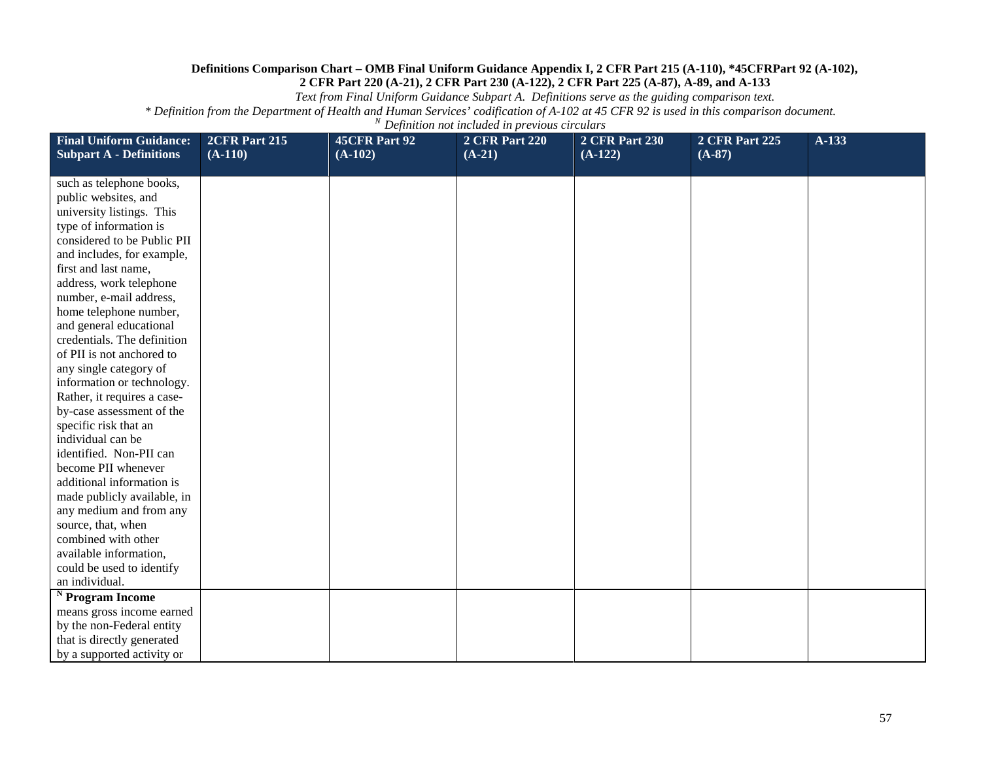*Text from Final Uniform Guidance Subpart A. Definitions serve as the guiding comparison text.*

| <b>Final Uniform Guidance:</b><br><b>Subpart A - Definitions</b> | 2CFR Part 215<br>$(A-110)$ | 45CFR Part 92<br>$(A-102)$ | <b>2 CFR Part 220</b><br>$(A-21)$ | <b>2 CFR Part 230</b><br>$(A-122)$ | <b>2 CFR Part 225</b><br>$(A-87)$ | A-133 |
|------------------------------------------------------------------|----------------------------|----------------------------|-----------------------------------|------------------------------------|-----------------------------------|-------|
| such as telephone books,                                         |                            |                            |                                   |                                    |                                   |       |
| public websites, and                                             |                            |                            |                                   |                                    |                                   |       |
| university listings. This                                        |                            |                            |                                   |                                    |                                   |       |
| type of information is                                           |                            |                            |                                   |                                    |                                   |       |
| considered to be Public PII                                      |                            |                            |                                   |                                    |                                   |       |
| and includes, for example,                                       |                            |                            |                                   |                                    |                                   |       |
| first and last name,                                             |                            |                            |                                   |                                    |                                   |       |
| address, work telephone                                          |                            |                            |                                   |                                    |                                   |       |
| number, e-mail address,                                          |                            |                            |                                   |                                    |                                   |       |
| home telephone number,                                           |                            |                            |                                   |                                    |                                   |       |
| and general educational<br>credentials. The definition           |                            |                            |                                   |                                    |                                   |       |
| of PII is not anchored to                                        |                            |                            |                                   |                                    |                                   |       |
| any single category of                                           |                            |                            |                                   |                                    |                                   |       |
| information or technology.                                       |                            |                            |                                   |                                    |                                   |       |
| Rather, it requires a case-                                      |                            |                            |                                   |                                    |                                   |       |
| by-case assessment of the                                        |                            |                            |                                   |                                    |                                   |       |
| specific risk that an                                            |                            |                            |                                   |                                    |                                   |       |
| individual can be                                                |                            |                            |                                   |                                    |                                   |       |
| identified. Non-PII can                                          |                            |                            |                                   |                                    |                                   |       |
| become PII whenever                                              |                            |                            |                                   |                                    |                                   |       |
| additional information is                                        |                            |                            |                                   |                                    |                                   |       |
| made publicly available, in                                      |                            |                            |                                   |                                    |                                   |       |
| any medium and from any                                          |                            |                            |                                   |                                    |                                   |       |
| source, that, when                                               |                            |                            |                                   |                                    |                                   |       |
| combined with other                                              |                            |                            |                                   |                                    |                                   |       |
| available information,                                           |                            |                            |                                   |                                    |                                   |       |
| could be used to identify                                        |                            |                            |                                   |                                    |                                   |       |
| an individual.                                                   |                            |                            |                                   |                                    |                                   |       |
| $N$ Program Income                                               |                            |                            |                                   |                                    |                                   |       |
| means gross income earned                                        |                            |                            |                                   |                                    |                                   |       |
| by the non-Federal entity                                        |                            |                            |                                   |                                    |                                   |       |
| that is directly generated                                       |                            |                            |                                   |                                    |                                   |       |
| by a supported activity or                                       |                            |                            |                                   |                                    |                                   |       |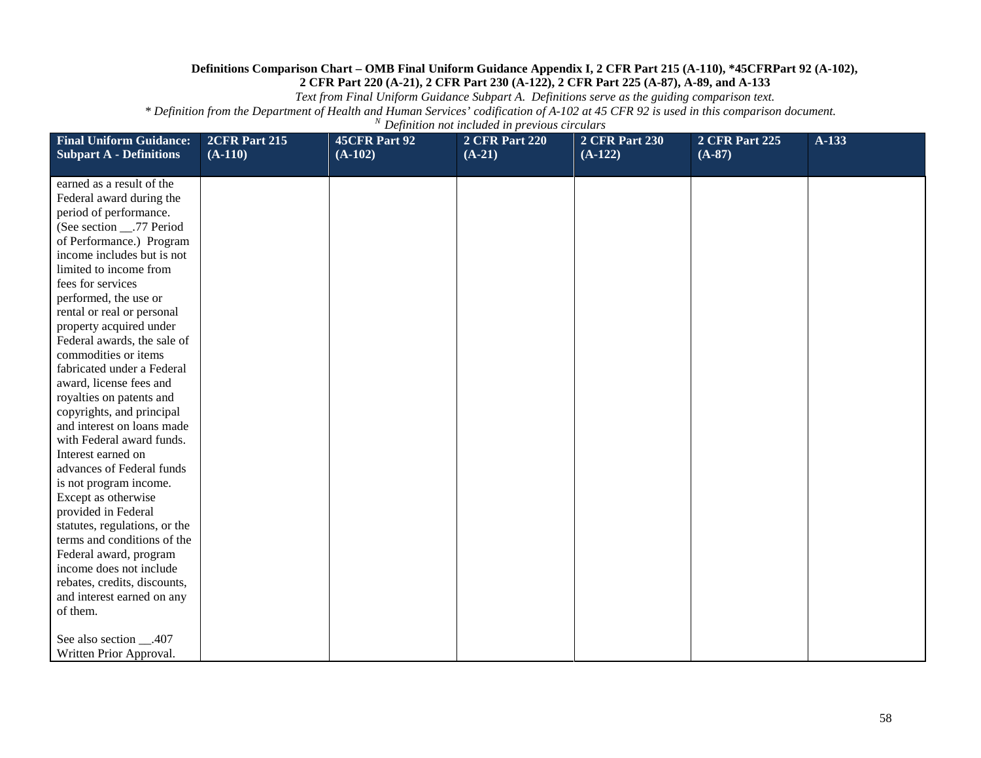*Text from Final Uniform Guidance Subpart A. Definitions serve as the guiding comparison text.*

| <b>Final Uniform Guidance:</b><br><b>Subpart A - Definitions</b> | 2CFR Part 215<br>$(A-110)$ | 45CFR Part 92<br>$(A-102)$ | <b>2 CFR Part 220</b><br>$(A-21)$ | <b>2 CFR Part 230</b><br>$(A-122)$ | <b>2 CFR Part 225</b><br>$(A-87)$ | $A-133$ |
|------------------------------------------------------------------|----------------------------|----------------------------|-----------------------------------|------------------------------------|-----------------------------------|---------|
| earned as a result of the                                        |                            |                            |                                   |                                    |                                   |         |
| Federal award during the                                         |                            |                            |                                   |                                    |                                   |         |
| period of performance.                                           |                            |                            |                                   |                                    |                                   |         |
| (See section ___.77 Period                                       |                            |                            |                                   |                                    |                                   |         |
| of Performance.) Program                                         |                            |                            |                                   |                                    |                                   |         |
| income includes but is not                                       |                            |                            |                                   |                                    |                                   |         |
| limited to income from                                           |                            |                            |                                   |                                    |                                   |         |
| fees for services                                                |                            |                            |                                   |                                    |                                   |         |
| performed, the use or                                            |                            |                            |                                   |                                    |                                   |         |
| rental or real or personal                                       |                            |                            |                                   |                                    |                                   |         |
| property acquired under                                          |                            |                            |                                   |                                    |                                   |         |
| Federal awards, the sale of                                      |                            |                            |                                   |                                    |                                   |         |
| commodities or items                                             |                            |                            |                                   |                                    |                                   |         |
| fabricated under a Federal                                       |                            |                            |                                   |                                    |                                   |         |
| award, license fees and                                          |                            |                            |                                   |                                    |                                   |         |
| royalties on patents and                                         |                            |                            |                                   |                                    |                                   |         |
| copyrights, and principal                                        |                            |                            |                                   |                                    |                                   |         |
| and interest on loans made                                       |                            |                            |                                   |                                    |                                   |         |
| with Federal award funds.                                        |                            |                            |                                   |                                    |                                   |         |
| Interest earned on                                               |                            |                            |                                   |                                    |                                   |         |
| advances of Federal funds                                        |                            |                            |                                   |                                    |                                   |         |
| is not program income.                                           |                            |                            |                                   |                                    |                                   |         |
| Except as otherwise                                              |                            |                            |                                   |                                    |                                   |         |
| provided in Federal                                              |                            |                            |                                   |                                    |                                   |         |
| statutes, regulations, or the<br>terms and conditions of the     |                            |                            |                                   |                                    |                                   |         |
|                                                                  |                            |                            |                                   |                                    |                                   |         |
| Federal award, program<br>income does not include                |                            |                            |                                   |                                    |                                   |         |
| rebates, credits, discounts,                                     |                            |                            |                                   |                                    |                                   |         |
| and interest earned on any                                       |                            |                            |                                   |                                    |                                   |         |
| of them.                                                         |                            |                            |                                   |                                    |                                   |         |
|                                                                  |                            |                            |                                   |                                    |                                   |         |
| See also section ___.407                                         |                            |                            |                                   |                                    |                                   |         |
| Written Prior Approval.                                          |                            |                            |                                   |                                    |                                   |         |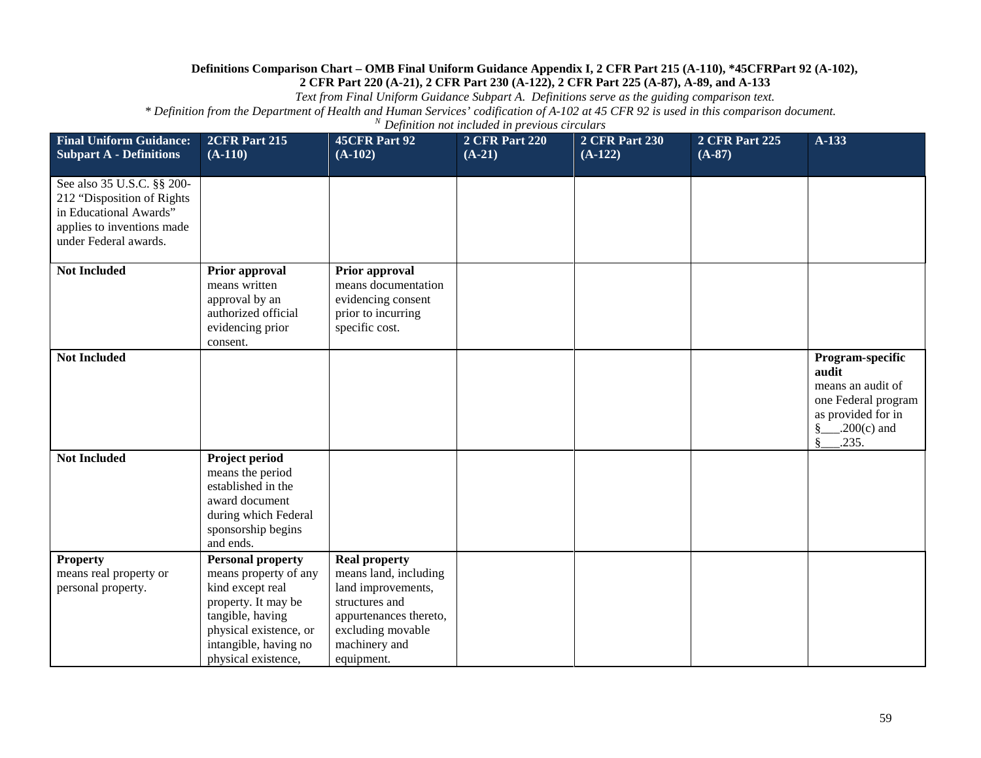*Text from Final Uniform Guidance Subpart A. Definitions serve as the guiding comparison text.*

| <b>Final Uniform Guidance:</b><br><b>Subpart A - Definitions</b>                                                                          | 2CFR Part 215<br>$(A-110)$                                                                                                                                                                 | 45CFR Part 92<br>$(A-102)$                                                                                                                                          | <b>2 CFR Part 220</b><br>$(A-21)$ | <b>2 CFR Part 230</b><br>$(A-122)$ | <b>2 CFR Part 225</b><br>$(A-87)$ | A-133                                                                                                                                   |
|-------------------------------------------------------------------------------------------------------------------------------------------|--------------------------------------------------------------------------------------------------------------------------------------------------------------------------------------------|---------------------------------------------------------------------------------------------------------------------------------------------------------------------|-----------------------------------|------------------------------------|-----------------------------------|-----------------------------------------------------------------------------------------------------------------------------------------|
| See also 35 U.S.C. §§ 200-<br>212 "Disposition of Rights<br>in Educational Awards"<br>applies to inventions made<br>under Federal awards. |                                                                                                                                                                                            |                                                                                                                                                                     |                                   |                                    |                                   |                                                                                                                                         |
| <b>Not Included</b>                                                                                                                       | Prior approval<br>means written<br>approval by an<br>authorized official<br>evidencing prior<br>consent.                                                                                   | Prior approval<br>means documentation<br>evidencing consent<br>prior to incurring<br>specific cost.                                                                 |                                   |                                    |                                   |                                                                                                                                         |
| <b>Not Included</b>                                                                                                                       |                                                                                                                                                                                            |                                                                                                                                                                     |                                   |                                    |                                   | Program-specific<br>audit<br>means an audit of<br>one Federal program<br>as provided for in<br>$\frac{8}{2}$ . 200(c) and<br>.235.<br>Ş |
| <b>Not Included</b>                                                                                                                       | Project period<br>means the period<br>established in the<br>award document<br>during which Federal<br>sponsorship begins<br>and ends.                                                      |                                                                                                                                                                     |                                   |                                    |                                   |                                                                                                                                         |
| <b>Property</b><br>means real property or<br>personal property.                                                                           | <b>Personal property</b><br>means property of any<br>kind except real<br>property. It may be<br>tangible, having<br>physical existence, or<br>intangible, having no<br>physical existence, | <b>Real property</b><br>means land, including<br>land improvements,<br>structures and<br>appurtenances thereto,<br>excluding movable<br>machinery and<br>equipment. |                                   |                                    |                                   |                                                                                                                                         |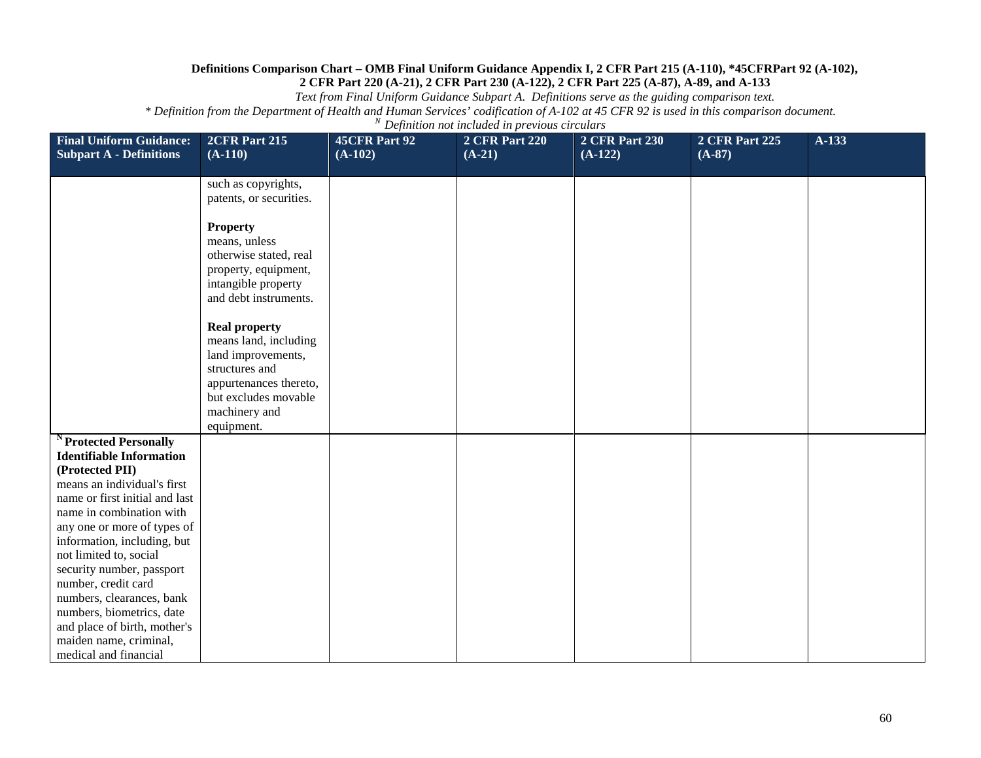*Text from Final Uniform Guidance Subpart A. Definitions serve as the guiding comparison text.*

| <b>Final Uniform Guidance:</b><br><b>Subpart A - Definitions</b>                                                                                                                                                                                                                                                                                                                                                           | 2CFR Part 215<br>$(A-110)$                                                                                                                               | 45CFR Part 92<br>$(A-102)$ | <b>2 CFR Part 220</b><br>$(A-21)$ | <b>2 CFR Part 230</b><br>$(A-122)$ | 2 CFR Part 225<br>$(A-87)$ | $A-133$ |
|----------------------------------------------------------------------------------------------------------------------------------------------------------------------------------------------------------------------------------------------------------------------------------------------------------------------------------------------------------------------------------------------------------------------------|----------------------------------------------------------------------------------------------------------------------------------------------------------|----------------------------|-----------------------------------|------------------------------------|----------------------------|---------|
|                                                                                                                                                                                                                                                                                                                                                                                                                            |                                                                                                                                                          |                            |                                   |                                    |                            |         |
|                                                                                                                                                                                                                                                                                                                                                                                                                            | such as copyrights,<br>patents, or securities.                                                                                                           |                            |                                   |                                    |                            |         |
|                                                                                                                                                                                                                                                                                                                                                                                                                            | <b>Property</b><br>means, unless<br>otherwise stated, real<br>property, equipment,<br>intangible property<br>and debt instruments.                       |                            |                                   |                                    |                            |         |
|                                                                                                                                                                                                                                                                                                                                                                                                                            | <b>Real property</b><br>means land, including<br>land improvements,<br>structures and<br>appurtenances thereto,<br>but excludes movable<br>machinery and |                            |                                   |                                    |                            |         |
|                                                                                                                                                                                                                                                                                                                                                                                                                            | equipment.                                                                                                                                               |                            |                                   |                                    |                            |         |
| <sup>N</sup> Protected Personally<br><b>Identifiable Information</b><br>(Protected PII)<br>means an individual's first<br>name or first initial and last<br>name in combination with<br>any one or more of types of<br>information, including, but<br>not limited to, social<br>security number, passport<br>number, credit card<br>numbers, clearances, bank<br>numbers, biometrics, date<br>and place of birth, mother's |                                                                                                                                                          |                            |                                   |                                    |                            |         |
| maiden name, criminal,<br>medical and financial                                                                                                                                                                                                                                                                                                                                                                            |                                                                                                                                                          |                            |                                   |                                    |                            |         |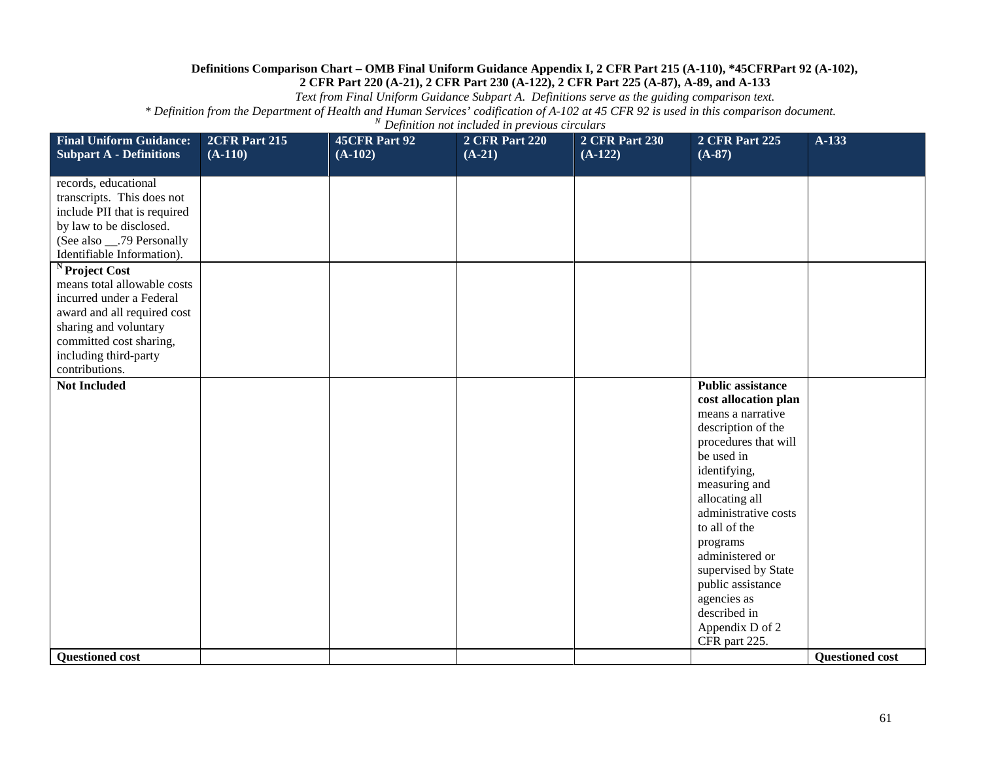*Text from Final Uniform Guidance Subpart A. Definitions serve as the guiding comparison text.*

| <b>Final Uniform Guidance:</b><br><b>Subpart A - Definitions</b>                                                                                                                                                   | <b>2CFR Part 215</b><br>$(A-110)$ | 45CFR Part 92<br>$(A-102)$ | <b>2 CFR Part 220</b><br>$(A-21)$ | <b>2 CFR Part 230</b><br>$(A-122)$ | <b>2 CFR Part 225</b><br>$(A-87)$                                                                                                                                                                                                                                                                                                                                           | A-133                  |
|--------------------------------------------------------------------------------------------------------------------------------------------------------------------------------------------------------------------|-----------------------------------|----------------------------|-----------------------------------|------------------------------------|-----------------------------------------------------------------------------------------------------------------------------------------------------------------------------------------------------------------------------------------------------------------------------------------------------------------------------------------------------------------------------|------------------------|
|                                                                                                                                                                                                                    |                                   |                            |                                   |                                    |                                                                                                                                                                                                                                                                                                                                                                             |                        |
| records, educational<br>transcripts. This does not<br>include PII that is required<br>by law to be disclosed.<br>(See also ___.79 Personally<br>Identifiable Information).                                         |                                   |                            |                                   |                                    |                                                                                                                                                                                                                                                                                                                                                                             |                        |
| <sup>N</sup> Project Cost<br>means total allowable costs<br>incurred under a Federal<br>award and all required cost<br>sharing and voluntary<br>committed cost sharing,<br>including third-party<br>contributions. |                                   |                            |                                   |                                    |                                                                                                                                                                                                                                                                                                                                                                             |                        |
| <b>Not Included</b>                                                                                                                                                                                                |                                   |                            |                                   |                                    | <b>Public assistance</b><br>cost allocation plan<br>means a narrative<br>description of the<br>procedures that will<br>be used in<br>identifying,<br>measuring and<br>allocating all<br>administrative costs<br>to all of the<br>programs<br>administered or<br>supervised by State<br>public assistance<br>agencies as<br>described in<br>Appendix D of 2<br>CFR part 225. |                        |
| <b>Questioned cost</b>                                                                                                                                                                                             |                                   |                            |                                   |                                    |                                                                                                                                                                                                                                                                                                                                                                             | <b>Questioned cost</b> |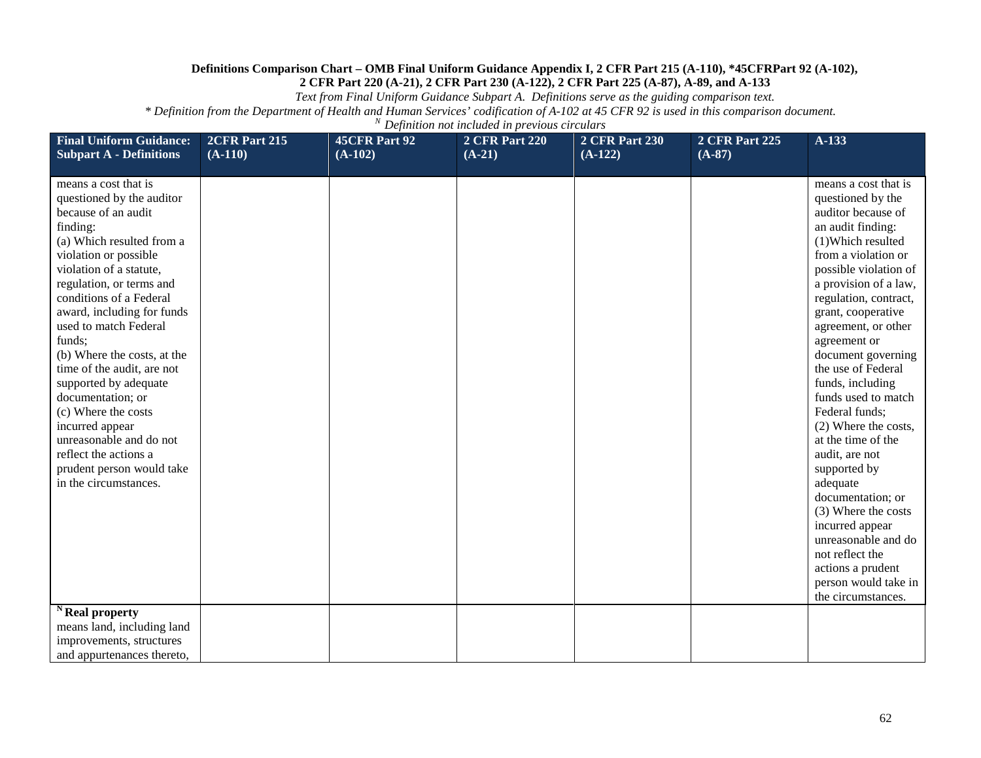*Text from Final Uniform Guidance Subpart A. Definitions serve as the guiding comparison text.*

| <b>Final Uniform Guidance:</b><br><b>Subpart A - Definitions</b>                                                                                                                                                                                                                                                                                                                                                                                                                                                                                                                           | 2CFR Part 215<br>$(A-110)$ | <b>45CFR Part 92</b><br>$(A-102)$ | <b>2 CFR Part 220</b><br>$(A-21)$ | <b>2 CFR Part 230</b><br>$(A-122)$ | <b>2 CFR Part 225</b><br>$(A-87)$ | A-133                                                                                                                                                                                                                                                                                                                                                                                                                                                                                                                                                                                                                                                      |
|--------------------------------------------------------------------------------------------------------------------------------------------------------------------------------------------------------------------------------------------------------------------------------------------------------------------------------------------------------------------------------------------------------------------------------------------------------------------------------------------------------------------------------------------------------------------------------------------|----------------------------|-----------------------------------|-----------------------------------|------------------------------------|-----------------------------------|------------------------------------------------------------------------------------------------------------------------------------------------------------------------------------------------------------------------------------------------------------------------------------------------------------------------------------------------------------------------------------------------------------------------------------------------------------------------------------------------------------------------------------------------------------------------------------------------------------------------------------------------------------|
| means a cost that is<br>questioned by the auditor<br>because of an audit<br>finding:<br>(a) Which resulted from a<br>violation or possible<br>violation of a statute,<br>regulation, or terms and<br>conditions of a Federal<br>award, including for funds<br>used to match Federal<br>funds:<br>(b) Where the costs, at the<br>time of the audit, are not<br>supported by adequate<br>documentation; or<br>(c) Where the costs<br>incurred appear<br>unreasonable and do not<br>reflect the actions a<br>prudent person would take<br>in the circumstances.<br><sup>N</sup> Real property |                            |                                   |                                   |                                    |                                   | means a cost that is<br>questioned by the<br>auditor because of<br>an audit finding:<br>(1) Which resulted<br>from a violation or<br>possible violation of<br>a provision of a law,<br>regulation, contract,<br>grant, cooperative<br>agreement, or other<br>agreement or<br>document governing<br>the use of Federal<br>funds, including<br>funds used to match<br>Federal funds;<br>(2) Where the costs,<br>at the time of the<br>audit, are not<br>supported by<br>adequate<br>documentation; or<br>(3) Where the costs<br>incurred appear<br>unreasonable and do<br>not reflect the<br>actions a prudent<br>person would take in<br>the circumstances. |
| means land, including land<br>improvements, structures<br>and appurtenances thereto,                                                                                                                                                                                                                                                                                                                                                                                                                                                                                                       |                            |                                   |                                   |                                    |                                   |                                                                                                                                                                                                                                                                                                                                                                                                                                                                                                                                                                                                                                                            |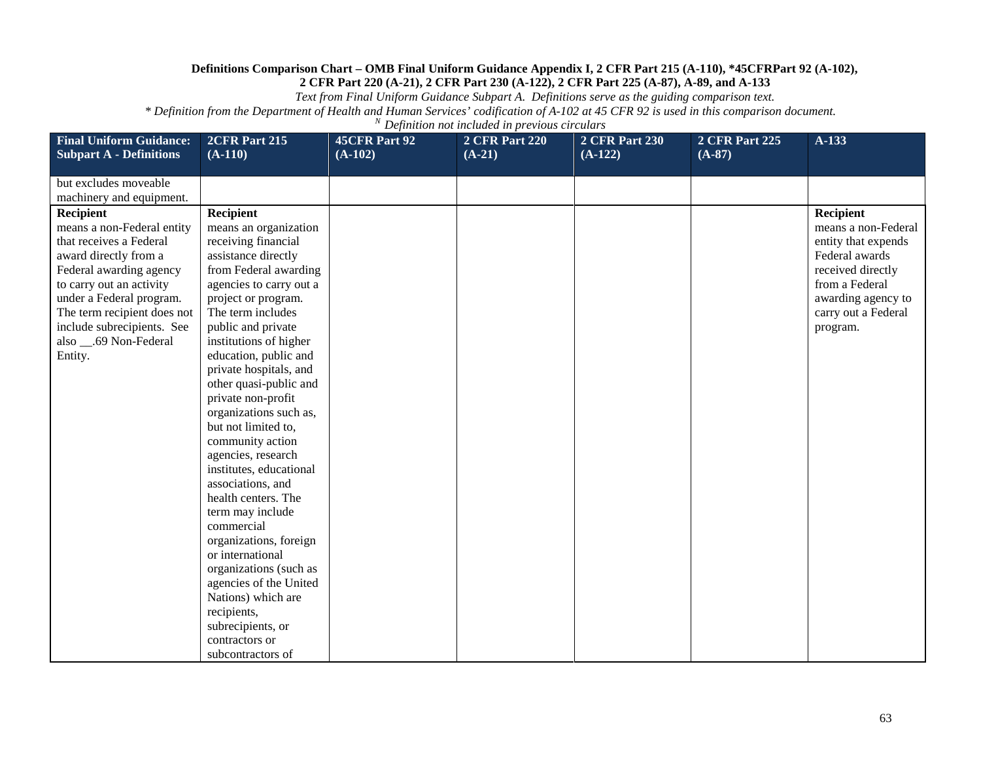*Text from Final Uniform Guidance Subpart A. Definitions serve as the guiding comparison text.*

| <b>Final Uniform Guidance:</b> | 2CFR Part 215           | <b>45CFR Part 92</b> | <b>2 CFR Part 220</b> | <b>2 CFR Part 230</b> | <b>2 CFR Part 225</b> | A-133               |
|--------------------------------|-------------------------|----------------------|-----------------------|-----------------------|-----------------------|---------------------|
| <b>Subpart A - Definitions</b> | $(A-110)$               | $(A-102)$            | $(A-21)$              | $(A-122)$             | $(A-87)$              |                     |
| but excludes moveable          |                         |                      |                       |                       |                       |                     |
| machinery and equipment.       |                         |                      |                       |                       |                       |                     |
| Recipient                      | <b>Recipient</b>        |                      |                       |                       |                       | Recipient           |
| means a non-Federal entity     | means an organization   |                      |                       |                       |                       | means a non-Federal |
| that receives a Federal        | receiving financial     |                      |                       |                       |                       | entity that expends |
| award directly from a          | assistance directly     |                      |                       |                       |                       | Federal awards      |
| Federal awarding agency        | from Federal awarding   |                      |                       |                       |                       | received directly   |
| to carry out an activity       | agencies to carry out a |                      |                       |                       |                       | from a Federal      |
| under a Federal program.       | project or program.     |                      |                       |                       |                       | awarding agency to  |
| The term recipient does not    | The term includes       |                      |                       |                       |                       | carry out a Federal |
| include subrecipients. See     | public and private      |                      |                       |                       |                       | program.            |
| also __.69 Non-Federal         | institutions of higher  |                      |                       |                       |                       |                     |
| Entity.                        | education, public and   |                      |                       |                       |                       |                     |
|                                | private hospitals, and  |                      |                       |                       |                       |                     |
|                                | other quasi-public and  |                      |                       |                       |                       |                     |
|                                | private non-profit      |                      |                       |                       |                       |                     |
|                                | organizations such as,  |                      |                       |                       |                       |                     |
|                                | but not limited to,     |                      |                       |                       |                       |                     |
|                                | community action        |                      |                       |                       |                       |                     |
|                                | agencies, research      |                      |                       |                       |                       |                     |
|                                | institutes, educational |                      |                       |                       |                       |                     |
|                                | associations, and       |                      |                       |                       |                       |                     |
|                                | health centers. The     |                      |                       |                       |                       |                     |
|                                | term may include        |                      |                       |                       |                       |                     |
|                                | commercial              |                      |                       |                       |                       |                     |
|                                | organizations, foreign  |                      |                       |                       |                       |                     |
|                                | or international        |                      |                       |                       |                       |                     |
|                                | organizations (such as  |                      |                       |                       |                       |                     |
|                                | agencies of the United  |                      |                       |                       |                       |                     |
|                                | Nations) which are      |                      |                       |                       |                       |                     |
|                                | recipients,             |                      |                       |                       |                       |                     |
|                                | subrecipients, or       |                      |                       |                       |                       |                     |
|                                | contractors or          |                      |                       |                       |                       |                     |
|                                | subcontractors of       |                      |                       |                       |                       |                     |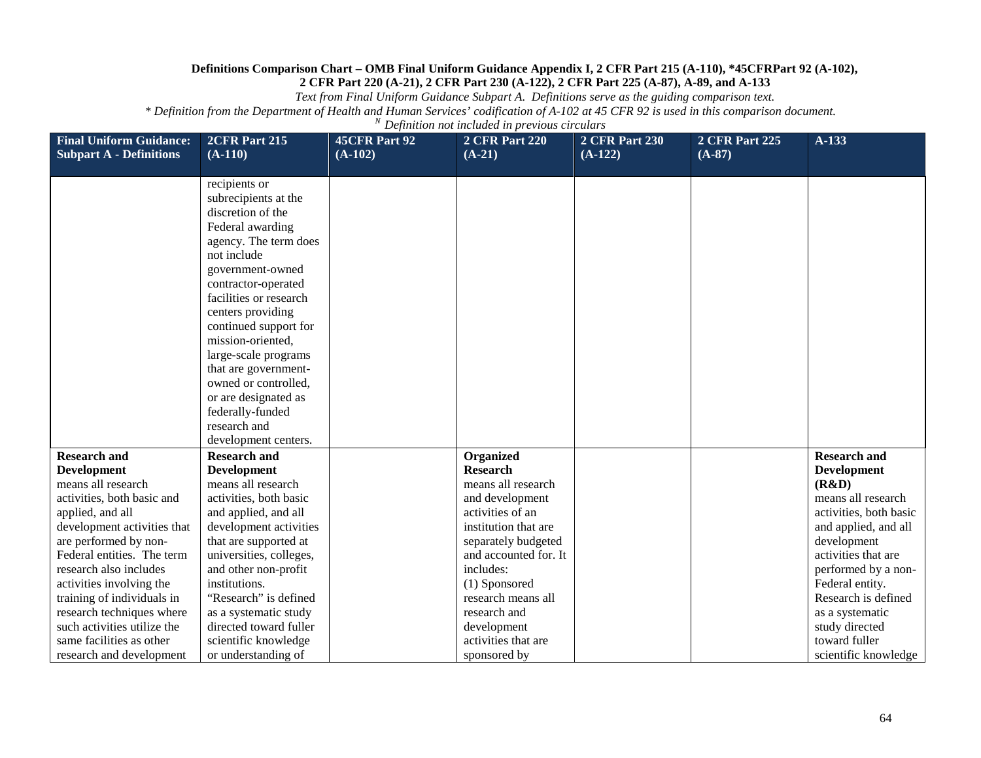*Text from Final Uniform Guidance Subpart A. Definitions serve as the guiding comparison text.*

| <b>Final Uniform Guidance:</b> | 2CFR Part 215           | <b>45CFR Part 92</b> | <b>2 CFR Part 220</b> | <b>2 CFR Part 230</b> | <b>2 CFR Part 225</b> | $A-133$                |
|--------------------------------|-------------------------|----------------------|-----------------------|-----------------------|-----------------------|------------------------|
| <b>Subpart A - Definitions</b> | $(A-110)$               | $(A-102)$            | $(A-21)$              | $(A-122)$             | $(A-87)$              |                        |
|                                | recipients or           |                      |                       |                       |                       |                        |
|                                | subrecipients at the    |                      |                       |                       |                       |                        |
|                                | discretion of the       |                      |                       |                       |                       |                        |
|                                | Federal awarding        |                      |                       |                       |                       |                        |
|                                | agency. The term does   |                      |                       |                       |                       |                        |
|                                | not include             |                      |                       |                       |                       |                        |
|                                | government-owned        |                      |                       |                       |                       |                        |
|                                | contractor-operated     |                      |                       |                       |                       |                        |
|                                | facilities or research  |                      |                       |                       |                       |                        |
|                                | centers providing       |                      |                       |                       |                       |                        |
|                                | continued support for   |                      |                       |                       |                       |                        |
|                                | mission-oriented,       |                      |                       |                       |                       |                        |
|                                | large-scale programs    |                      |                       |                       |                       |                        |
|                                | that are government-    |                      |                       |                       |                       |                        |
|                                | owned or controlled,    |                      |                       |                       |                       |                        |
|                                | or are designated as    |                      |                       |                       |                       |                        |
|                                | federally-funded        |                      |                       |                       |                       |                        |
|                                | research and            |                      |                       |                       |                       |                        |
|                                | development centers.    |                      |                       |                       |                       |                        |
| <b>Research and</b>            | <b>Research and</b>     |                      | Organized             |                       |                       | <b>Research and</b>    |
| <b>Development</b>             | <b>Development</b>      |                      | <b>Research</b>       |                       |                       | <b>Development</b>     |
| means all research             | means all research      |                      | means all research    |                       |                       | (R&D)                  |
| activities, both basic and     | activities, both basic  |                      | and development       |                       |                       | means all research     |
| applied, and all               | and applied, and all    |                      | activities of an      |                       |                       | activities, both basic |
| development activities that    | development activities  |                      | institution that are  |                       |                       | and applied, and all   |
| are performed by non-          | that are supported at   |                      | separately budgeted   |                       |                       | development            |
| Federal entities. The term     | universities, colleges, |                      | and accounted for. It |                       |                       | activities that are    |
| research also includes         | and other non-profit    |                      | includes:             |                       |                       | performed by a non-    |
| activities involving the       | institutions.           |                      | (1) Sponsored         |                       |                       | Federal entity.        |
| training of individuals in     | "Research" is defined   |                      | research means all    |                       |                       | Research is defined    |
| research techniques where      | as a systematic study   |                      | research and          |                       |                       | as a systematic        |
| such activities utilize the    | directed toward fuller  |                      | development           |                       |                       | study directed         |
| same facilities as other       | scientific knowledge    |                      | activities that are   |                       |                       | toward fuller          |
| research and development       | or understanding of     |                      | sponsored by          |                       |                       | scientific knowledge   |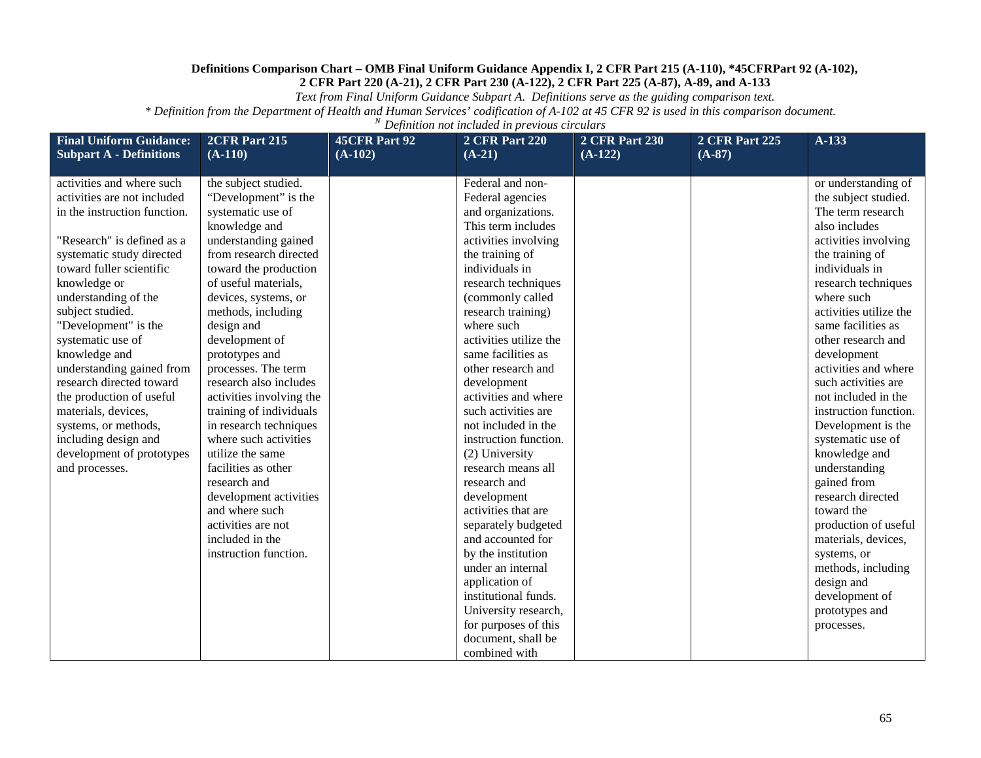*Text from Final Uniform Guidance Subpart A. Definitions serve as the guiding comparison text.*

| <b>Final Uniform Guidance:</b><br><b>Subpart A - Definitions</b> | 2CFR Part 215<br>$(A-110)$ | <b>45CFR Part 92</b><br>$(A-102)$ | <b>2 CFR Part 220</b><br>$(A-21)$       | <b>2 CFR Part 230</b><br>$(A-122)$ | <b>2 CFR Part 225</b><br>$(A-87)$ | A-133                        |
|------------------------------------------------------------------|----------------------------|-----------------------------------|-----------------------------------------|------------------------------------|-----------------------------------|------------------------------|
| activities and where such                                        | the subject studied.       |                                   | Federal and non-                        |                                    |                                   | or understanding of          |
| activities are not included                                      | "Development" is the       |                                   | Federal agencies                        |                                    |                                   | the subject studied.         |
| in the instruction function.                                     | systematic use of          |                                   | and organizations.                      |                                    |                                   | The term research            |
|                                                                  | knowledge and              |                                   | This term includes                      |                                    |                                   | also includes                |
| "Research" is defined as a                                       | understanding gained       |                                   | activities involving                    |                                    |                                   | activities involving         |
| systematic study directed                                        | from research directed     |                                   | the training of                         |                                    |                                   | the training of              |
| toward fuller scientific                                         | toward the production      |                                   | individuals in                          |                                    |                                   | individuals in               |
| knowledge or                                                     | of useful materials,       |                                   | research techniques                     |                                    |                                   | research techniques          |
| understanding of the                                             | devices, systems, or       |                                   | (commonly called                        |                                    |                                   | where such                   |
| subject studied.                                                 | methods, including         |                                   | research training)                      |                                    |                                   | activities utilize the       |
| "Development" is the                                             | design and                 |                                   | where such                              |                                    |                                   | same facilities as           |
| systematic use of                                                | development of             |                                   | activities utilize the                  |                                    |                                   | other research and           |
| knowledge and                                                    | prototypes and             |                                   | same facilities as                      |                                    |                                   | development                  |
| understanding gained from                                        | processes. The term        |                                   | other research and                      |                                    |                                   | activities and where         |
| research directed toward                                         | research also includes     |                                   | development                             |                                    |                                   | such activities are          |
| the production of useful                                         | activities involving the   |                                   | activities and where                    |                                    |                                   | not included in the          |
| materials, devices,                                              | training of individuals    |                                   | such activities are                     |                                    |                                   | instruction function.        |
| systems, or methods,                                             | in research techniques     |                                   | not included in the                     |                                    |                                   | Development is the           |
| including design and                                             | where such activities      |                                   | instruction function.                   |                                    |                                   | systematic use of            |
| development of prototypes                                        | utilize the same           |                                   | (2) University                          |                                    |                                   | knowledge and                |
| and processes.                                                   | facilities as other        |                                   | research means all                      |                                    |                                   | understanding                |
|                                                                  | research and               |                                   | research and                            |                                    |                                   | gained from                  |
|                                                                  | development activities     |                                   | development                             |                                    |                                   | research directed            |
|                                                                  | and where such             |                                   | activities that are                     |                                    |                                   | toward the                   |
|                                                                  | activities are not         |                                   | separately budgeted                     |                                    |                                   | production of useful         |
|                                                                  | included in the            |                                   | and accounted for                       |                                    |                                   | materials, devices,          |
|                                                                  | instruction function.      |                                   | by the institution<br>under an internal |                                    |                                   | systems, or                  |
|                                                                  |                            |                                   |                                         |                                    |                                   | methods, including           |
|                                                                  |                            |                                   | application of<br>institutional funds.  |                                    |                                   | design and<br>development of |
|                                                                  |                            |                                   | University research,                    |                                    |                                   |                              |
|                                                                  |                            |                                   | for purposes of this                    |                                    |                                   | prototypes and<br>processes. |
|                                                                  |                            |                                   | document, shall be                      |                                    |                                   |                              |
|                                                                  |                            |                                   | combined with                           |                                    |                                   |                              |
|                                                                  |                            |                                   |                                         |                                    |                                   |                              |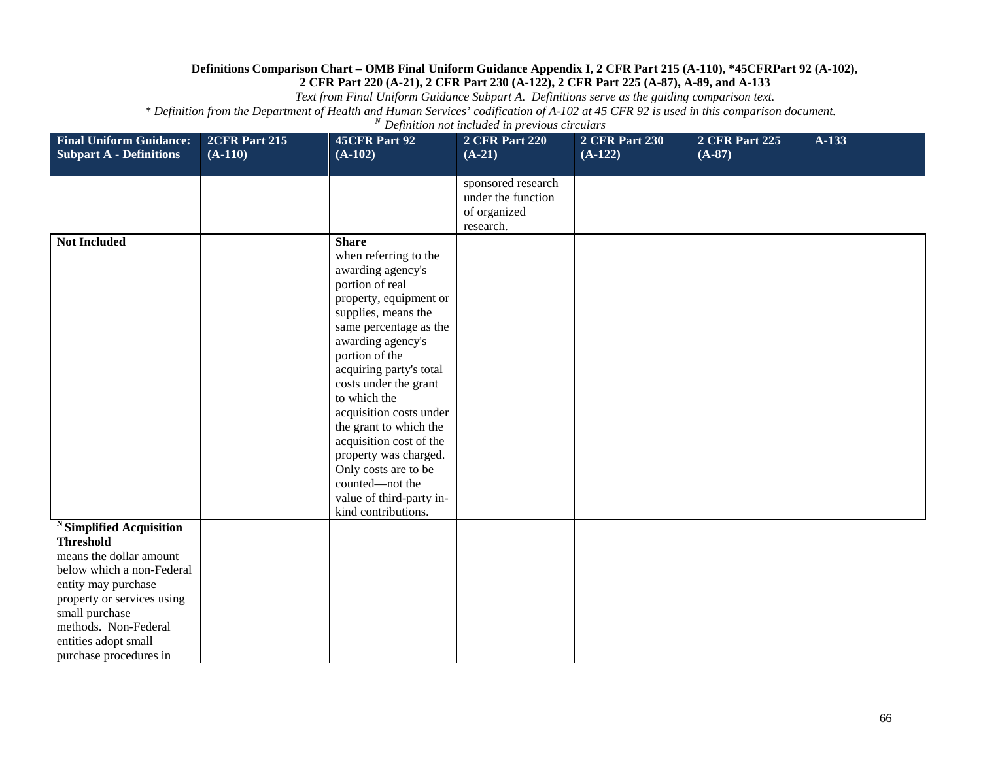*Text from Final Uniform Guidance Subpart A. Definitions serve as the guiding comparison text.*

| <b>Final Uniform Guidance:</b><br><b>Subpart A - Definitions</b>                                                                                                                                                                                    | 2CFR Part 215<br>$(A-110)$ | 45CFR Part 92<br>$(A-102)$                                                                                                                                                                                                                                                                                                                                                                                                                                                 | <b>2 CFR Part 220</b><br>$(A-21)$                                     | <b>2 CFR Part 230</b><br>$(A-122)$ | 2 CFR Part 225<br>$(A-87)$ | A-133 |
|-----------------------------------------------------------------------------------------------------------------------------------------------------------------------------------------------------------------------------------------------------|----------------------------|----------------------------------------------------------------------------------------------------------------------------------------------------------------------------------------------------------------------------------------------------------------------------------------------------------------------------------------------------------------------------------------------------------------------------------------------------------------------------|-----------------------------------------------------------------------|------------------------------------|----------------------------|-------|
|                                                                                                                                                                                                                                                     |                            |                                                                                                                                                                                                                                                                                                                                                                                                                                                                            | sponsored research<br>under the function<br>of organized<br>research. |                                    |                            |       |
| <b>Not Included</b>                                                                                                                                                                                                                                 |                            | <b>Share</b><br>when referring to the<br>awarding agency's<br>portion of real<br>property, equipment or<br>supplies, means the<br>same percentage as the<br>awarding agency's<br>portion of the<br>acquiring party's total<br>costs under the grant<br>to which the<br>acquisition costs under<br>the grant to which the<br>acquisition cost of the<br>property was charged.<br>Only costs are to be<br>counted-not the<br>value of third-party in-<br>kind contributions. |                                                                       |                                    |                            |       |
| Simplified Acquisition<br><b>Threshold</b><br>means the dollar amount<br>below which a non-Federal<br>entity may purchase<br>property or services using<br>small purchase<br>methods. Non-Federal<br>entities adopt small<br>purchase procedures in |                            |                                                                                                                                                                                                                                                                                                                                                                                                                                                                            |                                                                       |                                    |                            |       |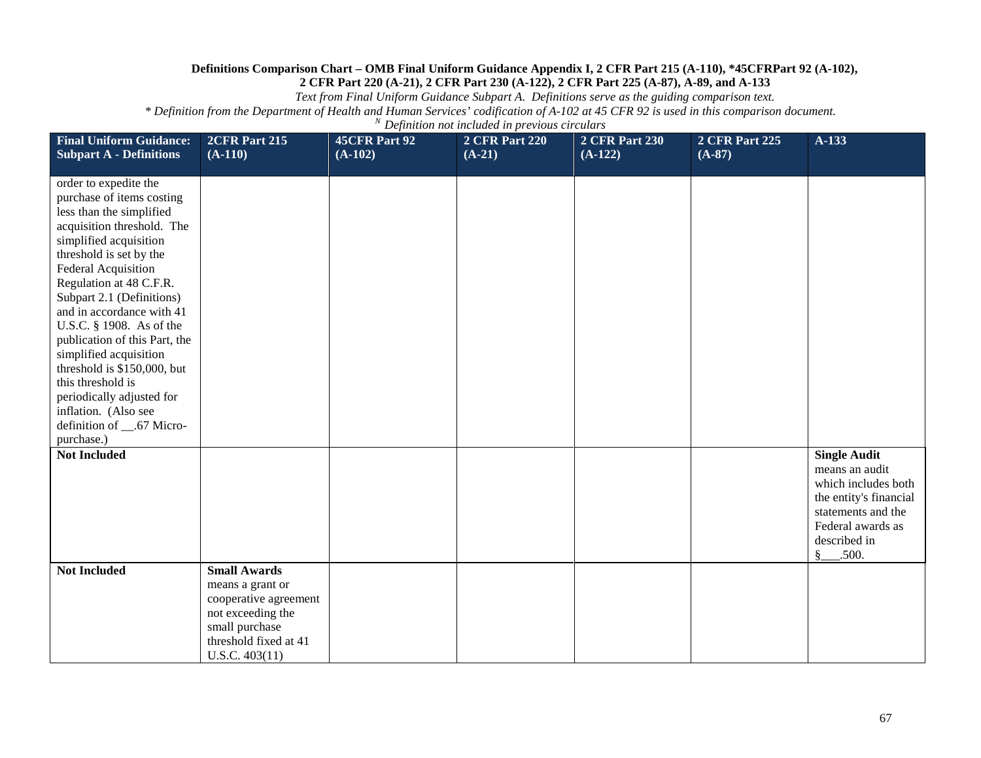*Text from Final Uniform Guidance Subpart A. Definitions serve as the guiding comparison text.*

| <b>Final Uniform Guidance:</b><br><b>Subpart A - Definitions</b>                                                                                                                                                                                                                                                                                                                                                                                                                                                        | 2CFR Part 215<br>$(A-110)$                                                                                                  | <b>45CFR Part 92</b><br>$(A-102)$ | <b>2 CFR Part 220</b><br>$(A-21)$ | <b>2 CFR Part 230</b><br>$(A-122)$ | 2 CFR Part 225<br>$(A-87)$ | A-133                                                                                                                                                                    |
|-------------------------------------------------------------------------------------------------------------------------------------------------------------------------------------------------------------------------------------------------------------------------------------------------------------------------------------------------------------------------------------------------------------------------------------------------------------------------------------------------------------------------|-----------------------------------------------------------------------------------------------------------------------------|-----------------------------------|-----------------------------------|------------------------------------|----------------------------|--------------------------------------------------------------------------------------------------------------------------------------------------------------------------|
| order to expedite the<br>purchase of items costing<br>less than the simplified<br>acquisition threshold. The<br>simplified acquisition<br>threshold is set by the<br>Federal Acquisition<br>Regulation at 48 C.F.R.<br>Subpart 2.1 (Definitions)<br>and in accordance with 41<br>U.S.C. § 1908. As of the<br>publication of this Part, the<br>simplified acquisition<br>threshold is \$150,000, but<br>this threshold is<br>periodically adjusted for<br>inflation. (Also see<br>definition of _67 Micro-<br>purchase.) |                                                                                                                             |                                   |                                   |                                    |                            |                                                                                                                                                                          |
| <b>Not Included</b><br><b>Not Included</b>                                                                                                                                                                                                                                                                                                                                                                                                                                                                              | <b>Small Awards</b>                                                                                                         |                                   |                                   |                                    |                            | <b>Single Audit</b><br>means an audit<br>which includes both<br>the entity's financial<br>statements and the<br>Federal awards as<br>described in<br>$\frac{8}{2}$ .500. |
|                                                                                                                                                                                                                                                                                                                                                                                                                                                                                                                         | means a grant or<br>cooperative agreement<br>not exceeding the<br>small purchase<br>threshold fixed at 41<br>U.S.C. 403(11) |                                   |                                   |                                    |                            |                                                                                                                                                                          |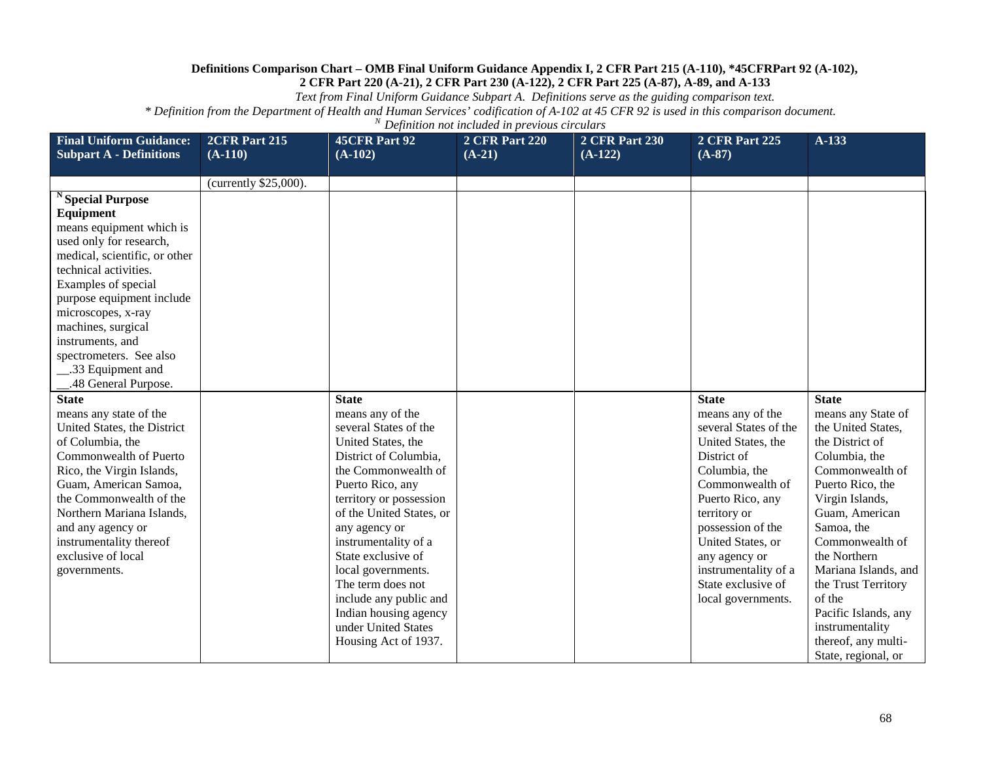*Text from Final Uniform Guidance Subpart A. Definitions serve as the guiding comparison text.*

| <b>Final Uniform Guidance:</b>                                                                                                                                                                                                                                                                                                                   | 2CFR Part 215         | <b>45CFR Part 92</b>                                                                                                                                                                                                                                                                                                                                                                                                   | <b>2 CFR Part 220</b> | 2 CFR Part 230 | <b>2 CFR Part 225</b>                                                                                                                                                                                                                                                                                 | $A-133$                                                                                                                                                                                                                                                                                                                                                                     |
|--------------------------------------------------------------------------------------------------------------------------------------------------------------------------------------------------------------------------------------------------------------------------------------------------------------------------------------------------|-----------------------|------------------------------------------------------------------------------------------------------------------------------------------------------------------------------------------------------------------------------------------------------------------------------------------------------------------------------------------------------------------------------------------------------------------------|-----------------------|----------------|-------------------------------------------------------------------------------------------------------------------------------------------------------------------------------------------------------------------------------------------------------------------------------------------------------|-----------------------------------------------------------------------------------------------------------------------------------------------------------------------------------------------------------------------------------------------------------------------------------------------------------------------------------------------------------------------------|
| <b>Subpart A - Definitions</b>                                                                                                                                                                                                                                                                                                                   | $(A-110)$             | $(A-102)$                                                                                                                                                                                                                                                                                                                                                                                                              | $(A-21)$              | $(A-122)$      | $(A-87)$                                                                                                                                                                                                                                                                                              |                                                                                                                                                                                                                                                                                                                                                                             |
|                                                                                                                                                                                                                                                                                                                                                  | (currently \$25,000). |                                                                                                                                                                                                                                                                                                                                                                                                                        |                       |                |                                                                                                                                                                                                                                                                                                       |                                                                                                                                                                                                                                                                                                                                                                             |
| <b>Special Purpose</b><br>Equipment<br>means equipment which is<br>used only for research,<br>medical, scientific, or other<br>technical activities.<br>Examples of special<br>purpose equipment include<br>microscopes, x-ray<br>machines, surgical<br>instruments, and<br>spectrometers. See also<br>.33 Equipment and<br>.48 General Purpose. |                       |                                                                                                                                                                                                                                                                                                                                                                                                                        |                       |                |                                                                                                                                                                                                                                                                                                       |                                                                                                                                                                                                                                                                                                                                                                             |
| <b>State</b><br>means any state of the<br>United States, the District<br>of Columbia, the<br>Commonwealth of Puerto<br>Rico, the Virgin Islands,<br>Guam, American Samoa,<br>the Commonwealth of the<br>Northern Mariana Islands,<br>and any agency or<br>instrumentality thereof<br>exclusive of local<br>governments.                          |                       | <b>State</b><br>means any of the<br>several States of the<br>United States, the<br>District of Columbia,<br>the Commonwealth of<br>Puerto Rico, any<br>territory or possession<br>of the United States, or<br>any agency or<br>instrumentality of a<br>State exclusive of<br>local governments.<br>The term does not<br>include any public and<br>Indian housing agency<br>under United States<br>Housing Act of 1937. |                       |                | <b>State</b><br>means any of the<br>several States of the<br>United States, the<br>District of<br>Columbia, the<br>Commonwealth of<br>Puerto Rico, any<br>territory or<br>possession of the<br>United States, or<br>any agency or<br>instrumentality of a<br>State exclusive of<br>local governments. | <b>State</b><br>means any State of<br>the United States,<br>the District of<br>Columbia, the<br>Commonwealth of<br>Puerto Rico, the<br>Virgin Islands,<br>Guam, American<br>Samoa, the<br>Commonwealth of<br>the Northern<br>Mariana Islands, and<br>the Trust Territory<br>of the<br>Pacific Islands, any<br>instrumentality<br>thereof, any multi-<br>State, regional, or |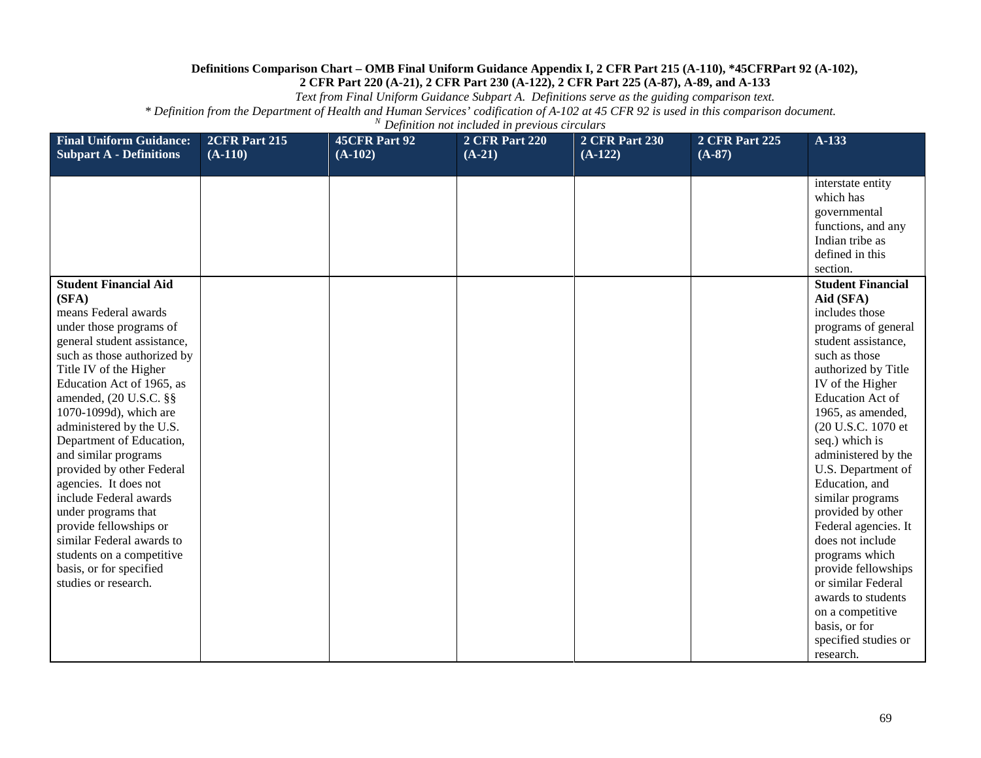*Text from Final Uniform Guidance Subpart A. Definitions serve as the guiding comparison text.*

| <b>Final Uniform Guidance:</b>                                                                                                                                                                                                                                                                                                                                                                                                                                                                                                                                                                  | 2CFR Part 215 | <b>45CFR Part 92</b> | <b>2 CFR Part 220</b> | <b>2 CFR Part 230</b> | <b>2 CFR Part 225</b> | $A-133$                                                                                                                                                                                                                                                                                                                                                                                                                                                                                                                                                                      |
|-------------------------------------------------------------------------------------------------------------------------------------------------------------------------------------------------------------------------------------------------------------------------------------------------------------------------------------------------------------------------------------------------------------------------------------------------------------------------------------------------------------------------------------------------------------------------------------------------|---------------|----------------------|-----------------------|-----------------------|-----------------------|------------------------------------------------------------------------------------------------------------------------------------------------------------------------------------------------------------------------------------------------------------------------------------------------------------------------------------------------------------------------------------------------------------------------------------------------------------------------------------------------------------------------------------------------------------------------------|
| <b>Subpart A - Definitions</b>                                                                                                                                                                                                                                                                                                                                                                                                                                                                                                                                                                  | $(A-110)$     | $(A-102)$            | $(A-21)$              | $(A-122)$             | $(A-87)$              |                                                                                                                                                                                                                                                                                                                                                                                                                                                                                                                                                                              |
|                                                                                                                                                                                                                                                                                                                                                                                                                                                                                                                                                                                                 |               |                      |                       |                       |                       | interstate entity<br>which has<br>governmental<br>functions, and any<br>Indian tribe as<br>defined in this<br>section.                                                                                                                                                                                                                                                                                                                                                                                                                                                       |
| <b>Student Financial Aid</b><br>(SFA)<br>means Federal awards<br>under those programs of<br>general student assistance,<br>such as those authorized by<br>Title IV of the Higher<br>Education Act of 1965, as<br>amended, (20 U.S.C. §§<br>1070-1099d), which are<br>administered by the U.S.<br>Department of Education,<br>and similar programs<br>provided by other Federal<br>agencies. It does not<br>include Federal awards<br>under programs that<br>provide fellowships or<br>similar Federal awards to<br>students on a competitive<br>basis, or for specified<br>studies or research. |               |                      |                       |                       |                       | <b>Student Financial</b><br>Aid (SFA)<br>includes those<br>programs of general<br>student assistance,<br>such as those<br>authorized by Title<br>IV of the Higher<br><b>Education Act of</b><br>1965, as amended,<br>(20 U.S.C. 1070 et<br>seq.) which is<br>administered by the<br>U.S. Department of<br>Education, and<br>similar programs<br>provided by other<br>Federal agencies. It<br>does not include<br>programs which<br>provide fellowships<br>or similar Federal<br>awards to students<br>on a competitive<br>basis, or for<br>specified studies or<br>research. |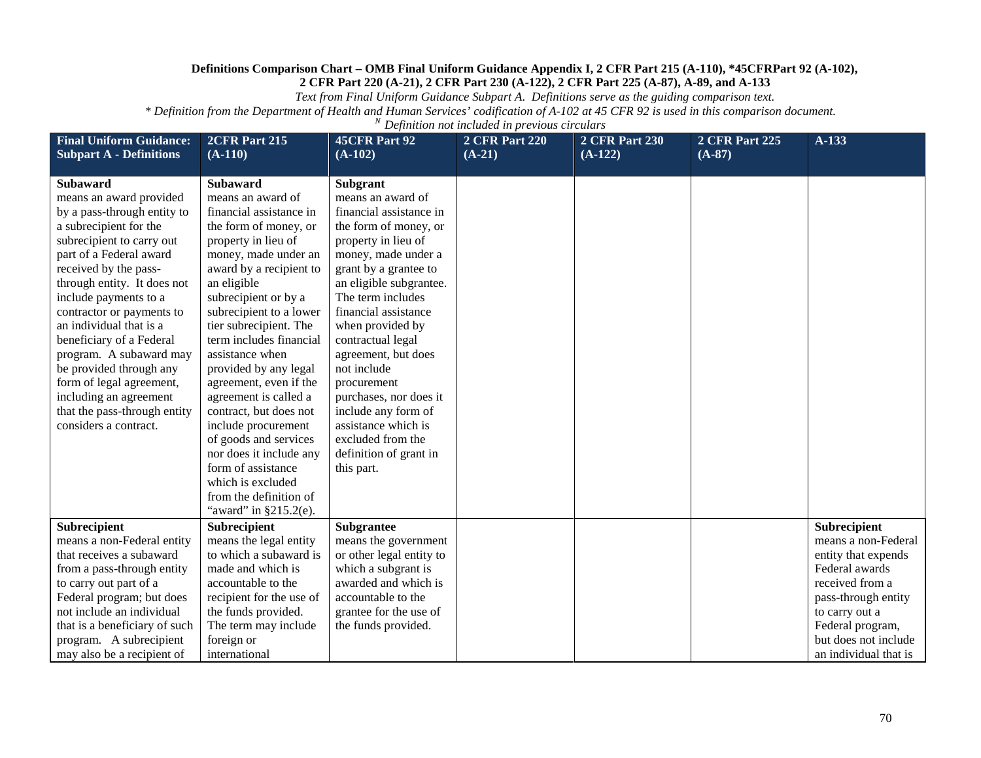*Text from Final Uniform Guidance Subpart A. Definitions serve as the guiding comparison text.*

| <b>Final Uniform Guidance:</b><br><b>Subpart A - Definitions</b>                                                                                                                                                                                                                                                                                                                                                                                                                                      | 2CFR Part 215<br>$(A-110)$                                                                                                                                                                                                                                                                                                                                                                                                                                         | <b>45CFR Part 92</b><br>$(A-102)$                                                                                                                                                                                                                                                                                                                                                                                                  | <b>2 CFR Part 220</b><br>$(A-21)$ | <b>2 CFR Part 230</b><br>$(A-122)$ | <b>2 CFR Part 225</b><br>$(A-87)$ | $A-133$                                                                             |
|-------------------------------------------------------------------------------------------------------------------------------------------------------------------------------------------------------------------------------------------------------------------------------------------------------------------------------------------------------------------------------------------------------------------------------------------------------------------------------------------------------|--------------------------------------------------------------------------------------------------------------------------------------------------------------------------------------------------------------------------------------------------------------------------------------------------------------------------------------------------------------------------------------------------------------------------------------------------------------------|------------------------------------------------------------------------------------------------------------------------------------------------------------------------------------------------------------------------------------------------------------------------------------------------------------------------------------------------------------------------------------------------------------------------------------|-----------------------------------|------------------------------------|-----------------------------------|-------------------------------------------------------------------------------------|
| <b>Subaward</b><br>means an award provided<br>by a pass-through entity to<br>a subrecipient for the<br>subrecipient to carry out<br>part of a Federal award<br>received by the pass-<br>through entity. It does not<br>include payments to a<br>contractor or payments to<br>an individual that is a<br>beneficiary of a Federal<br>program. A subaward may<br>be provided through any<br>form of legal agreement,<br>including an agreement<br>that the pass-through entity<br>considers a contract. | <b>Subaward</b><br>means an award of<br>financial assistance in<br>the form of money, or<br>property in lieu of<br>money, made under an<br>award by a recipient to<br>an eligible<br>subrecipient or by a<br>subrecipient to a lower<br>tier subrecipient. The<br>term includes financial<br>assistance when<br>provided by any legal<br>agreement, even if the<br>agreement is called a<br>contract, but does not<br>include procurement<br>of goods and services | <b>Subgrant</b><br>means an award of<br>financial assistance in<br>the form of money, or<br>property in lieu of<br>money, made under a<br>grant by a grantee to<br>an eligible subgrantee.<br>The term includes<br>financial assistance<br>when provided by<br>contractual legal<br>agreement, but does<br>not include<br>procurement<br>purchases, nor does it<br>include any form of<br>assistance which is<br>excluded from the |                                   |                                    |                                   |                                                                                     |
|                                                                                                                                                                                                                                                                                                                                                                                                                                                                                                       | nor does it include any<br>form of assistance<br>which is excluded<br>from the definition of<br>"award" in $§215.2(e)$ .                                                                                                                                                                                                                                                                                                                                           | definition of grant in<br>this part.                                                                                                                                                                                                                                                                                                                                                                                               |                                   |                                    |                                   |                                                                                     |
| Subrecipient<br>means a non-Federal entity                                                                                                                                                                                                                                                                                                                                                                                                                                                            | Subrecipient<br>means the legal entity                                                                                                                                                                                                                                                                                                                                                                                                                             | <b>Subgrantee</b><br>means the government                                                                                                                                                                                                                                                                                                                                                                                          |                                   |                                    |                                   | Subrecipient<br>means a non-Federal                                                 |
| that receives a subaward<br>from a pass-through entity<br>to carry out part of a<br>Federal program; but does                                                                                                                                                                                                                                                                                                                                                                                         | to which a subaward is<br>made and which is<br>accountable to the<br>recipient for the use of                                                                                                                                                                                                                                                                                                                                                                      | or other legal entity to<br>which a subgrant is<br>awarded and which is<br>accountable to the                                                                                                                                                                                                                                                                                                                                      |                                   |                                    |                                   | entity that expends<br>Federal awards<br>received from a<br>pass-through entity     |
| not include an individual<br>that is a beneficiary of such<br>program. A subrecipient<br>may also be a recipient of                                                                                                                                                                                                                                                                                                                                                                                   | the funds provided.<br>The term may include<br>foreign or<br>international                                                                                                                                                                                                                                                                                                                                                                                         | grantee for the use of<br>the funds provided.                                                                                                                                                                                                                                                                                                                                                                                      |                                   |                                    |                                   | to carry out a<br>Federal program,<br>but does not include<br>an individual that is |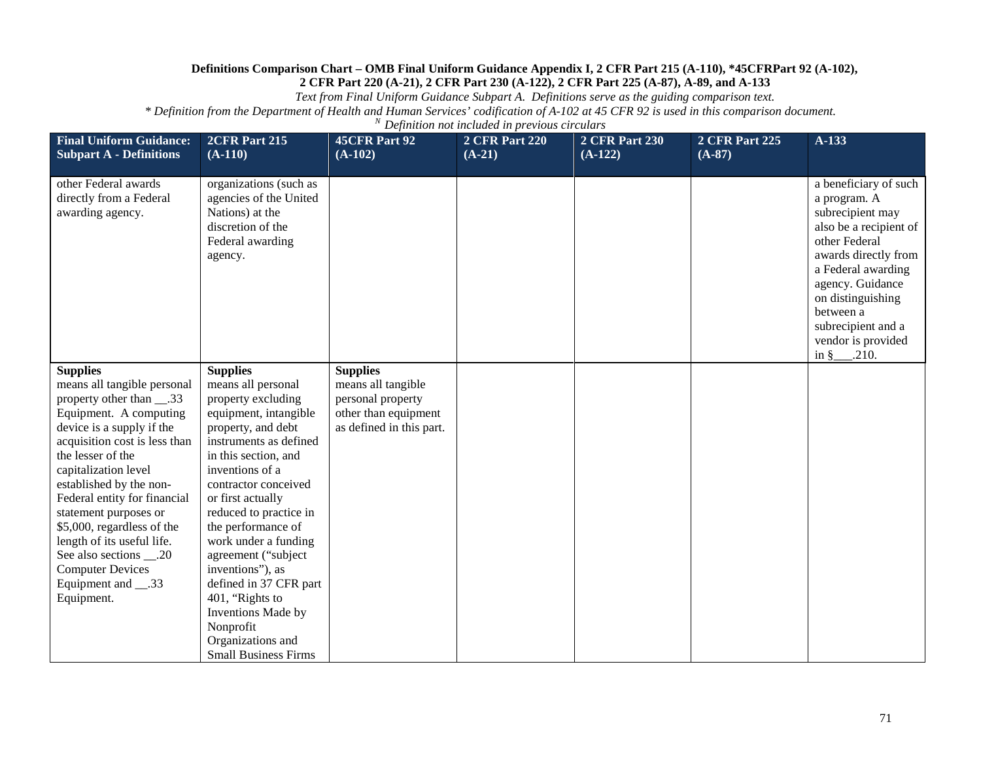*Text from Final Uniform Guidance Subpart A. Definitions serve as the guiding comparison text.*

| <b>Final Uniform Guidance:</b><br><b>Subpart A - Definitions</b>                                                                                                                                                                                                                                                                                                                                                                                               | 2CFR Part 215<br>$(A-110)$                                                                                                                                                                                                                                                                                                                                                                                                                                                          | <b>45CFR Part 92</b><br>$(A-102)$                                                                              | <b>2 CFR Part 220</b><br>$(A-21)$ | <b>2 CFR Part 230</b><br>$(A-122)$ | <b>2 CFR Part 225</b><br>$(A-87)$ | A-133                                                                                                                                                                                                                                                                          |
|----------------------------------------------------------------------------------------------------------------------------------------------------------------------------------------------------------------------------------------------------------------------------------------------------------------------------------------------------------------------------------------------------------------------------------------------------------------|-------------------------------------------------------------------------------------------------------------------------------------------------------------------------------------------------------------------------------------------------------------------------------------------------------------------------------------------------------------------------------------------------------------------------------------------------------------------------------------|----------------------------------------------------------------------------------------------------------------|-----------------------------------|------------------------------------|-----------------------------------|--------------------------------------------------------------------------------------------------------------------------------------------------------------------------------------------------------------------------------------------------------------------------------|
| other Federal awards<br>directly from a Federal<br>awarding agency.                                                                                                                                                                                                                                                                                                                                                                                            | organizations (such as<br>agencies of the United<br>Nations) at the<br>discretion of the<br>Federal awarding<br>agency.                                                                                                                                                                                                                                                                                                                                                             |                                                                                                                |                                   |                                    |                                   | a beneficiary of such<br>a program. A<br>subrecipient may<br>also be a recipient of<br>other Federal<br>awards directly from<br>a Federal awarding<br>agency. Guidance<br>on distinguishing<br>between a<br>subrecipient and a<br>vendor is provided<br>in $\frac{8}{2}$ .210. |
| <b>Supplies</b><br>means all tangible personal<br>property other than ___.33<br>Equipment. A computing<br>device is a supply if the<br>acquisition cost is less than<br>the lesser of the<br>capitalization level<br>established by the non-<br>Federal entity for financial<br>statement purposes or<br>\$5,000, regardless of the<br>length of its useful life.<br>See also sections ___.20<br><b>Computer Devices</b><br>Equipment and ___.33<br>Equipment. | <b>Supplies</b><br>means all personal<br>property excluding<br>equipment, intangible<br>property, and debt<br>instruments as defined<br>in this section, and<br>inventions of a<br>contractor conceived<br>or first actually<br>reduced to practice in<br>the performance of<br>work under a funding<br>agreement ("subject<br>inventions"), as<br>defined in 37 CFR part<br>401, "Rights to<br>Inventions Made by<br>Nonprofit<br>Organizations and<br><b>Small Business Firms</b> | <b>Supplies</b><br>means all tangible<br>personal property<br>other than equipment<br>as defined in this part. |                                   |                                    |                                   |                                                                                                                                                                                                                                                                                |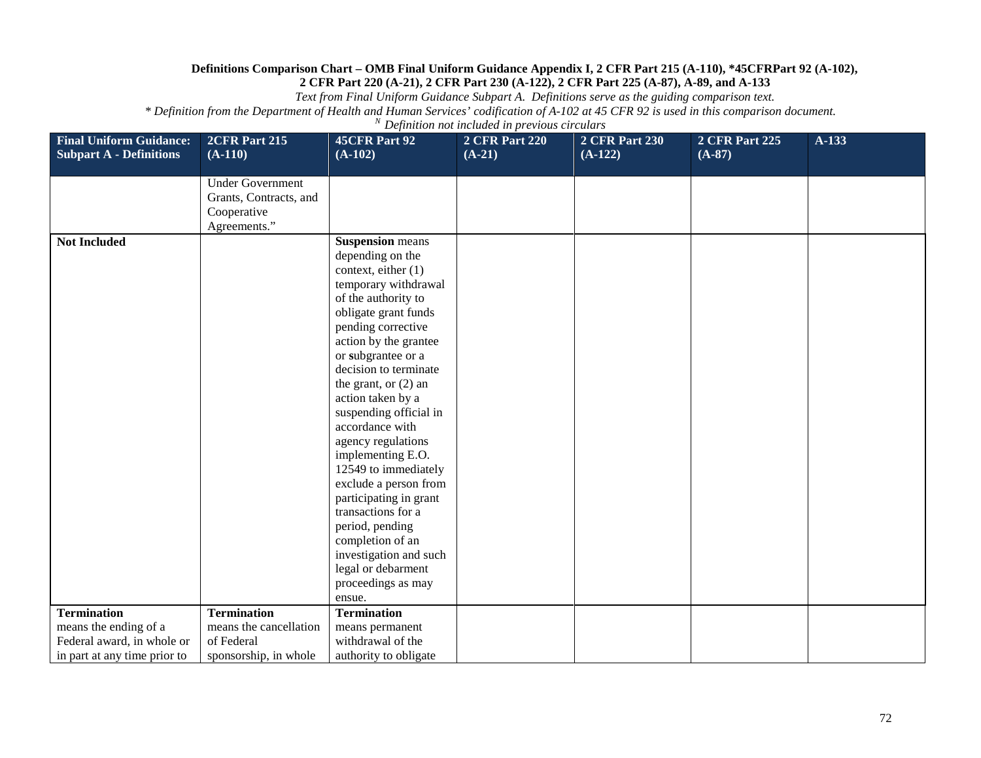*Text from Final Uniform Guidance Subpart A. Definitions serve as the guiding comparison text.*

| <b>Final Uniform Guidance:</b><br><b>Subpart A - Definitions</b> | 2CFR Part 215<br>$(A-110)$ | <b>45CFR Part 92</b><br>$(A-102)$           | <b>2 CFR Part 220</b><br>$(A-21)$ | <b>2 CFR Part 230</b><br>$(A-122)$ | <b>2 CFR Part 225</b><br>$(A-87)$ | $A-133$ |
|------------------------------------------------------------------|----------------------------|---------------------------------------------|-----------------------------------|------------------------------------|-----------------------------------|---------|
|                                                                  | <b>Under Government</b>    |                                             |                                   |                                    |                                   |         |
|                                                                  | Grants, Contracts, and     |                                             |                                   |                                    |                                   |         |
|                                                                  | Cooperative                |                                             |                                   |                                    |                                   |         |
|                                                                  | Agreements."               |                                             |                                   |                                    |                                   |         |
| <b>Not Included</b>                                              |                            | <b>Suspension</b> means                     |                                   |                                    |                                   |         |
|                                                                  |                            | depending on the                            |                                   |                                    |                                   |         |
|                                                                  |                            | context, either (1)                         |                                   |                                    |                                   |         |
|                                                                  |                            | temporary withdrawal                        |                                   |                                    |                                   |         |
|                                                                  |                            | of the authority to                         |                                   |                                    |                                   |         |
|                                                                  |                            | obligate grant funds                        |                                   |                                    |                                   |         |
|                                                                  |                            | pending corrective                          |                                   |                                    |                                   |         |
|                                                                  |                            | action by the grantee                       |                                   |                                    |                                   |         |
|                                                                  |                            | or subgrantee or a<br>decision to terminate |                                   |                                    |                                   |         |
|                                                                  |                            | the grant, or $(2)$ an                      |                                   |                                    |                                   |         |
|                                                                  |                            | action taken by a                           |                                   |                                    |                                   |         |
|                                                                  |                            | suspending official in                      |                                   |                                    |                                   |         |
|                                                                  |                            | accordance with                             |                                   |                                    |                                   |         |
|                                                                  |                            | agency regulations                          |                                   |                                    |                                   |         |
|                                                                  |                            | implementing E.O.                           |                                   |                                    |                                   |         |
|                                                                  |                            | 12549 to immediately                        |                                   |                                    |                                   |         |
|                                                                  |                            | exclude a person from                       |                                   |                                    |                                   |         |
|                                                                  |                            | participating in grant                      |                                   |                                    |                                   |         |
|                                                                  |                            | transactions for a                          |                                   |                                    |                                   |         |
|                                                                  |                            | period, pending                             |                                   |                                    |                                   |         |
|                                                                  |                            | completion of an                            |                                   |                                    |                                   |         |
|                                                                  |                            | investigation and such                      |                                   |                                    |                                   |         |
|                                                                  |                            | legal or debarment                          |                                   |                                    |                                   |         |
|                                                                  |                            | proceedings as may                          |                                   |                                    |                                   |         |
|                                                                  |                            | ensue.                                      |                                   |                                    |                                   |         |
| <b>Termination</b>                                               | <b>Termination</b>         | <b>Termination</b>                          |                                   |                                    |                                   |         |
| means the ending of a                                            | means the cancellation     | means permanent                             |                                   |                                    |                                   |         |
| Federal award, in whole or                                       | of Federal                 | withdrawal of the                           |                                   |                                    |                                   |         |
| in part at any time prior to                                     | sponsorship, in whole      | authority to obligate                       |                                   |                                    |                                   |         |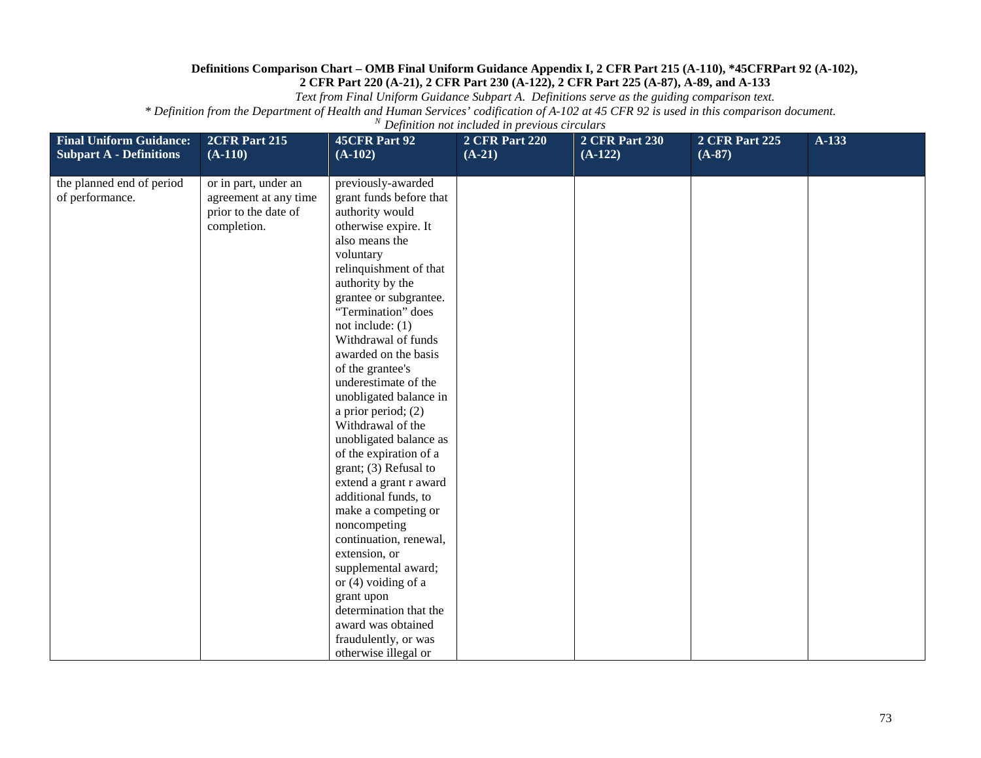*Text from Final Uniform Guidance Subpart A. Definitions serve as the guiding comparison text.*

| <b>Final Uniform Guidance:</b> | 2CFR Part 215         | <b>45CFR Part 92</b>                       | <b>2 CFR Part 220</b> | <b>2 CFR Part 230</b> | <b>2 CFR Part 225</b> | A-133 |
|--------------------------------|-----------------------|--------------------------------------------|-----------------------|-----------------------|-----------------------|-------|
| <b>Subpart A - Definitions</b> | $(A-110)$             | $(A-102)$                                  | $(A-21)$              | $(A-122)$             | $(A-87)$              |       |
| the planned end of period      | or in part, under an  | previously-awarded                         |                       |                       |                       |       |
| of performance.                | agreement at any time | grant funds before that                    |                       |                       |                       |       |
|                                | prior to the date of  | authority would                            |                       |                       |                       |       |
|                                | completion.           | otherwise expire. It                       |                       |                       |                       |       |
|                                |                       | also means the                             |                       |                       |                       |       |
|                                |                       | voluntary                                  |                       |                       |                       |       |
|                                |                       | relinquishment of that                     |                       |                       |                       |       |
|                                |                       | authority by the                           |                       |                       |                       |       |
|                                |                       | grantee or subgrantee.                     |                       |                       |                       |       |
|                                |                       | "Termination" does                         |                       |                       |                       |       |
|                                |                       | not include: $(1)$                         |                       |                       |                       |       |
|                                |                       | Withdrawal of funds                        |                       |                       |                       |       |
|                                |                       | awarded on the basis                       |                       |                       |                       |       |
|                                |                       | of the grantee's                           |                       |                       |                       |       |
|                                |                       | underestimate of the                       |                       |                       |                       |       |
|                                |                       | unobligated balance in                     |                       |                       |                       |       |
|                                |                       | a prior period; $(2)$<br>Withdrawal of the |                       |                       |                       |       |
|                                |                       | unobligated balance as                     |                       |                       |                       |       |
|                                |                       | of the expiration of a                     |                       |                       |                       |       |
|                                |                       | grant; (3) Refusal to                      |                       |                       |                       |       |
|                                |                       | extend a grant r award                     |                       |                       |                       |       |
|                                |                       | additional funds, to                       |                       |                       |                       |       |
|                                |                       | make a competing or                        |                       |                       |                       |       |
|                                |                       | noncompeting                               |                       |                       |                       |       |
|                                |                       | continuation, renewal,                     |                       |                       |                       |       |
|                                |                       | extension, or                              |                       |                       |                       |       |
|                                |                       | supplemental award;                        |                       |                       |                       |       |
|                                |                       | or $(4)$ voiding of a                      |                       |                       |                       |       |
|                                |                       | grant upon                                 |                       |                       |                       |       |
|                                |                       | determination that the                     |                       |                       |                       |       |
|                                |                       | award was obtained                         |                       |                       |                       |       |
|                                |                       | fraudulently, or was                       |                       |                       |                       |       |
|                                |                       | otherwise illegal or                       |                       |                       |                       |       |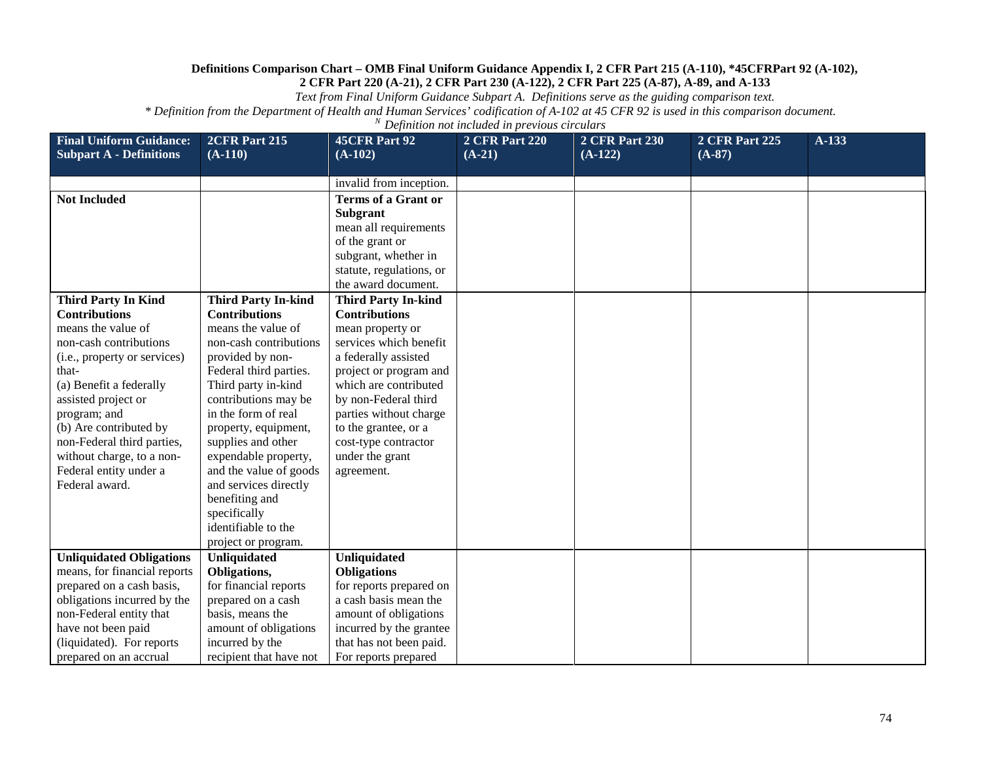*Text from Final Uniform Guidance Subpart A. Definitions serve as the guiding comparison text.*

| <b>Final Uniform Guidance:</b><br><b>Subpart A - Definitions</b>                                                                                                                                                                                                                                                 | 2CFR Part 215<br>$(A-110)$                                                                                                                                                                                                                                                                                                                                                                        | <b>45CFR Part 92</b><br>$(A-102)$                                                                                                                                                                                                                                                | <b>2 CFR Part 220</b><br>$(A-21)$ | <b>2 CFR Part 230</b><br>$(A-122)$ | <b>2 CFR Part 225</b><br>$(A-87)$ | A-133 |
|------------------------------------------------------------------------------------------------------------------------------------------------------------------------------------------------------------------------------------------------------------------------------------------------------------------|---------------------------------------------------------------------------------------------------------------------------------------------------------------------------------------------------------------------------------------------------------------------------------------------------------------------------------------------------------------------------------------------------|----------------------------------------------------------------------------------------------------------------------------------------------------------------------------------------------------------------------------------------------------------------------------------|-----------------------------------|------------------------------------|-----------------------------------|-------|
|                                                                                                                                                                                                                                                                                                                  |                                                                                                                                                                                                                                                                                                                                                                                                   | invalid from inception.                                                                                                                                                                                                                                                          |                                   |                                    |                                   |       |
| <b>Not Included</b>                                                                                                                                                                                                                                                                                              |                                                                                                                                                                                                                                                                                                                                                                                                   | <b>Terms of a Grant or</b><br><b>Subgrant</b><br>mean all requirements<br>of the grant or<br>subgrant, whether in<br>statute, regulations, or<br>the award document.                                                                                                             |                                   |                                    |                                   |       |
| <b>Third Party In Kind</b>                                                                                                                                                                                                                                                                                       | <b>Third Party In-kind</b>                                                                                                                                                                                                                                                                                                                                                                        | <b>Third Party In-kind</b>                                                                                                                                                                                                                                                       |                                   |                                    |                                   |       |
| <b>Contributions</b><br>means the value of<br>non-cash contributions<br>(i.e., property or services)<br>that-<br>(a) Benefit a federally<br>assisted project or<br>program; and<br>(b) Are contributed by<br>non-Federal third parties,<br>without charge, to a non-<br>Federal entity under a<br>Federal award. | <b>Contributions</b><br>means the value of<br>non-cash contributions<br>provided by non-<br>Federal third parties.<br>Third party in-kind<br>contributions may be<br>in the form of real<br>property, equipment,<br>supplies and other<br>expendable property,<br>and the value of goods<br>and services directly<br>benefiting and<br>specifically<br>identifiable to the<br>project or program. | <b>Contributions</b><br>mean property or<br>services which benefit<br>a federally assisted<br>project or program and<br>which are contributed<br>by non-Federal third<br>parties without charge<br>to the grantee, or a<br>cost-type contractor<br>under the grant<br>agreement. |                                   |                                    |                                   |       |
| <b>Unliquidated Obligations</b>                                                                                                                                                                                                                                                                                  | Unliquidated                                                                                                                                                                                                                                                                                                                                                                                      | <b>Unliquidated</b>                                                                                                                                                                                                                                                              |                                   |                                    |                                   |       |
| means, for financial reports<br>prepared on a cash basis,                                                                                                                                                                                                                                                        | Obligations,<br>for financial reports                                                                                                                                                                                                                                                                                                                                                             | <b>Obligations</b><br>for reports prepared on                                                                                                                                                                                                                                    |                                   |                                    |                                   |       |
| obligations incurred by the                                                                                                                                                                                                                                                                                      | prepared on a cash                                                                                                                                                                                                                                                                                                                                                                                | a cash basis mean the                                                                                                                                                                                                                                                            |                                   |                                    |                                   |       |
| non-Federal entity that                                                                                                                                                                                                                                                                                          | basis, means the                                                                                                                                                                                                                                                                                                                                                                                  | amount of obligations                                                                                                                                                                                                                                                            |                                   |                                    |                                   |       |
| have not been paid                                                                                                                                                                                                                                                                                               | amount of obligations                                                                                                                                                                                                                                                                                                                                                                             | incurred by the grantee                                                                                                                                                                                                                                                          |                                   |                                    |                                   |       |
| (liquidated). For reports                                                                                                                                                                                                                                                                                        | incurred by the                                                                                                                                                                                                                                                                                                                                                                                   | that has not been paid.                                                                                                                                                                                                                                                          |                                   |                                    |                                   |       |
| prepared on an accrual                                                                                                                                                                                                                                                                                           | recipient that have not                                                                                                                                                                                                                                                                                                                                                                           | For reports prepared                                                                                                                                                                                                                                                             |                                   |                                    |                                   |       |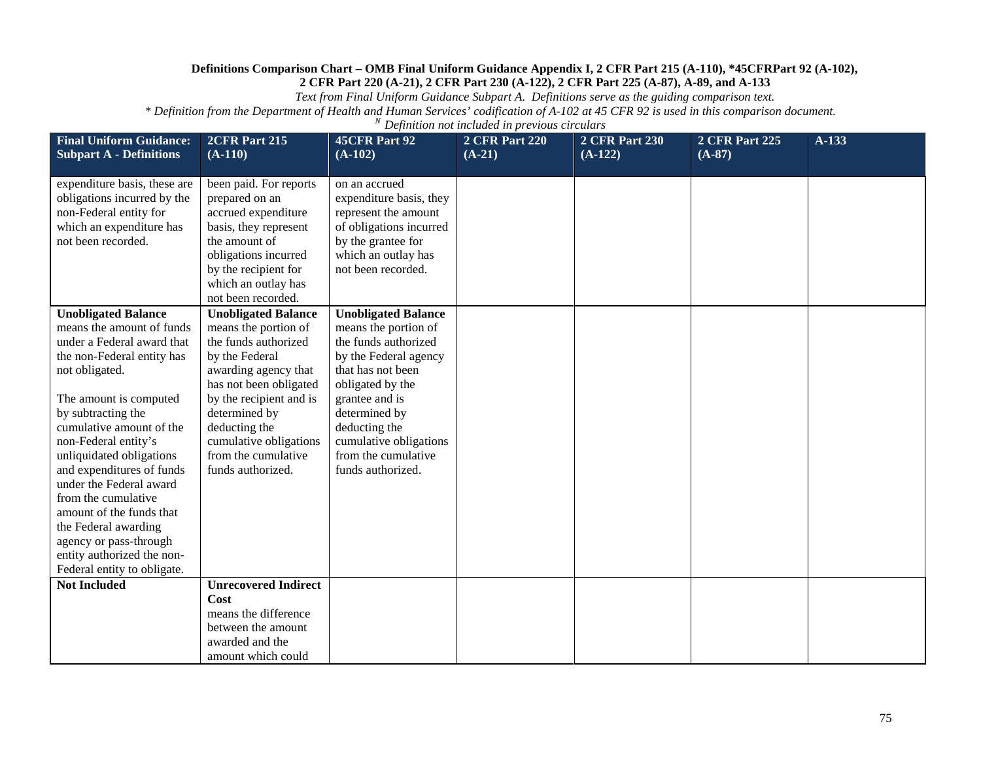*Text from Final Uniform Guidance Subpart A. Definitions serve as the guiding comparison text.*

| <b>Final Uniform Guidance:</b><br><b>Subpart A - Definitions</b>                                                                                                                                                                                                                                                                                                                                                                                                                                | 2CFR Part 215<br>$(A-110)$                                                                                                                                                                                                                                                        | <b>45CFR Part 92</b><br>$(A-102)$                                                                                                                                                                                                                                      | <b>2 CFR Part 220</b><br>$(A-21)$ | <b>2 CFR Part 230</b><br>$(A-122)$ | <b>2 CFR Part 225</b><br>$(A-87)$ | $A-133$ |
|-------------------------------------------------------------------------------------------------------------------------------------------------------------------------------------------------------------------------------------------------------------------------------------------------------------------------------------------------------------------------------------------------------------------------------------------------------------------------------------------------|-----------------------------------------------------------------------------------------------------------------------------------------------------------------------------------------------------------------------------------------------------------------------------------|------------------------------------------------------------------------------------------------------------------------------------------------------------------------------------------------------------------------------------------------------------------------|-----------------------------------|------------------------------------|-----------------------------------|---------|
|                                                                                                                                                                                                                                                                                                                                                                                                                                                                                                 |                                                                                                                                                                                                                                                                                   |                                                                                                                                                                                                                                                                        |                                   |                                    |                                   |         |
| expenditure basis, these are<br>obligations incurred by the<br>non-Federal entity for<br>which an expenditure has<br>not been recorded.                                                                                                                                                                                                                                                                                                                                                         | been paid. For reports<br>prepared on an<br>accrued expenditure<br>basis, they represent<br>the amount of<br>obligations incurred<br>by the recipient for<br>which an outlay has                                                                                                  | on an accrued<br>expenditure basis, they<br>represent the amount<br>of obligations incurred<br>by the grantee for<br>which an outlay has<br>not been recorded.                                                                                                         |                                   |                                    |                                   |         |
|                                                                                                                                                                                                                                                                                                                                                                                                                                                                                                 | not been recorded.                                                                                                                                                                                                                                                                |                                                                                                                                                                                                                                                                        |                                   |                                    |                                   |         |
| <b>Unobligated Balance</b><br>means the amount of funds<br>under a Federal award that<br>the non-Federal entity has<br>not obligated.<br>The amount is computed<br>by subtracting the<br>cumulative amount of the<br>non-Federal entity's<br>unliquidated obligations<br>and expenditures of funds<br>under the Federal award<br>from the cumulative<br>amount of the funds that<br>the Federal awarding<br>agency or pass-through<br>entity authorized the non-<br>Federal entity to obligate. | <b>Unobligated Balance</b><br>means the portion of<br>the funds authorized<br>by the Federal<br>awarding agency that<br>has not been obligated<br>by the recipient and is<br>determined by<br>deducting the<br>cumulative obligations<br>from the cumulative<br>funds authorized. | <b>Unobligated Balance</b><br>means the portion of<br>the funds authorized<br>by the Federal agency<br>that has not been<br>obligated by the<br>grantee and is<br>determined by<br>deducting the<br>cumulative obligations<br>from the cumulative<br>funds authorized. |                                   |                                    |                                   |         |
| <b>Not Included</b>                                                                                                                                                                                                                                                                                                                                                                                                                                                                             | <b>Unrecovered Indirect</b>                                                                                                                                                                                                                                                       |                                                                                                                                                                                                                                                                        |                                   |                                    |                                   |         |
|                                                                                                                                                                                                                                                                                                                                                                                                                                                                                                 | Cost<br>means the difference<br>between the amount<br>awarded and the<br>amount which could                                                                                                                                                                                       |                                                                                                                                                                                                                                                                        |                                   |                                    |                                   |         |